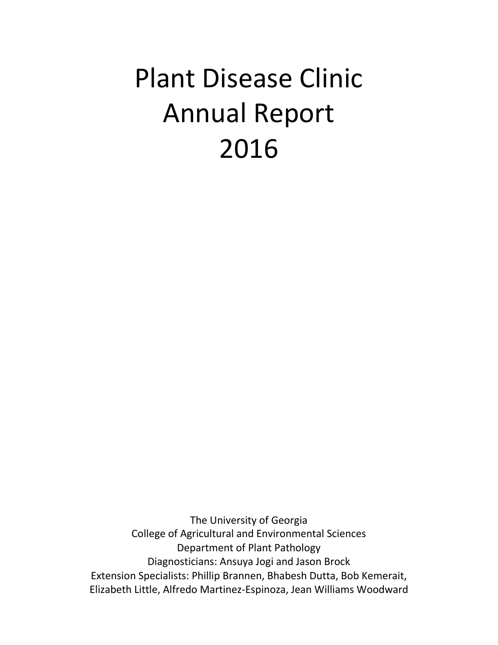# Plant Disease Clinic Annual Report 2016

The University of Georgia College of Agricultural and Environmental Sciences Department of Plant Pathology Diagnosticians: Ansuya Jogi and Jason Brock Extension Specialists: Phillip Brannen, Bhabesh Dutta, Bob Kemerait, Elizabeth Little, Alfredo Martinez-Espinoza, Jean Williams Woodward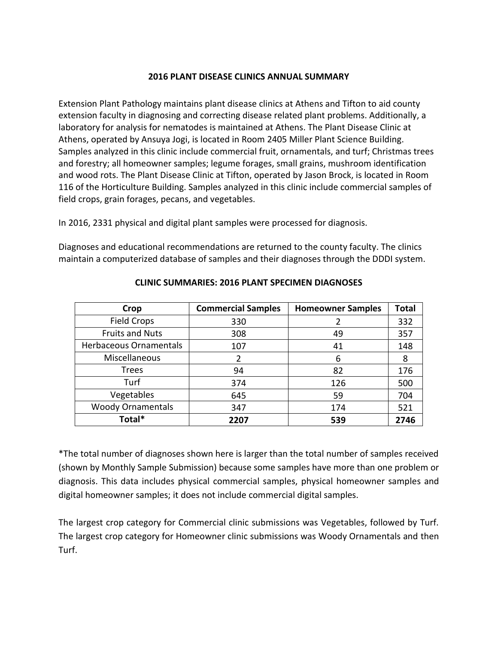#### **2016 PLANT DISEASE CLINICS ANNUAL SUMMARY**

Extension Plant Pathology maintains plant disease clinics at Athens and Tifton to aid county extension faculty in diagnosing and correcting disease related plant problems. Additionally, a laboratory for analysis for nematodes is maintained at Athens. The Plant Disease Clinic at Athens, operated by Ansuya Jogi, is located in Room 2405 Miller Plant Science Building. Samples analyzed in this clinic include commercial fruit, ornamentals, and turf; Christmas trees and forestry; all homeowner samples; legume forages, small grains, mushroom identification and wood rots. The Plant Disease Clinic at Tifton, operated by Jason Brock, is located in Room 116 of the Horticulture Building. Samples analyzed in this clinic include commercial samples of field crops, grain forages, pecans, and vegetables.

In 2016, 2331 physical and digital plant samples were processed for diagnosis.

Diagnoses and educational recommendations are returned to the county faculty. The clinics maintain a computerized database of samples and their diagnoses through the DDDI system.

| Crop                     | <b>Commercial Samples</b> | <b>Homeowner Samples</b> | <b>Total</b> |
|--------------------------|---------------------------|--------------------------|--------------|
| <b>Field Crops</b>       | 330                       |                          | 332          |
| <b>Fruits and Nuts</b>   | 308                       | 49                       | 357          |
| Herbaceous Ornamentals   | 107                       | 41                       | 148          |
| Miscellaneous            |                           | 6                        | 8            |
| <b>Trees</b>             | 94                        | 82                       | 176          |
| Turf                     | 374                       | 126                      | 500          |
| Vegetables               | 645                       | 59                       | 704          |
| <b>Woody Ornamentals</b> | 347                       | 174                      | 521          |
| Total*                   | 2207                      | 539                      | 2746         |

#### **CLINIC SUMMARIES: 2016 PLANT SPECIMEN DIAGNOSES**

\*The total number of diagnoses shown here is larger than the total number of samples received (shown by Monthly Sample Submission) because some samples have more than one problem or diagnosis. This data includes physical commercial samples, physical homeowner samples and digital homeowner samples; it does not include commercial digital samples.

The largest crop category for Commercial clinic submissions was Vegetables, followed by Turf. The largest crop category for Homeowner clinic submissions was Woody Ornamentals and then Turf.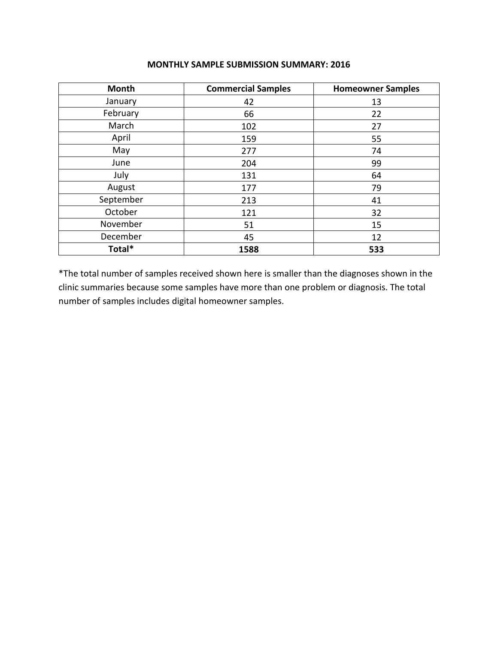| Month     | <b>Commercial Samples</b> | <b>Homeowner Samples</b> |
|-----------|---------------------------|--------------------------|
| January   | 42                        | 13                       |
| February  | 66                        | 22                       |
| March     | 102                       | 27                       |
| April     | 159                       | 55                       |
| May       | 277                       | 74                       |
| June      | 204                       | 99                       |
| July      | 131                       | 64                       |
| August    | 177                       | 79                       |
| September | 213                       | 41                       |
| October   | 121                       | 32                       |
| November  | 51                        | 15                       |
| December  | 45                        | 12                       |
| Total*    | 1588                      | 533                      |

#### **MONTHLY SAMPLE SUBMISSION SUMMARY: 2016**

\*The total number of samples received shown here is smaller than the diagnoses shown in the clinic summaries because some samples have more than one problem or diagnosis. The total number of samples includes digital homeowner samples.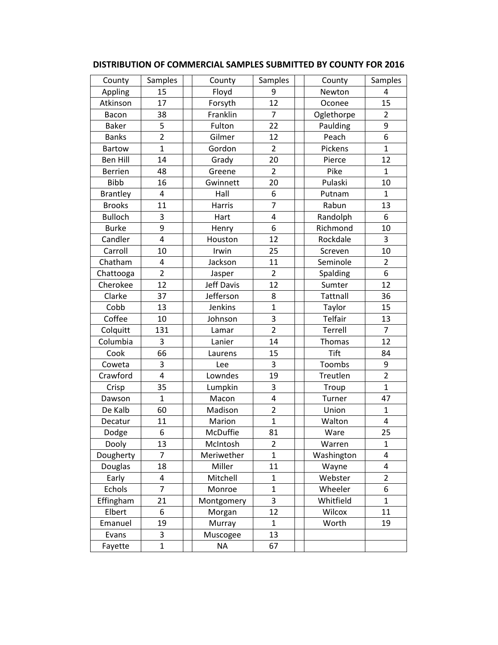| County          | Samples                 | County            | Samples                 | County          | Samples                 |
|-----------------|-------------------------|-------------------|-------------------------|-----------------|-------------------------|
| Appling         | 15                      | Floyd             | 9                       | Newton          | 4                       |
| Atkinson        | 17                      | Forsyth           | 12                      | Oconee          | 15                      |
| Bacon           | 38                      | Franklin          | $\overline{7}$          | Oglethorpe      | $\overline{2}$          |
| <b>Baker</b>    | 5                       | Fulton            | 22                      | Paulding        | 9                       |
| <b>Banks</b>    | $\overline{2}$          | Gilmer            | 12                      | Peach           | 6                       |
| <b>Bartow</b>   | $\mathbf{1}$            | Gordon            | $\overline{2}$          | Pickens         | $\mathbf{1}$            |
| <b>Ben Hill</b> | 14                      | Grady             | 20                      | Pierce          | 12                      |
| <b>Berrien</b>  | 48                      | Greene            | $\overline{2}$          | Pike            | $\mathbf{1}$            |
| <b>Bibb</b>     | 16                      | Gwinnett          | 20                      | Pulaski         | 10                      |
| <b>Brantley</b> | $\overline{\mathbf{4}}$ | Hall              | 6                       | Putnam          | $\mathbf{1}$            |
| <b>Brooks</b>   | 11                      | Harris            | $\overline{7}$          | Rabun           | 13                      |
| <b>Bulloch</b>  | 3                       | Hart              | $\overline{4}$          | Randolph        | 6                       |
| <b>Burke</b>    | 9                       | Henry             | 6                       | Richmond        | 10                      |
| Candler         | 4                       | Houston           | 12                      | Rockdale        | 3                       |
| Carroll         | 10                      | Irwin             | 25                      | Screven         | 10                      |
| Chatham         | 4                       | Jackson           | 11                      | Seminole        | $\overline{2}$          |
| Chattooga       | $\overline{2}$          | Jasper            | $\overline{2}$          | Spalding        | 6                       |
| Cherokee        | 12                      | <b>Jeff Davis</b> | 12                      | Sumter          | 12                      |
| Clarke          | 37                      | Jefferson         | 8                       | <b>Tattnall</b> | 36                      |
| Cobb            | 13                      | Jenkins           | $\mathbf{1}$            | Taylor          | 15                      |
| Coffee          | 10                      | Johnson           | 3                       | Telfair         | 13                      |
| Colquitt        | 131                     | Lamar             | $\overline{2}$          | Terrell         | $\overline{7}$          |
| Columbia        | 3                       | Lanier            | 14                      | Thomas          | 12                      |
| Cook            | 66                      | Laurens           | 15                      | Tift            | 84                      |
| Coweta          | 3                       | Lee               | 3                       | Toombs          | 9                       |
| Crawford        | 4                       | Lowndes           | 19                      | Treutlen        | $\overline{2}$          |
| Crisp           | 35                      | Lumpkin           | 3                       | Troup           | $\mathbf{1}$            |
| Dawson          | $\mathbf{1}$            | Macon             | $\overline{\mathbf{4}}$ | Turner          | 47                      |
| De Kalb         | 60                      | Madison           | $\overline{2}$          | Union           | $\mathbf{1}$            |
| Decatur         | 11                      | Marion            | $\overline{1}$          | Walton          | $\overline{\mathbf{4}}$ |
| Dodge           | 6                       | McDuffie          | 81                      | Ware            | 25                      |
| Dooly           | 13                      | McIntosh          | 2                       | Warren          | 1                       |
| Dougherty       | $\overline{7}$          | Meriwether        | $\mathbf{1}$            | Washington      | 4                       |
| Douglas         | 18                      | Miller            | 11                      | Wayne           | 4                       |
| Early           | 4                       | Mitchell          | $\mathbf{1}$            | Webster         | $\overline{2}$          |
| Echols          | $\overline{7}$          | Monroe            | $\mathbf 1$             | Wheeler         | 6                       |
| Effingham       | 21                      | Montgomery        | 3                       | Whitfield       | $\mathbf{1}$            |
| Elbert          | 6                       | Morgan            | 12                      | Wilcox          | 11                      |
| Emanuel         | 19                      | Murray            | $\mathbf{1}$            | Worth           | 19                      |
| Evans           | 3                       | Muscogee          | 13                      |                 |                         |
| Fayette         | $\mathbf{1}$            | <b>NA</b>         | 67                      |                 |                         |

#### **DISTRIBUTION OF COMMERCIAL SAMPLES SUBMITTED BY COUNTY FOR 2016**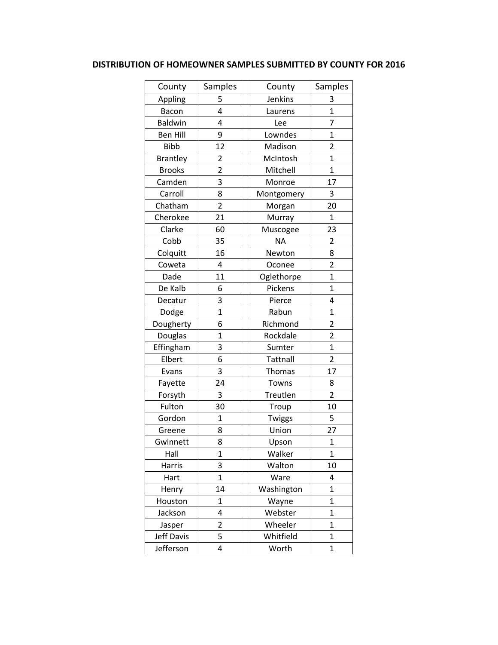## **DISTRIBUTION OF HOMEOWNER SAMPLES SUBMITTED BY COUNTY FOR 2016**

| County          | Samples        | County          | Samples                 |
|-----------------|----------------|-----------------|-------------------------|
| Appling         | 5              | Jenkins         | 3                       |
| Bacon           | $\overline{4}$ | Laurens         | $\overline{1}$          |
| <b>Baldwin</b>  | 4              | Lee             | 7                       |
| <b>Ben Hill</b> | 9              | Lowndes         | $\overline{1}$          |
| <b>Bibb</b>     | 12             | Madison         | 2                       |
| <b>Brantley</b> | 2              | McIntosh        | $\overline{1}$          |
| <b>Brooks</b>   | $\overline{2}$ | Mitchell        | $\mathbf{1}$            |
| Camden          | 3              | Monroe          | 17                      |
| Carroll         | 8              | Montgomery      | 3                       |
| Chatham         | $\overline{2}$ | Morgan          | 20                      |
| Cherokee        | 21             | Murray          | $\overline{1}$          |
| Clarke          | 60             | Muscogee        | 23                      |
| Cobb            | 35             | ΝA              | 2                       |
| Colquitt        | 16             | Newton          | 8                       |
| Coweta          | 4              | Oconee          | $\overline{2}$          |
| Dade            | 11             | Oglethorpe      | $\overline{1}$          |
| De Kalb         | 6              | Pickens         | $\overline{1}$          |
| Decatur         | 3              | Pierce          | 4                       |
| Dodge           | $\overline{1}$ | Rabun           | $\overline{1}$          |
| Dougherty       | 6              | Richmond        | $\overline{\mathbf{c}}$ |
| Douglas         | $\overline{1}$ | Rockdale        | $\overline{2}$          |
| Effingham       | 3              | Sumter          | $\overline{1}$          |
| Elbert          | 6              | <b>Tattnall</b> | $\overline{2}$          |
| Evans           | 3              | Thomas          | 17                      |
| Fayette         | 24             | Towns           | 8                       |
| Forsyth         | 3              | Treutlen        | $\overline{2}$          |
| Fulton          | 30             | Troup           | 10                      |
| Gordon          | $\mathbf{1}$   | Twiggs          | 5                       |
| Greene          | 8              | Union           | 27                      |
| Gwinnett        | 8              | Upson           | $\mathbf{1}$            |
| Hall            | $\mathbf{1}$   | Walker          | $\overline{1}$          |
| Harris          | 3              | Walton          | 10                      |
| Hart            | $\mathbf{1}$   | Ware            | 4                       |
| Henry           | 14             | Washington      | $\mathbf 1$             |
| Houston         | $\mathbf{1}$   | Wayne           | $\mathbf{1}$            |
| Jackson         | 4              | Webster         | $\mathbf 1$             |
| Jasper          | 2              | Wheeler         | $\overline{1}$          |
| Jeff Davis      | 5              | Whitfield       | $\mathbf{1}$            |
| Jefferson       | 4              | Worth           | $\mathbf 1$             |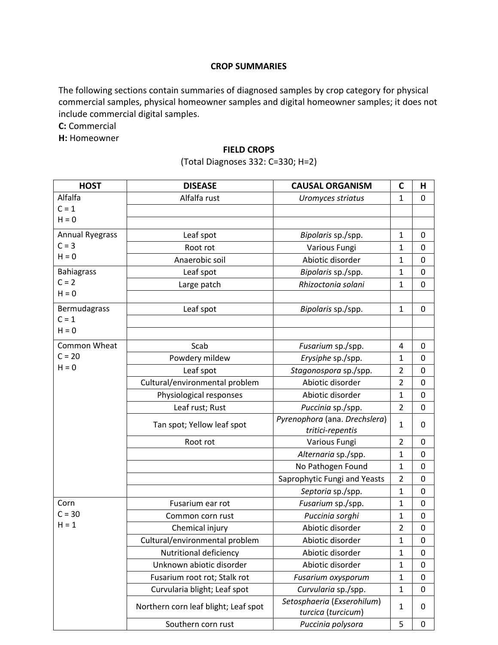#### **CROP SUMMARIES**

The following sections contain summaries of diagnosed samples by crop category for physical commercial samples, physical homeowner samples and digital homeowner samples; it does not include commercial digital samples.

**C:** Commercial

**H:** Homeowner

#### **FIELD CROPS**

(Total Diagnoses 332: C=330; H=2)

| <b>HOST</b>            | <b>DISEASE</b>                       | <b>CAUSAL ORGANISM</b>                           | C              | Н                |
|------------------------|--------------------------------------|--------------------------------------------------|----------------|------------------|
| Alfalfa                | Alfalfa rust                         | Uromyces striatus                                | 1              | 0                |
| $C = 1$                |                                      |                                                  |                |                  |
| $H = 0$                |                                      |                                                  |                |                  |
| <b>Annual Ryegrass</b> | Leaf spot                            | Bipolaris sp./spp.                               | 1              | 0                |
| $C = 3$                | Root rot                             | Various Fungi                                    | 1              | $\mathbf 0$      |
| $H = 0$                | Anaerobic soil                       | Abiotic disorder                                 | 1              | $\mathbf 0$      |
| <b>Bahiagrass</b>      | Leaf spot                            | Bipolaris sp./spp.                               | $\mathbf{1}$   | $\mathbf 0$      |
| $C = 2$                | Large patch                          | Rhizoctonia solani                               | 1              | $\mathbf 0$      |
| $H = 0$                |                                      |                                                  |                |                  |
| Bermudagrass           | Leaf spot                            | Bipolaris sp./spp.                               | $\mathbf{1}$   | $\mathbf 0$      |
| $C = 1$                |                                      |                                                  |                |                  |
| $H = 0$                |                                      |                                                  |                |                  |
| Common Wheat           | Scab                                 | Fusarium sp./spp.                                | 4              | 0                |
| $C = 20$               | Powdery mildew                       | Erysiphe sp./spp.                                | 1              | $\mathbf 0$      |
| $H = 0$                | Leaf spot                            | Stagonospora sp./spp.                            | 2              | $\mathbf 0$      |
|                        | Cultural/environmental problem       | Abiotic disorder                                 | $\overline{2}$ | $\mathbf 0$      |
|                        | Physiological responses              | Abiotic disorder                                 | 1              | $\mathbf 0$      |
|                        | Leaf rust; Rust                      | Puccinia sp./spp.                                | $\overline{2}$ | $\mathbf 0$      |
|                        | Tan spot; Yellow leaf spot           | Pyrenophora (ana. Drechslera)                    | 1              | 0                |
|                        |                                      | tritici-repentis                                 |                |                  |
|                        | Root rot                             | Various Fungi                                    | $\overline{2}$ | 0                |
|                        |                                      | Alternaria sp./spp.                              | 1              | $\mathbf 0$      |
|                        |                                      | No Pathogen Found                                | $\mathbf 1$    | $\mathbf 0$      |
|                        |                                      | Saprophytic Fungi and Yeasts                     | $\overline{2}$ | $\mathbf 0$      |
|                        |                                      | Septoria sp./spp.                                | $\mathbf{1}$   | $\boldsymbol{0}$ |
| Corn                   | Fusarium ear rot                     | Fusarium sp./spp.                                | 1              | $\mathbf 0$      |
| $C = 30$               | Common corn rust                     | Puccinia sorghi                                  | 1              | $\mathbf 0$      |
| $H = 1$                | Chemical injury                      | Abiotic disorder                                 | 2              | $\mathbf 0$      |
|                        | Cultural/environmental problem       | Abiotic disorder                                 | 1              | $\mathbf 0$      |
|                        | Nutritional deficiency               | Abiotic disorder                                 | 1              | 0                |
|                        | Unknown abiotic disorder             | Abiotic disorder                                 | 1              | 0                |
|                        | Fusarium root rot; Stalk rot         | Fusarium oxysporum                               | 1              | $\boldsymbol{0}$ |
|                        | Curvularia blight; Leaf spot         | Curvularia sp./spp.                              | $\mathbf{1}$   | $\mathbf 0$      |
|                        | Northern corn leaf blight; Leaf spot | Setosphaeria (Exserohilum)<br>turcica (turcicum) | 1              | 0                |
|                        | Southern corn rust                   | Puccinia polysora                                | 5              | $\mathbf 0$      |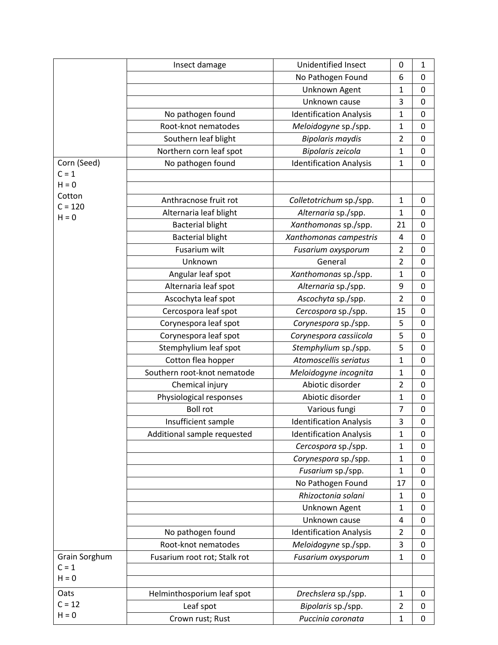|                      | Insect damage                | Unidentified Insect            | 0              | 1                |
|----------------------|------------------------------|--------------------------------|----------------|------------------|
|                      |                              | No Pathogen Found              | 6              | 0                |
|                      |                              | Unknown Agent                  | $\mathbf{1}$   | $\boldsymbol{0}$ |
|                      |                              | Unknown cause                  | 3              | $\mathbf 0$      |
|                      | No pathogen found            | <b>Identification Analysis</b> | $\mathbf 1$    | $\mathbf 0$      |
|                      | Root-knot nematodes          | Meloidogyne sp./spp.           | $\mathbf 1$    | $\mathbf 0$      |
|                      | Southern leaf blight         | <b>Bipolaris maydis</b>        | $\overline{2}$ | $\mathbf 0$      |
|                      | Northern corn leaf spot      | Bipolaris zeicola              | $\mathbf 1$    | $\mathbf 0$      |
| Corn (Seed)          | No pathogen found            | <b>Identification Analysis</b> | $\mathbf 1$    | 0                |
| $C = 1$              |                              |                                |                |                  |
| $H = 0$              |                              |                                |                |                  |
| Cotton               | Anthracnose fruit rot        | Colletotrichum sp./spp.        | $\mathbf 1$    | $\mathbf 0$      |
| $C = 120$<br>$H = 0$ | Alternaria leaf blight       | Alternaria sp./spp.            | $\mathbf 1$    | $\mathbf 0$      |
|                      | <b>Bacterial blight</b>      | Xanthomonas sp./spp.           | 21             | $\mathbf 0$      |
|                      | <b>Bacterial blight</b>      | Xanthomonas campestris         | 4              | 0                |
|                      | Fusarium wilt                | Fusarium oxysporum             | $\overline{2}$ | 0                |
|                      | Unknown                      | General                        | $\overline{2}$ | 0                |
|                      | Angular leaf spot            | Xanthomonas sp./spp.           | $\mathbf{1}$   | 0                |
|                      | Alternaria leaf spot         | Alternaria sp./spp.            | 9              | $\mathbf 0$      |
|                      | Ascochyta leaf spot          | Ascochyta sp./spp.             | $\overline{2}$ | 0                |
|                      | Cercospora leaf spot         | Cercospora sp./spp.            | 15             | $\mathbf 0$      |
|                      | Corynespora leaf spot        | Corynespora sp./spp.           | 5              | 0                |
|                      | Corynespora leaf spot        | Corynespora cassiicola         | 5              | $\mathbf 0$      |
|                      | Stemphylium leaf spot        | Stemphylium sp./spp.           | 5              | $\boldsymbol{0}$ |
|                      | Cotton flea hopper           | Atomoscellis seriatus          | $\mathbf 1$    | $\mathbf 0$      |
|                      | Southern root-knot nematode  | Meloidogyne incognita          | $\mathbf 1$    | 0                |
|                      | Chemical injury              | Abiotic disorder               | $\overline{2}$ | $\mathbf 0$      |
|                      | Physiological responses      | Abiotic disorder               | $\mathbf 1$    | $\boldsymbol{0}$ |
|                      | <b>Boll rot</b>              | Various fungi                  | $\overline{7}$ | $\mathbf 0$      |
|                      | Insufficient sample          | <b>Identification Analysis</b> | 3              | 0                |
|                      | Additional sample requested  | <b>Identification Analysis</b> | $\mathbf{1}$   | 0                |
|                      |                              | Cercospora sp./spp.            | $\mathbf 1$    | 0                |
|                      |                              | Corynespora sp./spp.           | $\mathbf 1$    | $\mathbf 0$      |
|                      |                              | Fusarium sp./spp.              | $\mathbf 1$    | 0                |
|                      |                              | No Pathogen Found              | 17             | 0                |
|                      |                              | Rhizoctonia solani             | $\mathbf 1$    | 0                |
|                      |                              | Unknown Agent                  | $\mathbf{1}$   | 0                |
|                      |                              | Unknown cause                  | 4              | 0                |
|                      | No pathogen found            | <b>Identification Analysis</b> | $\overline{2}$ | 0                |
|                      | Root-knot nematodes          | Meloidogyne sp./spp.           | 3              | 0                |
| Grain Sorghum        | Fusarium root rot; Stalk rot | Fusarium oxysporum             | $\mathbf 1$    | $\mathbf 0$      |
| $C = 1$              |                              |                                |                |                  |
| $H = 0$              |                              |                                |                |                  |
| Oats                 | Helminthosporium leaf spot   | Drechslera sp./spp.            | $\mathbf{1}$   | 0                |
| $C = 12$             | Leaf spot                    | Bipolaris sp./spp.             | $\overline{2}$ | 0                |
| $H = 0$              | Crown rust; Rust             | Puccinia coronata              | $\mathbf 1$    | 0                |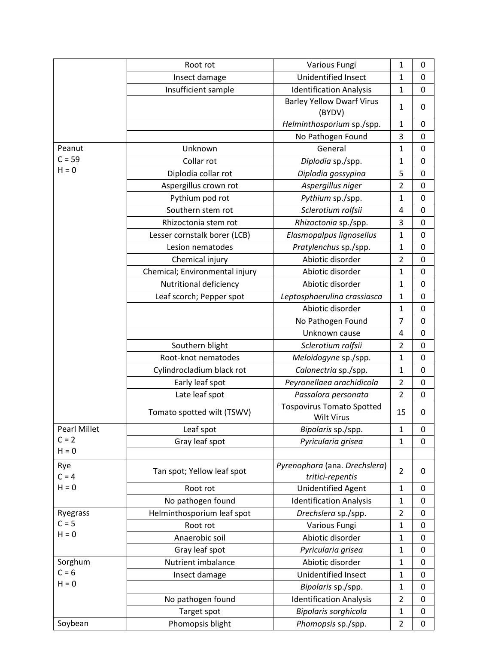|                     | Root rot                       | Various Fungi                                         | $\mathbf{1}$   | 0                |
|---------------------|--------------------------------|-------------------------------------------------------|----------------|------------------|
|                     | Insect damage                  | Unidentified Insect                                   | $\mathbf 1$    | $\mathbf 0$      |
|                     | Insufficient sample            | <b>Identification Analysis</b>                        | $\mathbf 1$    | $\mathbf 0$      |
|                     |                                | <b>Barley Yellow Dwarf Virus</b><br>(BYDV)            | $\mathbf{1}$   | 0                |
|                     |                                | Helminthosporium sp./spp.                             | $\mathbf{1}$   | 0                |
|                     |                                | No Pathogen Found                                     | 3              | $\mathbf 0$      |
| Peanut              | Unknown                        | General                                               | $\mathbf 1$    | $\mathbf 0$      |
| $C = 59$            | Collar rot                     | Diplodia sp./spp.                                     | $\mathbf{1}$   | $\mathbf 0$      |
| $H = 0$             | Diplodia collar rot            | Diplodia gossypina                                    | 5              | $\mathbf 0$      |
|                     | Aspergillus crown rot          | Aspergillus niger                                     | $\overline{2}$ | 0                |
|                     | Pythium pod rot                | Pythium sp./spp.                                      | $\mathbf{1}$   | $\mathbf 0$      |
|                     | Southern stem rot              | Sclerotium rolfsii                                    | $\overline{4}$ | $\mathbf 0$      |
|                     | Rhizoctonia stem rot           | Rhizoctonia sp./spp.                                  | 3              | $\mathbf 0$      |
|                     | Lesser cornstalk borer (LCB)   | Elasmopalpus lignosellus                              | $\mathbf{1}$   | $\mathbf 0$      |
|                     | Lesion nematodes               | Pratylenchus sp./spp.                                 | $\mathbf 1$    | $\mathbf 0$      |
|                     | Chemical injury                | Abiotic disorder                                      | $\overline{2}$ | 0                |
|                     | Chemical; Environmental injury | Abiotic disorder                                      | 1              | 0                |
|                     | Nutritional deficiency         | Abiotic disorder                                      | 1              | 0                |
|                     | Leaf scorch; Pepper spot       | Leptosphaerulina crassiasca                           | 1              | 0                |
|                     |                                | Abiotic disorder                                      | $\mathbf{1}$   | 0                |
|                     |                                | No Pathogen Found                                     | $\overline{7}$ | $\mathbf 0$      |
|                     |                                | Unknown cause                                         | $\overline{4}$ | 0                |
|                     | Southern blight                | Sclerotium rolfsii                                    | $\overline{2}$ | $\mathbf 0$      |
|                     | Root-knot nematodes            | Meloidogyne sp./spp.                                  | $\mathbf{1}$   | 0                |
|                     | Cylindrocladium black rot      | Calonectria sp./spp.                                  | $\mathbf 1$    | $\boldsymbol{0}$ |
|                     | Early leaf spot                | Peyronellaea arachidicola                             | $\overline{2}$ | $\boldsymbol{0}$ |
|                     | Late leaf spot                 | Passalora personata                                   | $\overline{2}$ | $\mathbf 0$      |
|                     | Tomato spotted wilt (TSWV)     | <b>Tospovirus Tomato Spotted</b><br><b>Wilt Virus</b> | 15             | 0                |
| <b>Pearl Millet</b> | Leaf spot                      | Bipolaris sp./spp.                                    | $\mathbf{1}$   | $\boldsymbol{0}$ |
| $C = 2$             | Gray leaf spot                 | Pyricularia grisea                                    | $\mathbf 1$    | 0                |
| $H = 0$             |                                |                                                       |                |                  |
| Rye<br>$C = 4$      | Tan spot; Yellow leaf spot     | Pyrenophora (ana. Drechslera)<br>tritici-repentis     | $\overline{2}$ | 0                |
| $H = 0$             | Root rot                       | <b>Unidentified Agent</b>                             | $\mathbf{1}$   | 0                |
|                     | No pathogen found              | <b>Identification Analysis</b>                        | $\mathbf{1}$   | $\mathbf 0$      |
| Ryegrass            | Helminthosporium leaf spot     | Drechslera sp./spp.                                   | $\overline{2}$ | $\mathbf 0$      |
| $C = 5$             | Root rot                       | Various Fungi                                         | $\mathbf 1$    | $\mathbf 0$      |
| $H = 0$             | Anaerobic soil                 | Abiotic disorder                                      | $\mathbf{1}$   | 0                |
|                     | Gray leaf spot                 | Pyricularia grisea                                    | $\mathbf{1}$   | $\mathbf 0$      |
| Sorghum             | Nutrient imbalance             | Abiotic disorder                                      | $\mathbf 1$    | $\mathbf 0$      |
| $C = 6$             | Insect damage                  | Unidentified Insect                                   | $\mathbf{1}$   | $\mathbf 0$      |
| $H = 0$             |                                | Bipolaris sp./spp.                                    | 1              | 0                |
|                     | No pathogen found              | <b>Identification Analysis</b>                        | $\overline{2}$ | 0                |
|                     | Target spot                    | Bipolaris sorghicola                                  | $\mathbf{1}$   | 0                |
| Soybean             | Phomopsis blight               | Phomopsis sp./spp.                                    | $\overline{2}$ | $\boldsymbol{0}$ |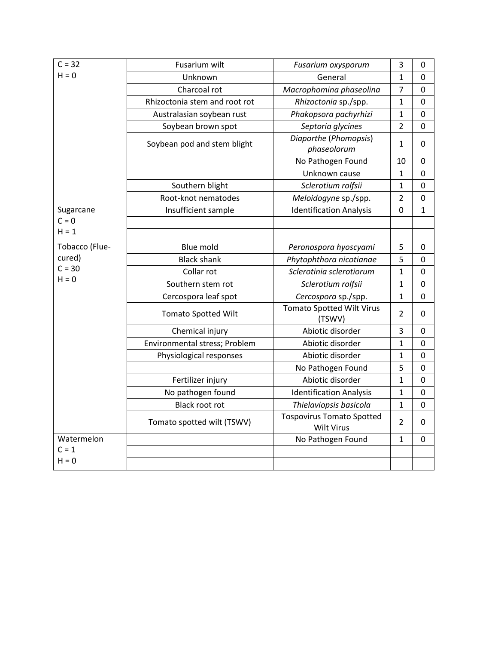| $C = 32$       | Fusarium wilt                 | Fusarium oxysporum                                    | 3              | 0              |
|----------------|-------------------------------|-------------------------------------------------------|----------------|----------------|
| $H = 0$        | Unknown                       | General                                               | 1              | 0              |
|                | Charcoal rot                  | Macrophomina phaseolina                               | $\overline{7}$ | $\Omega$       |
|                | Rhizoctonia stem and root rot | Rhizoctonia sp./spp.                                  | 1              | $\mathbf 0$    |
|                | Australasian soybean rust     | Phakopsora pachyrhizi                                 | $\mathbf{1}$   | 0              |
|                | Soybean brown spot            | Septoria glycines                                     | $\overline{2}$ | $\mathbf 0$    |
|                | Soybean pod and stem blight   | Diaporthe (Phomopsis)<br>phaseolorum                  | $\mathbf{1}$   | $\Omega$       |
|                |                               | No Pathogen Found                                     | 10             | $\overline{0}$ |
|                |                               | Unknown cause                                         | 1              | $\mathbf 0$    |
|                | Southern blight               | Sclerotium rolfsii                                    | 1              | 0              |
|                | Root-knot nematodes           | Meloidogyne sp./spp.                                  | $\overline{2}$ | $\mathbf 0$    |
| Sugarcane      | Insufficient sample           | <b>Identification Analysis</b>                        | 0              | 1              |
| $C = 0$        |                               |                                                       |                |                |
| $H = 1$        |                               |                                                       |                |                |
| Tobacco (Flue- | <b>Blue mold</b>              | Peronospora hyoscyami                                 | 5              | 0              |
| cured)         | <b>Black shank</b>            | Phytophthora nicotianae                               | 5              | $\Omega$       |
| $C = 30$       | Collar rot                    | Sclerotinia sclerotiorum                              | 1              | 0              |
| $H = 0$        | Southern stem rot             | Sclerotium rolfsii                                    | 1              | 0              |
|                | Cercospora leaf spot          | Cercospora sp./spp.                                   | $\mathbf 1$    | $\pmb{0}$      |
|                | <b>Tomato Spotted Wilt</b>    | <b>Tomato Spotted Wilt Virus</b><br>(TSWV)            | 2              | 0              |
|                | Chemical injury               | Abiotic disorder                                      | 3              | 0              |
|                | Environmental stress; Problem | Abiotic disorder                                      | 1              | $\Omega$       |
|                | Physiological responses       | Abiotic disorder                                      | $\mathbf 1$    | 0              |
|                |                               | No Pathogen Found                                     | 5              | 0              |
|                | Fertilizer injury             | Abiotic disorder                                      | $\mathbf{1}$   | $\overline{0}$ |
|                | No pathogen found             | <b>Identification Analysis</b>                        | $\mathbf{1}$   | 0              |
|                | <b>Black root rot</b>         | Thielaviopsis basicola                                | 1              | 0              |
|                | Tomato spotted wilt (TSWV)    | <b>Tospovirus Tomato Spotted</b><br><b>Wilt Virus</b> | $\overline{2}$ | 0              |
| Watermelon     |                               | No Pathogen Found                                     | $\mathbf{1}$   | $\Omega$       |
| $C = 1$        |                               |                                                       |                |                |
| $H = 0$        |                               |                                                       |                |                |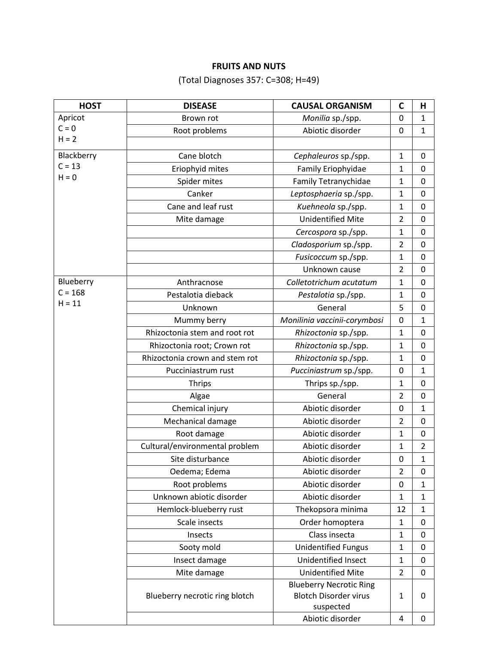## **FRUITS AND NUTS**

(Total Diagnoses 357: C=308; H=49)

| <b>HOST</b> | <b>DISEASE</b>                 | <b>CAUSAL ORGANISM</b>                                                      | C                | н                |
|-------------|--------------------------------|-----------------------------------------------------------------------------|------------------|------------------|
| Apricot     | Brown rot                      | Monilia sp./spp.                                                            | $\mathbf 0$      | $\mathbf{1}$     |
| $C = 0$     | Root problems                  | Abiotic disorder                                                            | 0                | $\mathbf{1}$     |
| $H = 2$     |                                |                                                                             |                  |                  |
| Blackberry  | Cane blotch                    | Cephaleuros sp./spp.                                                        | $\mathbf{1}$     | $\mathbf 0$      |
| $C = 13$    | Eriophyid mites                | Family Eriophyidae                                                          | 1                | $\mathbf 0$      |
| $H = 0$     | Spider mites                   | Family Tetranychidae                                                        | 1                | $\mathbf 0$      |
|             | Canker                         | Leptosphaeria sp./spp.                                                      | 1                | $\mathbf 0$      |
|             | Cane and leaf rust             | Kuehneola sp./spp.                                                          | 1                | $\mathbf 0$      |
|             | Mite damage                    | <b>Unidentified Mite</b>                                                    | $\overline{2}$   | $\mathbf 0$      |
|             |                                | Cercospora sp./spp.                                                         | $\mathbf 1$      | $\mathbf 0$      |
|             |                                | Cladosporium sp./spp.                                                       | $\overline{2}$   | $\mathbf 0$      |
|             |                                | Fusicoccum sp./spp.                                                         | 1                | $\mathbf 0$      |
|             |                                | Unknown cause                                                               | $\overline{2}$   | $\mathbf 0$      |
| Blueberry   | Anthracnose                    | Colletotrichum acutatum                                                     | 1                | $\mathbf 0$      |
| $C = 168$   | Pestalotia dieback             | Pestalotia sp./spp.                                                         | 1                | $\boldsymbol{0}$ |
| $H = 11$    | Unknown                        | General                                                                     | 5                | $\boldsymbol{0}$ |
|             | Mummy berry                    | Monilinia vaccinii-corymbosi                                                | 0                | 1                |
|             | Rhizoctonia stem and root rot  | Rhizoctonia sp./spp.                                                        | 1                | 0                |
|             | Rhizoctonia root; Crown rot    | Rhizoctonia sp./spp.                                                        | 1                | $\mathbf 0$      |
|             | Rhizoctonia crown and stem rot | Rhizoctonia sp./spp.                                                        | 1                | $\mathbf 0$      |
|             | Pucciniastrum rust             | Pucciniastrum sp./spp.                                                      | 0                | 1                |
|             | <b>Thrips</b>                  | Thrips sp./spp.                                                             | 1                | $\pmb{0}$        |
|             | Algae                          | General                                                                     | $\overline{2}$   | $\mathbf 0$      |
|             | Chemical injury                | Abiotic disorder                                                            | 0                | 1                |
|             | Mechanical damage              | Abiotic disorder                                                            | $\overline{2}$   | $\mathbf 0$      |
|             | Root damage                    | Abiotic disorder                                                            | 1                | $\mathbf 0$      |
|             | Cultural/environmental problem | Abiotic disorder                                                            | 1                | $\overline{2}$   |
|             | Site disturbance               | Abiotic disorder                                                            | $\boldsymbol{0}$ | $\mathbf 1$      |
|             | Oedema; Edema                  | Abiotic disorder                                                            | 2                | $\mathbf 0$      |
|             | Root problems                  | Abiotic disorder                                                            | 0                | 1                |
|             | Unknown abiotic disorder       | Abiotic disorder                                                            | 1                | 1                |
|             | Hemlock-blueberry rust         | Thekopsora minima                                                           | 12               | $\mathbf{1}$     |
|             | Scale insects                  | Order homoptera                                                             | $\mathbf{1}$     | 0                |
|             | Insects                        | Class insecta                                                               | 1                | $\boldsymbol{0}$ |
|             | Sooty mold                     | <b>Unidentified Fungus</b>                                                  | 1                | 0                |
|             | Insect damage                  | Unidentified Insect                                                         | 1                | 0                |
|             | Mite damage                    | <b>Unidentified Mite</b>                                                    | $\overline{2}$   | $\mathbf 0$      |
|             | Blueberry necrotic ring blotch | <b>Blueberry Necrotic Ring</b><br><b>Blotch Disorder virus</b><br>suspected | 1                | $\mathbf 0$      |
|             |                                | Abiotic disorder                                                            | $\pmb{4}$        | $\mathbf 0$      |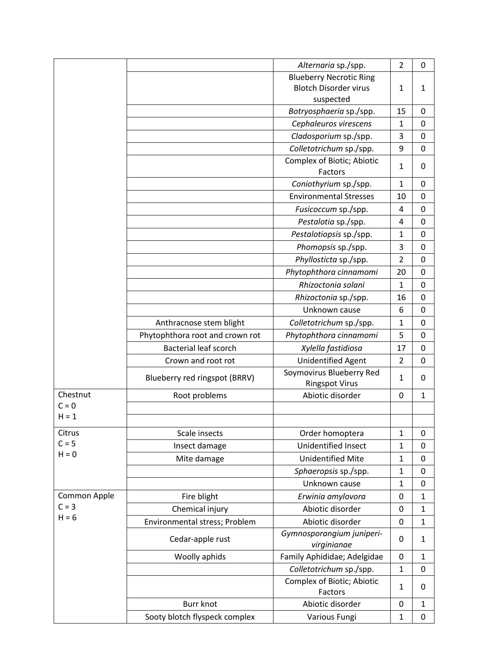|              |                                 | Alternaria sp./spp.                   | $\overline{2}$ | $\mathbf 0$  |
|--------------|---------------------------------|---------------------------------------|----------------|--------------|
|              |                                 | <b>Blueberry Necrotic Ring</b>        |                |              |
|              |                                 | <b>Blotch Disorder virus</b>          | $\mathbf{1}$   | $\mathbf{1}$ |
|              |                                 | suspected                             |                |              |
|              |                                 | Botryosphaeria sp./spp.               | 15             | $\Omega$     |
|              |                                 | Cephaleuros virescens                 | $\mathbf{1}$   | 0            |
|              |                                 | Cladosporium sp./spp.                 | 3              | 0            |
|              |                                 | Colletotrichum sp./spp.               | 9              | $\mathbf 0$  |
|              |                                 | Complex of Biotic; Abiotic            | $\mathbf{1}$   | 0            |
|              |                                 | Factors                               |                |              |
|              |                                 | Coniothyrium sp./spp.                 | 1              | 0            |
|              |                                 | <b>Environmental Stresses</b>         | 10             | 0            |
|              |                                 | Fusicoccum sp./spp.                   | 4              | $\Omega$     |
|              |                                 | Pestalotia sp./spp.                   | 4              | $\mathbf 0$  |
|              |                                 | Pestalotiopsis sp./spp.               | $\mathbf 1$    | 0            |
|              |                                 | Phomopsis sp./spp.                    | 3              | $\mathbf 0$  |
|              |                                 | Phyllosticta sp./spp.                 | $\overline{2}$ | 0            |
|              |                                 | Phytophthora cinnamomi                | 20             | 0            |
|              |                                 | Rhizoctonia solani                    | $\mathbf 1$    | $\mathbf 0$  |
|              |                                 | Rhizoctonia sp./spp.                  | 16             | $\mathbf 0$  |
|              |                                 | Unknown cause                         | 6              | $\mathbf 0$  |
|              | Anthracnose stem blight         | Colletotrichum sp./spp.               | $\mathbf 1$    | 0            |
|              | Phytophthora root and crown rot | Phytophthora cinnamomi                | 5              | $\mathbf 0$  |
|              | <b>Bacterial leaf scorch</b>    | Xylella fastidiosa                    | 17             | 0            |
|              | Crown and root rot              | <b>Unidentified Agent</b>             | $\overline{2}$ | 0            |
|              |                                 | Soymovirus Blueberry Red              | $\mathbf{1}$   |              |
|              | Blueberry red ringspot (BRRV)   | <b>Ringspot Virus</b>                 |                | 0            |
| Chestnut     | Root problems                   | Abiotic disorder                      | 0              | $\mathbf{1}$ |
| $C = 0$      |                                 |                                       |                |              |
| $H = 1$      |                                 |                                       |                |              |
| Citrus       | Scale insects                   | Order homoptera                       | $\mathbf 1$    | 0            |
| $C = 5$      | Insect damage                   | Unidentified Insect                   | $\mathbf 1$    | 0            |
| $H = 0$      | Mite damage                     | <b>Unidentified Mite</b>              | $\mathbf 1$    | 0            |
|              |                                 | Sphaeropsis sp./spp.                  | $\mathbf 1$    | $\mathbf 0$  |
|              |                                 | Unknown cause                         | $\mathbf 1$    | $\mathbf 0$  |
| Common Apple | Fire blight                     | Erwinia amylovora                     | 0              | $\mathbf{1}$ |
| $C = 3$      | Chemical injury                 | Abiotic disorder                      | 0              | $\mathbf{1}$ |
| $H = 6$      | Environmental stress; Problem   | Abiotic disorder                      | 0              | $\mathbf{1}$ |
|              |                                 | Gymnosporangium juniperi-             |                |              |
|              | Cedar-apple rust                | virginianae                           | 0              | 1            |
|              | Woolly aphids                   | Family Aphididae; Adelgidae           | $\mathbf 0$    | $\mathbf{1}$ |
|              |                                 | Colletotrichum sp./spp.               | $\mathbf{1}$   | $\mathbf 0$  |
|              |                                 | Complex of Biotic; Abiotic<br>Factors | $\mathbf{1}$   | 0            |
|              | <b>Burr knot</b>                | Abiotic disorder                      | 0              | $\mathbf{1}$ |
|              | Sooty blotch flyspeck complex   | Various Fungi                         | $\mathbf{1}$   | $\mathbf 0$  |
|              |                                 |                                       |                |              |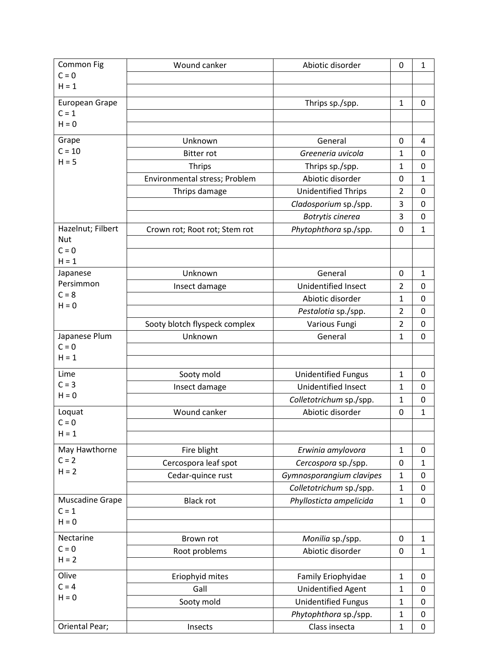| Common Fig            | Wound canker                  | Abiotic disorder           | 0              | 1                |
|-----------------------|-------------------------------|----------------------------|----------------|------------------|
| $C = 0$               |                               |                            |                |                  |
| $H = 1$               |                               |                            |                |                  |
| European Grape        |                               | Thrips sp./spp.            | $\mathbf 1$    | $\Omega$         |
| $C = 1$               |                               |                            |                |                  |
| $H = 0$               |                               |                            |                |                  |
| Grape                 | Unknown                       | General                    | 0              | 4                |
| $C = 10$              | <b>Bitter rot</b>             | Greeneria uvicola          | 1              | 0                |
| $H = 5$               | <b>Thrips</b>                 | Thrips sp./spp.            | 1              | 0                |
|                       | Environmental stress; Problem | Abiotic disorder           | 0              | $\mathbf{1}$     |
|                       | Thrips damage                 | <b>Unidentified Thrips</b> | $\overline{2}$ | $\mathbf 0$      |
|                       |                               | Cladosporium sp./spp.      | 3              | $\mathbf 0$      |
|                       |                               | Botrytis cinerea           | 3              | 0                |
| Hazelnut; Filbert     | Crown rot; Root rot; Stem rot | Phytophthora sp./spp.      | 0              | $\mathbf 1$      |
| <b>Nut</b>            |                               |                            |                |                  |
| $C = 0$               |                               |                            |                |                  |
| $H = 1$               |                               |                            |                |                  |
| Japanese<br>Persimmon | Unknown                       | General                    | $\mathbf 0$    | $\mathbf 1$      |
| $C = 8$               | Insect damage                 | <b>Unidentified Insect</b> | $\overline{2}$ | $\mathbf 0$      |
| $H = 0$               |                               | Abiotic disorder           | $\mathbf{1}$   | 0                |
|                       |                               | Pestalotia sp./spp.        | $\overline{2}$ | $\mathbf 0$      |
|                       | Sooty blotch flyspeck complex | Various Fungi              | $\overline{2}$ | 0                |
| Japanese Plum         | Unknown                       | General                    | $\mathbf{1}$   | $\overline{0}$   |
| $C = 0$<br>$H = 1$    |                               |                            |                |                  |
|                       |                               |                            |                |                  |
| Lime                  | Sooty mold                    | <b>Unidentified Fungus</b> | $\mathbf 1$    | 0                |
| $C = 3$               | Insect damage                 | Unidentified Insect        | 1              | 0                |
| $H = 0$               |                               | Colletotrichum sp./spp.    | $\mathbf{1}$   | $\mathbf 0$      |
| Loquat                | Wound canker                  | Abiotic disorder           | 0              | 1                |
| $C = 0$               |                               |                            |                |                  |
| $H = 1$               |                               |                            |                |                  |
| May Hawthorne         | Fire blight                   | Erwinia amylovora          | $\mathbf 1$    | 0                |
| $C = 2$               | Cercospora leaf spot          | Cercospora sp./spp.        | 0              | $\mathbf{1}$     |
| $H = 2$               | Cedar-quince rust             | Gymnosporangium clavipes   | $\mathbf 1$    | $\mathbf 0$      |
|                       |                               | Colletotrichum sp./spp.    | $\mathbf{1}$   | 0                |
| Muscadine Grape       | <b>Black rot</b>              | Phyllosticta ampelicida    | $\mathbf{1}$   | $\boldsymbol{0}$ |
| $C = 1$               |                               |                            |                |                  |
| $H = 0$               |                               |                            |                |                  |
| Nectarine             | Brown rot                     | Monilia sp./spp.           | $\mathbf 0$    | $\mathbf{1}$     |
| $C = 0$               | Root problems                 | Abiotic disorder           | $\mathbf 0$    | $\mathbf{1}$     |
| $H = 2$               |                               |                            |                |                  |
| Olive                 | Eriophyid mites               | Family Eriophyidae         | $\mathbf 1$    | 0                |
| $C = 4$               | Gall                          | <b>Unidentified Agent</b>  | $\mathbf{1}$   | $\mathbf 0$      |
| $H = 0$               | Sooty mold                    | <b>Unidentified Fungus</b> | $\mathbf 1$    | 0                |
|                       |                               | Phytophthora sp./spp.      | $\mathbf 1$    | $\mathbf 0$      |
| Oriental Pear;        | Insects                       | Class insecta              | $\mathbf{1}$   | 0                |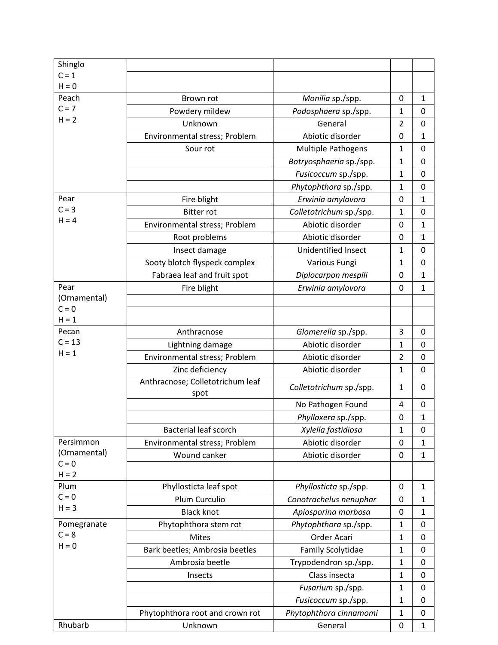| Shinglo                 |                                  |                            |                |              |
|-------------------------|----------------------------------|----------------------------|----------------|--------------|
| $C = 1$                 |                                  |                            |                |              |
| $H = 0$                 |                                  |                            |                |              |
| Peach<br>$C = 7$        | Brown rot                        | Monilia sp./spp.           | 0              | $\mathbf{1}$ |
| $H = 2$                 | Powdery mildew                   | Podosphaera sp./spp.       | 1              | $\mathbf 0$  |
|                         | Unknown                          | General                    | $\overline{2}$ | $\mathbf 0$  |
|                         | Environmental stress; Problem    | Abiotic disorder           | 0              | $\mathbf{1}$ |
|                         | Sour rot                         | <b>Multiple Pathogens</b>  | $\mathbf{1}$   | $\mathbf 0$  |
|                         |                                  | Botryosphaeria sp./spp.    | $\mathbf{1}$   | 0            |
|                         |                                  | Fusicoccum sp./spp.        | $\mathbf{1}$   | 0            |
|                         |                                  | Phytophthora sp./spp.      | $\mathbf{1}$   | 0            |
| Pear                    | Fire blight                      | Erwinia amylovora          | 0              | $\mathbf 1$  |
| $C = 3$                 | <b>Bitter rot</b>                | Colletotrichum sp./spp.    | 1              | 0            |
| $H = 4$                 | Environmental stress; Problem    | Abiotic disorder           | 0              | $\mathbf 1$  |
|                         | Root problems                    | Abiotic disorder           | 0              | $\mathbf{1}$ |
|                         | Insect damage                    | <b>Unidentified Insect</b> | $\mathbf{1}$   | 0            |
|                         | Sooty blotch flyspeck complex    | Various Fungi              | 1              | $\mathbf 0$  |
|                         | Fabraea leaf and fruit spot      | Diplocarpon mespili        | 0              | $\mathbf{1}$ |
| Pear                    | Fire blight                      | Erwinia amylovora          | 0              | $\mathbf 1$  |
| (Ornamental)            |                                  |                            |                |              |
| $C = 0$<br>$H = 1$      |                                  |                            |                |              |
| Pecan                   | Anthracnose                      | Glomerella sp./spp.        | 3              | 0            |
| $C = 13$                | Lightning damage                 | Abiotic disorder           | $\mathbf{1}$   | $\mathbf 0$  |
| $H = 1$                 | Environmental stress; Problem    | Abiotic disorder           | $\overline{2}$ | $\mathbf 0$  |
|                         | Zinc deficiency                  | Abiotic disorder           | $\mathbf{1}$   | $\mathbf 0$  |
|                         | Anthracnose; Colletotrichum leaf |                            |                |              |
|                         | spot                             | Colletotrichum sp./spp.    | 1              | 0            |
|                         |                                  | No Pathogen Found          | 4              | 0            |
|                         |                                  | Phylloxera sp./spp.        | 0              | $\mathbf{1}$ |
|                         | <b>Bacterial leaf scorch</b>     | Xylella fastidiosa         | 1              | 0            |
| Persimmon               | Environmental stress; Problem    | Abiotic disorder           | 0              | $\mathbf{1}$ |
| (Ornamental)<br>$C = 0$ | Wound canker                     | Abiotic disorder           | 0              | $\mathbf{1}$ |
| $H = 2$                 |                                  |                            |                |              |
| Plum                    | Phyllosticta leaf spot           | Phyllosticta sp./spp.      | 0              | $\mathbf{1}$ |
| $C = 0$                 | Plum Curculio                    | Conotrachelus nenuphar     | 0              | $\mathbf{1}$ |
| $H = 3$                 | <b>Black knot</b>                | Apiosporina morbosa        | 0              | $\mathbf{1}$ |
| Pomegranate             | Phytophthora stem rot            | Phytophthora sp./spp.      | 1              | $\mathbf 0$  |
| $C = 8$                 | <b>Mites</b>                     | Order Acari                | $\mathbf{1}$   | 0            |
| $H = 0$                 | Bark beetles; Ambrosia beetles   | <b>Family Scolytidae</b>   | $\mathbf{1}$   | $\mathbf 0$  |
|                         | Ambrosia beetle                  | Trypodendron sp./spp.      | $\mathbf{1}$   | $\mathbf 0$  |
|                         | Insects                          | Class insecta              | $\mathbf{1}$   | 0            |
|                         |                                  | Fusarium sp./spp.          | $\mathbf{1}$   | $\mathbf 0$  |
|                         |                                  | Fusicoccum sp./spp.        | $\mathbf{1}$   | 0            |
|                         | Phytophthora root and crown rot  | Phytophthora cinnamomi     | $\mathbf{1}$   | $\mathbf 0$  |
| Rhubarb                 | Unknown                          | General                    | 0              | $\mathbf{1}$ |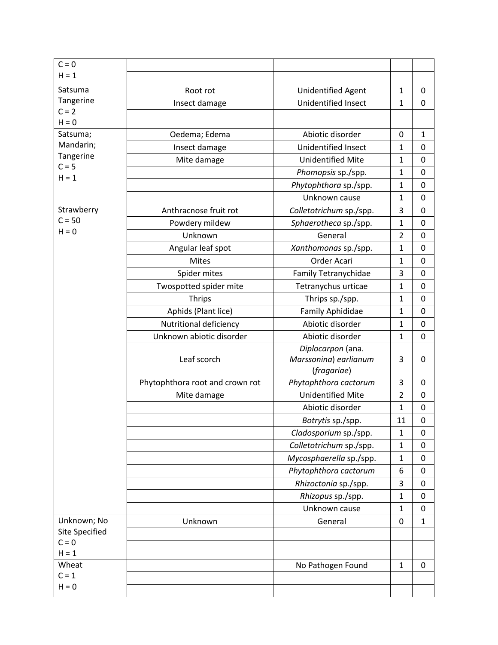| $C = 0$                   |                                 |                             |                |                  |
|---------------------------|---------------------------------|-----------------------------|----------------|------------------|
| $H = 1$                   |                                 |                             |                |                  |
| Satsuma                   | Root rot                        | Unidentified Agent          | $\mathbf{1}$   | $\mathbf 0$      |
| Tangerine                 | Insect damage                   | Unidentified Insect         | $\mathbf{1}$   | $\mathbf 0$      |
| $C = 2$                   |                                 |                             |                |                  |
| $H = 0$                   |                                 |                             |                |                  |
| Satsuma;<br>Mandarin;     | Oedema; Edema                   | Abiotic disorder            | $\mathbf 0$    | $\mathbf{1}$     |
| Tangerine                 | Insect damage                   | Unidentified Insect         | 1              | 0                |
| $C = 5$                   | Mite damage                     | <b>Unidentified Mite</b>    | 1              | $\mathbf 0$      |
| $H = 1$                   |                                 | Phomopsis sp./spp.          | $\mathbf{1}$   | 0                |
|                           |                                 | Phytophthora sp./spp.       | $\mathbf{1}$   | $\mathbf 0$      |
|                           |                                 | Unknown cause               | $\mathbf{1}$   | $\mathbf 0$      |
| Strawberry                | Anthracnose fruit rot           | Colletotrichum sp./spp.     | 3              | 0                |
| $C = 50$<br>$H = 0$       | Powdery mildew                  | Sphaerotheca sp./spp.       | $\mathbf{1}$   | $\mathbf 0$      |
|                           | Unknown                         | General                     | $\overline{2}$ | $\mathbf 0$      |
|                           | Angular leaf spot               | Xanthomonas sp./spp.        | $\mathbf{1}$   | $\mathbf 0$      |
|                           | <b>Mites</b>                    | Order Acari                 | $\mathbf{1}$   | $\mathbf 0$      |
|                           | Spider mites                    | <b>Family Tetranychidae</b> | 3              | 0                |
|                           | Twospotted spider mite          | Tetranychus urticae         | $\mathbf{1}$   | $\mathbf 0$      |
|                           | <b>Thrips</b>                   | Thrips sp./spp.             | $\mathbf{1}$   | 0                |
|                           | Aphids (Plant lice)             | <b>Family Aphididae</b>     | $\mathbf{1}$   | $\mathbf 0$      |
|                           | Nutritional deficiency          | Abiotic disorder            | $\mathbf{1}$   | $\mathbf 0$      |
|                           | Unknown abiotic disorder        | Abiotic disorder            | $\mathbf{1}$   | $\mathbf 0$      |
|                           |                                 | Diplocarpon (ana.           |                |                  |
|                           | Leaf scorch                     | Marssonina) earlianum       | 3              | 0                |
|                           |                                 | (fragariae)                 |                |                  |
|                           | Phytophthora root and crown rot | Phytophthora cactorum       | 3              | 0                |
|                           | Mite damage                     | <b>Unidentified Mite</b>    | $\overline{2}$ | $\mathbf 0$      |
|                           |                                 | Abiotic disorder            | 1              | 0                |
|                           |                                 | Botrytis sp./spp.           | 11             | 0                |
|                           |                                 | Cladosporium sp./spp.       | $\mathbf{1}$   | 0                |
|                           |                                 | Colletotrichum sp./spp.     | $\mathbf{1}$   | 0                |
|                           |                                 | Mycosphaerella sp./spp.     | $\mathbf{1}$   | $\boldsymbol{0}$ |
|                           |                                 | Phytophthora cactorum       | 6              | $\mathbf 0$      |
|                           |                                 | Rhizoctonia sp./spp.        | 3              | 0                |
|                           |                                 | Rhizopus sp./spp.           | $\mathbf{1}$   | $\mathbf 0$      |
|                           |                                 | Unknown cause               | $\mathbf{1}$   | $\mathbf 0$      |
| Unknown; No               | Unknown                         | General                     | 0              | $\mathbf{1}$     |
| Site Specified<br>$C = 0$ |                                 |                             |                |                  |
| $H = 1$                   |                                 |                             |                |                  |
| Wheat                     |                                 | No Pathogen Found           | $\mathbf{1}$   | $\mathbf 0$      |
| $C = 1$                   |                                 |                             |                |                  |
| $H = 0$                   |                                 |                             |                |                  |
|                           |                                 |                             |                |                  |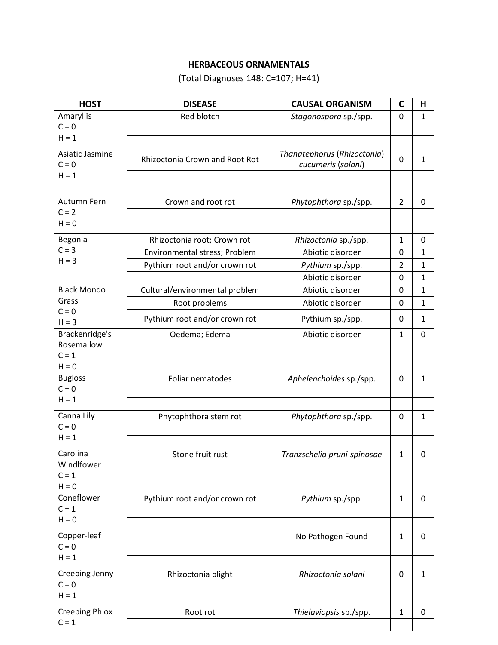## **HERBACEOUS ORNAMENTALS**

(Total Diagnoses 148: C=107; H=41)

| <b>HOST</b>            | <b>DISEASE</b>                        | <b>CAUSAL ORGANISM</b>                   | C              | н            |
|------------------------|---------------------------------------|------------------------------------------|----------------|--------------|
| Amaryllis              | Red blotch                            | Stagonospora sp./spp.                    | 0              | 1            |
| $C = 0$                |                                       |                                          |                |              |
| $H = 1$                |                                       |                                          |                |              |
| Asiatic Jasmine        | <b>Rhizoctonia Crown and Root Rot</b> | Thanatephorus (Rhizoctonia)              | 0              | $\mathbf{1}$ |
| $C = 0$                |                                       | cucumeris (solani)                       |                |              |
| $H = 1$                |                                       |                                          |                |              |
|                        |                                       |                                          |                |              |
| Autumn Fern<br>$C = 2$ | Crown and root rot                    | Phytophthora sp./spp.                    | $\overline{2}$ | $\mathbf 0$  |
| $H = 0$                |                                       |                                          |                |              |
|                        |                                       |                                          |                |              |
| Begonia<br>$C = 3$     | Rhizoctonia root; Crown rot           | Rhizoctonia sp./spp.<br>Abiotic disorder | 1              | $\mathbf 0$  |
| $H = 3$                | Environmental stress; Problem         |                                          | 0              | 1            |
|                        | Pythium root and/or crown rot         | Pythium sp./spp.<br>Abiotic disorder     | 2<br>0         | 1            |
| <b>Black Mondo</b>     |                                       | Abiotic disorder                         |                | 1            |
| Grass                  | Cultural/environmental problem        |                                          | 0<br>0         | 1            |
| $C = 0$                | Root problems                         | Abiotic disorder                         |                | 1            |
| $H = 3$                | Pythium root and/or crown rot         | Pythium sp./spp.                         | 0              | $\mathbf{1}$ |
| Brackenridge's         | Oedema; Edema                         | Abiotic disorder                         | 1              | 0            |
| Rosemallow             |                                       |                                          |                |              |
| $C = 1$<br>$H = 0$     |                                       |                                          |                |              |
| <b>Bugloss</b>         | Foliar nematodes                      | Aphelenchoides sp./spp.                  | 0              | 1            |
| $C = 0$                |                                       |                                          |                |              |
| $H = 1$                |                                       |                                          |                |              |
| Canna Lily             | Phytophthora stem rot                 | Phytophthora sp./spp.                    | 0              | 1            |
| $C = 0$                |                                       |                                          |                |              |
| $H = 1$                |                                       |                                          |                |              |
| Carolina               | Stone fruit rust                      | Tranzschelia pruni-spinosae              | 1              | 0            |
| Windlfower             |                                       |                                          |                |              |
| $C = 1$                |                                       |                                          |                |              |
| $H = 0$<br>Coneflower  |                                       |                                          |                |              |
| $C = 1$                | Pythium root and/or crown rot         | Pythium sp./spp.                         | $\mathbf{1}$   | $\mathbf 0$  |
| $H = 0$                |                                       |                                          |                |              |
| Copper-leaf            |                                       | No Pathogen Found                        | $\mathbf{1}$   | 0            |
| $C = 0$                |                                       |                                          |                |              |
| $H = 1$                |                                       |                                          |                |              |
| Creeping Jenny         | Rhizoctonia blight                    | Rhizoctonia solani                       | 0              | 1            |
| $C = 0$                |                                       |                                          |                |              |
| $H = 1$                |                                       |                                          |                |              |
| <b>Creeping Phlox</b>  | Root rot                              | Thielaviopsis sp./spp.                   | 1              | 0            |
| $C = 1$                |                                       |                                          |                |              |
|                        |                                       |                                          |                |              |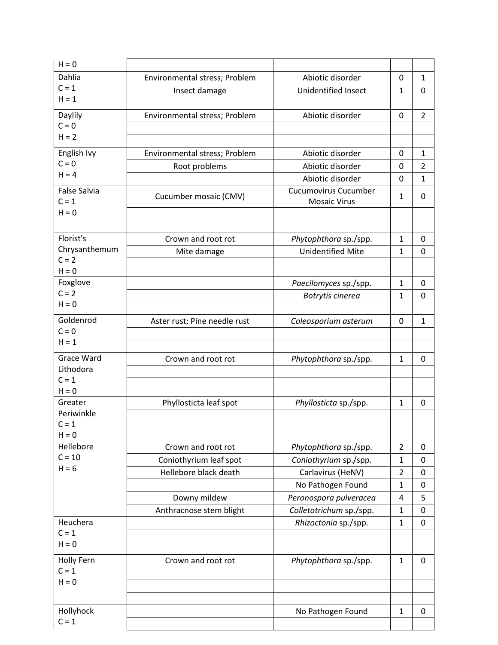| $H = 0$                    |                               |                             |                |                |
|----------------------------|-------------------------------|-----------------------------|----------------|----------------|
| Dahlia                     | Environmental stress; Problem | Abiotic disorder            | 0              | $\mathbf{1}$   |
| $C = 1$                    | Insect damage                 | Unidentified Insect         | 1              | 0              |
| $H = 1$                    |                               |                             |                |                |
| Daylily                    | Environmental stress; Problem | Abiotic disorder            | 0              | $\overline{2}$ |
| $C = 0$                    |                               |                             |                |                |
| $H = 2$                    |                               |                             |                |                |
| English Ivy                | Environmental stress; Problem | Abiotic disorder            | 0              | $\mathbf{1}$   |
| $C = 0$                    | Root problems                 | Abiotic disorder            | 0              | $\overline{2}$ |
| $H = 4$                    |                               | Abiotic disorder            | 0              | $\mathbf 1$    |
| <b>False Salvia</b>        | Cucumber mosaic (CMV)         | <b>Cucumovirus Cucumber</b> | $\mathbf{1}$   | 0              |
| $C = 1$                    |                               | <b>Mosaic Virus</b>         |                |                |
| $H = 0$                    |                               |                             |                |                |
|                            |                               |                             |                |                |
| Florist's<br>Chrysanthemum | Crown and root rot            | Phytophthora sp./spp.       | 1              | 0              |
| $C = 2$                    | Mite damage                   | <b>Unidentified Mite</b>    | $\mathbf{1}$   | 0              |
| $H = 0$                    |                               |                             |                |                |
| Foxglove                   |                               | Paecilomyces sp./spp.       | $\mathbf{1}$   | 0              |
| $C = 2$                    |                               | Botrytis cinerea            | $\mathbf{1}$   | $\mathbf 0$    |
| $H = 0$                    |                               |                             |                |                |
| Goldenrod                  | Aster rust; Pine needle rust  | Coleosporium asterum        | 0              | $\mathbf{1}$   |
| $C = 0$                    |                               |                             |                |                |
| $H = 1$                    |                               |                             |                |                |
| <b>Grace Ward</b>          | Crown and root rot            | Phytophthora sp./spp.       | $\mathbf{1}$   | 0              |
| Lithodora                  |                               |                             |                |                |
| $C = 1$                    |                               |                             |                |                |
| $H = 0$<br>Greater         | Phyllosticta leaf spot        |                             | $\mathbf{1}$   | 0              |
| Periwinkle                 |                               | Phyllosticta sp./spp.       |                |                |
| $C = 1$                    |                               |                             |                |                |
| $H = 0$                    |                               |                             |                |                |
| Hellebore                  | Crown and root rot            | Phytophthora sp./spp.       | $\overline{2}$ | 0              |
| $C = 10$                   | Coniothyrium leaf spot        | Coniothyrium sp./spp.       | 1              | 0              |
| $H = 6$                    | Hellebore black death         | Carlavirus (HeNV)           | $\overline{2}$ | $\mathbf 0$    |
|                            |                               | No Pathogen Found           | $\mathbf{1}$   | 0              |
|                            | Downy mildew                  | Peronospora pulveracea      | 4              | 5              |
|                            | Anthracnose stem blight       | Colletotrichum sp./spp.     | $\mathbf{1}$   | $\mathbf 0$    |
| Heuchera                   |                               | Rhizoctonia sp./spp.        | $\mathbf 1$    | $\mathbf 0$    |
| $C = 1$                    |                               |                             |                |                |
| $H = 0$                    |                               |                             |                |                |
| Holly Fern                 | Crown and root rot            | Phytophthora sp./spp.       | $\mathbf{1}$   | $\mathbf 0$    |
| $C = 1$                    |                               |                             |                |                |
| $H = 0$                    |                               |                             |                |                |
|                            |                               |                             |                |                |
| Hollyhock                  |                               | No Pathogen Found           | $\mathbf{1}$   | $\mathbf 0$    |
| $C = 1$                    |                               |                             |                |                |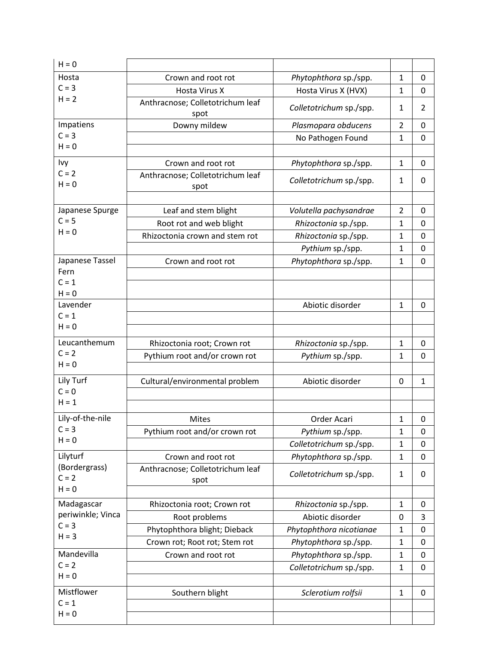| $H = 0$                  |                                          |                         |                |                |
|--------------------------|------------------------------------------|-------------------------|----------------|----------------|
| Hosta                    | Crown and root rot                       | Phytophthora sp./spp.   | $\mathbf{1}$   | 0              |
| $C = 3$                  | <b>Hosta Virus X</b>                     | Hosta Virus X (HVX)     | $\mathbf 1$    | $\mathbf 0$    |
| $H = 2$                  | Anthracnose; Colletotrichum leaf<br>spot | Colletotrichum sp./spp. | $\mathbf{1}$   | $\overline{2}$ |
| Impatiens                | Downy mildew                             | Plasmopara obducens     | $\overline{2}$ | $\mathbf 0$    |
| $C = 3$                  |                                          | No Pathogen Found       | $\mathbf{1}$   | $\mathbf 0$    |
| $H = 0$                  |                                          |                         |                |                |
| Ivy                      | Crown and root rot                       | Phytophthora sp./spp.   | $\mathbf{1}$   | 0              |
| $C = 2$<br>$H = 0$       | Anthracnose; Colletotrichum leaf<br>spot | Colletotrichum sp./spp. | 1              | $\Omega$       |
|                          |                                          |                         |                |                |
| Japanese Spurge          | Leaf and stem blight                     | Volutella pachysandrae  | $\overline{2}$ | 0              |
| $C = 5$                  | Root rot and web blight                  | Rhizoctonia sp./spp.    | 1              | 0              |
| $H = 0$                  | Rhizoctonia crown and stem rot           | Rhizoctonia sp./spp.    | 1              | 0              |
|                          |                                          | Pythium sp./spp.        | $\mathbf{1}$   | $\mathbf 0$    |
| Japanese Tassel<br>Fern  | Crown and root rot                       | Phytophthora sp./spp.   | $\mathbf{1}$   | $\mathbf 0$    |
| $C = 1$                  |                                          |                         |                |                |
| $H = 0$                  |                                          |                         |                |                |
| Lavender                 |                                          | Abiotic disorder        | $\mathbf{1}$   | $\mathbf 0$    |
| $C = 1$                  |                                          |                         |                |                |
| $H = 0$                  |                                          |                         |                |                |
| Leucanthemum             | Rhizoctonia root; Crown rot              | Rhizoctonia sp./spp.    | $\mathbf{1}$   | 0              |
| $C = 2$                  | Pythium root and/or crown rot            | Pythium sp./spp.        | $\mathbf{1}$   | $\mathbf 0$    |
| $H = 0$                  |                                          |                         |                |                |
| Lily Turf                | Cultural/environmental problem           | Abiotic disorder        | $\mathbf 0$    | $\mathbf{1}$   |
| $C = 0$                  |                                          |                         |                |                |
| $H = 1$                  |                                          |                         |                |                |
| Lily-of-the-nile         | <b>Mites</b>                             | Order Acari             | $\mathbf{1}$   | 0              |
| $C = 3$                  | Pythium root and/or crown rot            | Pythium sp./spp.        | $\mathbf 1$    | 0              |
| $H = 0$                  |                                          | Colletotrichum sp./spp. | $\mathbf 1$    | 0              |
| Lilyturf                 | Crown and root rot                       | Phytophthora sp./spp.   | $\mathbf{1}$   | $\mathbf 0$    |
| (Bordergrass)<br>$C = 2$ | Anthracnose; Colletotrichum leaf<br>spot | Colletotrichum sp./spp. | $\mathbf{1}$   | 0              |
| $H = 0$                  |                                          |                         |                |                |
| Madagascar               | Rhizoctonia root; Crown rot              | Rhizoctonia sp./spp.    | $\mathbf{1}$   | 0              |
| periwinkle; Vinca        | Root problems                            | Abiotic disorder        | $\mathbf 0$    | 3              |
| $C = 3$                  | Phytophthora blight; Dieback             | Phytophthora nicotianae | $\mathbf{1}$   | 0              |
| $H = 3$                  | Crown rot; Root rot; Stem rot            | Phytophthora sp./spp.   | $\mathbf{1}$   | 0              |
| Mandevilla               | Crown and root rot                       | Phytophthora sp./spp.   | $\mathbf 1$    | 0              |
| $C = 2$                  |                                          | Colletotrichum sp./spp. | $\mathbf 1$    | 0              |
| $H = 0$                  |                                          |                         |                |                |
| Mistflower               | Southern blight                          | Sclerotium rolfsii      | $\mathbf{1}$   | 0              |
| $C = 1$                  |                                          |                         |                |                |
| $H = 0$                  |                                          |                         |                |                |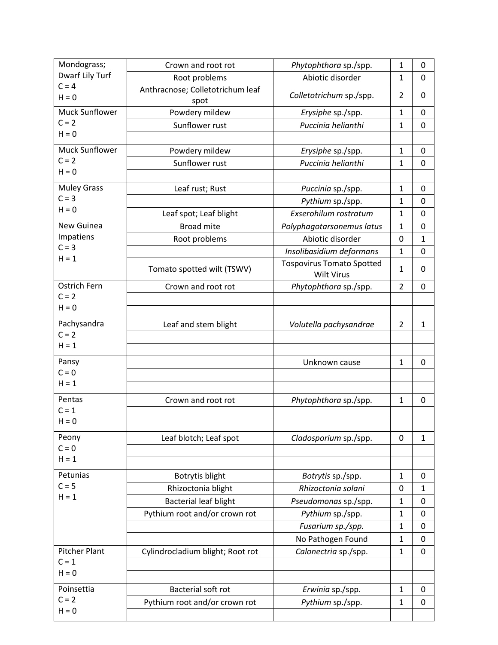| Mondograss;             | Crown and root rot               | Phytophthora sp./spp.            | $\mathbf{1}$   | $\mathbf 0$  |
|-------------------------|----------------------------------|----------------------------------|----------------|--------------|
| Dwarf Lily Turf         | Root problems                    | Abiotic disorder                 | $\mathbf{1}$   | $\mathbf 0$  |
| $C = 4$                 | Anthracnose; Colletotrichum leaf |                                  |                |              |
| $H = 0$                 | spot                             | Colletotrichum sp./spp.          | 2              | 0            |
| <b>Muck Sunflower</b>   | Powdery mildew                   | Erysiphe sp./spp.                | $\mathbf 1$    | 0            |
| $C = 2$                 | Sunflower rust                   | Puccinia helianthi               | $\mathbf{1}$   | $\mathbf 0$  |
| $H = 0$                 |                                  |                                  |                |              |
| <b>Muck Sunflower</b>   | Powdery mildew                   | Erysiphe sp./spp.                | $\mathbf{1}$   | $\mathbf 0$  |
| $C = 2$                 | Sunflower rust                   | Puccinia helianthi               | $\mathbf{1}$   | 0            |
| $H = 0$                 |                                  |                                  |                |              |
| <b>Muley Grass</b>      | Leaf rust; Rust                  | Puccinia sp./spp.                | $\mathbf{1}$   | 0            |
| $C = 3$                 |                                  | Pythium sp./spp.                 | 1              | $\mathbf 0$  |
| $H = 0$                 | Leaf spot; Leaf blight           | Exserohilum rostratum            | $\mathbf{1}$   | $\mathbf 0$  |
| New Guinea              | <b>Broad mite</b>                | Polyphagotarsonemus latus        | $\mathbf{1}$   | $\mathbf 0$  |
| Impatiens               | Root problems                    | Abiotic disorder                 | 0              | $\mathbf{1}$ |
| $C = 3$                 |                                  | Insolibasidium deformans         | $\mathbf{1}$   | $\mathbf 0$  |
| $H = 1$                 | Tomato spotted wilt (TSWV)       | <b>Tospovirus Tomato Spotted</b> | $\mathbf{1}$   | $\Omega$     |
|                         |                                  | <b>Wilt Virus</b>                |                |              |
| Ostrich Fern<br>$C = 2$ | Crown and root rot               | Phytophthora sp./spp.            | $\overline{2}$ | $\mathbf 0$  |
| $H = 0$                 |                                  |                                  |                |              |
|                         |                                  |                                  |                |              |
| Pachysandra             | Leaf and stem blight             | Volutella pachysandrae           | $\overline{2}$ | $\mathbf{1}$ |
| $C = 2$<br>$H = 1$      |                                  |                                  |                |              |
|                         |                                  |                                  |                |              |
| Pansy                   |                                  | Unknown cause                    | $\mathbf 1$    | $\mathbf 0$  |
| $C = 0$                 |                                  |                                  |                |              |
| $H = 1$                 |                                  |                                  |                |              |
| Pentas                  | Crown and root rot               | Phytophthora sp./spp.            | $\mathbf{1}$   | $\mathbf 0$  |
| $C = 1$                 |                                  |                                  |                |              |
| $H = 0$                 |                                  |                                  |                |              |
| Peony                   | Leaf blotch; Leaf spot           | Cladosporium sp./spp.            | $\mathbf 0$    | $\mathbf{1}$ |
| $C = 0$                 |                                  |                                  |                |              |
| $H = 1$                 |                                  |                                  |                |              |
| Petunias                | Botrytis blight                  | Botrytis sp./spp.                | $\mathbf{1}$   | 0            |
| $C = 5$                 | Rhizoctonia blight               | Rhizoctonia solani               | 0              | $\mathbf{1}$ |
| $H = 1$                 | <b>Bacterial leaf blight</b>     | Pseudomonas sp./spp.             | $\mathbf{1}$   | 0            |
|                         | Pythium root and/or crown rot    | Pythium sp./spp.                 | $\mathbf 1$    | 0            |
|                         |                                  | Fusarium sp./spp.                | $\mathbf 1$    | $\mathbf 0$  |
|                         |                                  | No Pathogen Found                | $\mathbf{1}$   | 0            |
| <b>Pitcher Plant</b>    | Cylindrocladium blight; Root rot | Calonectria sp./spp.             | $\mathbf{1}$   | 0            |
| $C = 1$                 |                                  |                                  |                |              |
| $H = 0$                 |                                  |                                  |                |              |
| Poinsettia              | Bacterial soft rot               | Erwinia sp./spp.                 | $\mathbf{1}$   | 0            |
| $C = 2$                 | Pythium root and/or crown rot    | Pythium sp./spp.                 | $\mathbf 1$    | 0            |
| $H = 0$                 |                                  |                                  |                |              |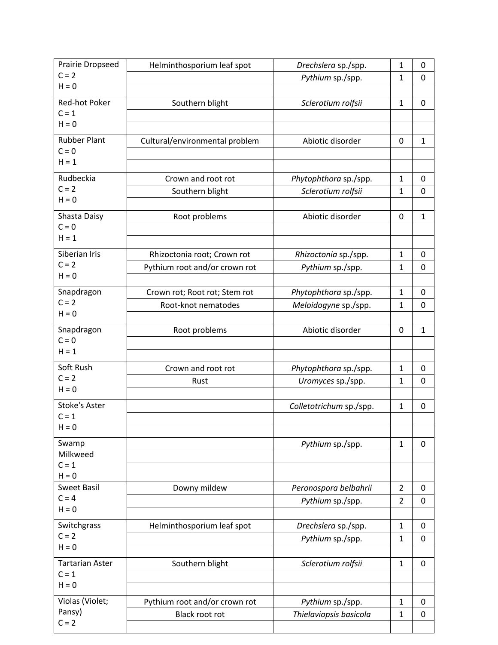| <b>Prairie Dropseed</b> | Helminthosporium leaf spot     | Drechslera sp./spp.     | $\mathbf{1}$   | 0            |
|-------------------------|--------------------------------|-------------------------|----------------|--------------|
| $C = 2$                 |                                | Pythium sp./spp.        | 1              | $\mathbf 0$  |
| $H = 0$                 |                                |                         |                |              |
| Red-hot Poker           | Southern blight                | Sclerotium rolfsii      | $\mathbf{1}$   | $\Omega$     |
| $C = 1$<br>$H = 0$      |                                |                         |                |              |
|                         |                                |                         |                |              |
| <b>Rubber Plant</b>     | Cultural/environmental problem | Abiotic disorder        | $\mathbf 0$    | $\mathbf{1}$ |
| $C = 0$<br>$H = 1$      |                                |                         |                |              |
|                         |                                |                         |                |              |
| Rudbeckia<br>$C = 2$    | Crown and root rot             | Phytophthora sp./spp.   | $\mathbf{1}$   | 0            |
| $H = 0$                 | Southern blight                | Sclerotium rolfsii      | $\mathbf 1$    | $\mathbf 0$  |
|                         |                                |                         |                |              |
| Shasta Daisy<br>$C = 0$ | Root problems                  | Abiotic disorder        | $\mathbf 0$    | $\mathbf{1}$ |
| $H = 1$                 |                                |                         |                |              |
| Siberian Iris           | Rhizoctonia root; Crown rot    | Rhizoctonia sp./spp.    | $\mathbf{1}$   | 0            |
| $C = 2$                 | Pythium root and/or crown rot  | Pythium sp./spp.        | $\mathbf{1}$   | $\mathbf 0$  |
| $H = 0$                 |                                |                         |                |              |
| Snapdragon              | Crown rot; Root rot; Stem rot  | Phytophthora sp./spp.   | $\mathbf{1}$   | 0            |
| $C = 2$                 | Root-knot nematodes            | Meloidogyne sp./spp.    | $\mathbf{1}$   | 0            |
| $H = 0$                 |                                |                         |                |              |
| Snapdragon              | Root problems                  | Abiotic disorder        | 0              | 1            |
| $C = 0$                 |                                |                         |                |              |
| $H = 1$                 |                                |                         |                |              |
| Soft Rush               | Crown and root rot             | Phytophthora sp./spp.   | $\mathbf{1}$   | 0            |
| $C = 2$                 | Rust                           | Uromyces sp./spp.       | 1              | 0            |
| $H = 0$                 |                                |                         |                |              |
| <b>Stoke's Aster</b>    |                                | Colletotrichum sp./spp. | $\mathbf 1$    | 0            |
| $C = 1$                 |                                |                         |                |              |
| $H = 0$                 |                                |                         |                |              |
| Swamp                   |                                | Pythium sp./spp.        | $\mathbf{1}$   | 0            |
| Milkweed<br>$C = 1$     |                                |                         |                |              |
| $H = 0$                 |                                |                         |                |              |
| <b>Sweet Basil</b>      | Downy mildew                   | Peronospora belbahrii   | $\overline{2}$ | 0            |
| $C = 4$                 |                                | Pythium sp./spp.        | $\overline{2}$ | 0            |
| $H = 0$                 |                                |                         |                |              |
| Switchgrass             | Helminthosporium leaf spot     | Drechslera sp./spp.     | $\mathbf{1}$   | 0            |
| $C = 2$                 |                                | Pythium sp./spp.        | $\mathbf 1$    | 0            |
| $H = 0$                 |                                |                         |                |              |
| <b>Tartarian Aster</b>  | Southern blight                | Sclerotium rolfsii      | $\mathbf{1}$   | 0            |
| $C = 1$                 |                                |                         |                |              |
| $H = 0$                 |                                |                         |                |              |
| Violas (Violet;         | Pythium root and/or crown rot  | Pythium sp./spp.        | $\mathbf{1}$   | 0            |
| Pansy)                  | Black root rot                 | Thielaviopsis basicola  | $\mathbf{1}$   | $\mathbf 0$  |
| $C = 2$                 |                                |                         |                |              |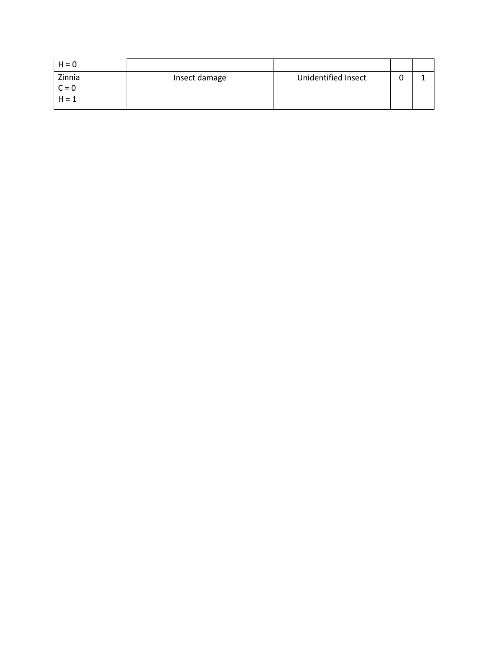| $H = 0$ |               |                     |  |
|---------|---------------|---------------------|--|
| Zinnia  | Insect damage | Unidentified Insect |  |
| $C = 0$ |               |                     |  |
| $H = 1$ |               |                     |  |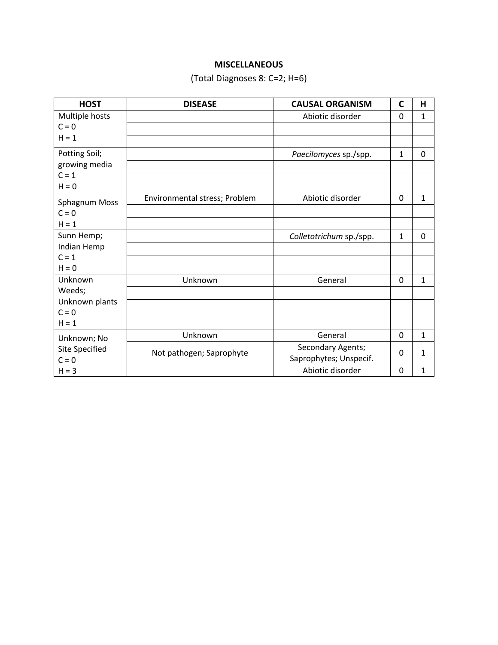## **MISCELLANEOUS**

# (Total Diagnoses 8: C=2; H=6)

| <b>HOST</b>    | <b>DISEASE</b>                | <b>CAUSAL ORGANISM</b>  | $\mathsf{C}$   | H              |
|----------------|-------------------------------|-------------------------|----------------|----------------|
| Multiple hosts |                               | Abiotic disorder        | 0              | $\mathbf{1}$   |
| $C = 0$        |                               |                         |                |                |
| $H = 1$        |                               |                         |                |                |
| Potting Soil;  |                               | Paecilomyces sp./spp.   | $\mathbf{1}$   | $\overline{0}$ |
| growing media  |                               |                         |                |                |
| $C = 1$        |                               |                         |                |                |
| $H = 0$        |                               |                         |                |                |
| Sphagnum Moss  | Environmental stress; Problem | Abiotic disorder        | $\mathbf 0$    | $\mathbf{1}$   |
| $C = 0$        |                               |                         |                |                |
| $H = 1$        |                               |                         |                |                |
| Sunn Hemp;     |                               | Colletotrichum sp./spp. | $\mathbf{1}$   | $\Omega$       |
| Indian Hemp    |                               |                         |                |                |
| $C = 1$        |                               |                         |                |                |
| $H = 0$        |                               |                         |                |                |
| Unknown        | Unknown                       | General                 | $\overline{0}$ | $\mathbf{1}$   |
| Weeds;         |                               |                         |                |                |
| Unknown plants |                               |                         |                |                |
| $C = 0$        |                               |                         |                |                |
| $H = 1$        |                               |                         |                |                |
| Unknown; No    | Unknown                       | General                 | $\overline{0}$ | $\mathbf{1}$   |
| Site Specified | Not pathogen; Saprophyte      | Secondary Agents;       | 0              | 1              |
| $C = 0$        |                               | Saprophytes; Unspecif.  |                |                |
| $H = 3$        |                               | Abiotic disorder        | 0              | 1              |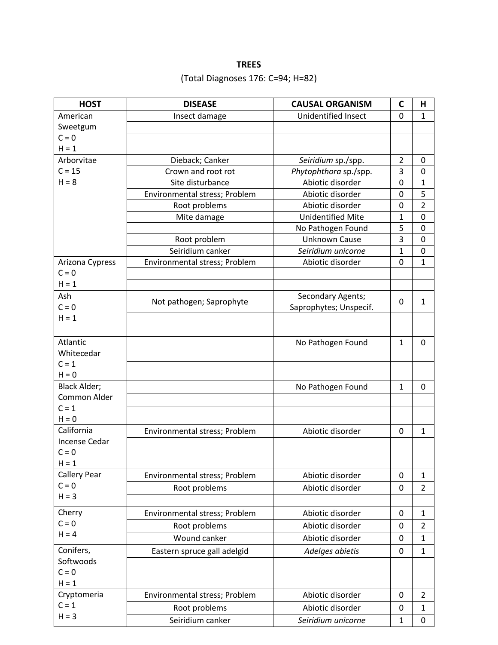## **TREES**

# (Total Diagnoses 176: C=94; H=82)

| <b>HOST</b>           | <b>DISEASE</b>                | <b>CAUSAL ORGANISM</b>     | C                | Н              |
|-----------------------|-------------------------------|----------------------------|------------------|----------------|
| American              | Insect damage                 | <b>Unidentified Insect</b> | 0                | 1              |
| Sweetgum              |                               |                            |                  |                |
| $C = 0$               |                               |                            |                  |                |
| $H = 1$               |                               |                            |                  |                |
| Arborvitae            | Dieback; Canker               | Seiridium sp./spp.         | $\overline{2}$   | 0              |
| $C = 15$              | Crown and root rot            | Phytophthora sp./spp.      | 3                | $\mathbf 0$    |
| $H = 8$               | Site disturbance              | Abiotic disorder           | 0                | $\mathbf 1$    |
|                       | Environmental stress; Problem | Abiotic disorder           | 0                | 5              |
|                       | Root problems                 | Abiotic disorder           | 0                | $\overline{2}$ |
|                       | Mite damage                   | <b>Unidentified Mite</b>   | 1                | $\mathbf 0$    |
|                       |                               | No Pathogen Found          | 5                | $\mathbf 0$    |
|                       | Root problem                  | <b>Unknown Cause</b>       | 3                | $\mathbf 0$    |
|                       | Seiridium canker              | Seiridium unicorne         | 1                | $\mathbf 0$    |
| Arizona Cypress       | Environmental stress; Problem | Abiotic disorder           | 0                | 1              |
| $C = 0$               |                               |                            |                  |                |
| $H = 1$               |                               |                            |                  |                |
| Ash                   | Not pathogen; Saprophyte      | Secondary Agents;          | 0                | 1              |
| $C = 0$               |                               | Saprophytes; Unspecif.     |                  |                |
| $H = 1$               |                               |                            |                  |                |
|                       |                               |                            |                  |                |
| Atlantic              |                               | No Pathogen Found          | 1                | 0              |
| Whitecedar            |                               |                            |                  |                |
| $C = 1$               |                               |                            |                  |                |
| $H = 0$               |                               |                            |                  |                |
| <b>Black Alder;</b>   |                               | No Pathogen Found          | $\mathbf{1}$     | 0              |
| <b>Common Alder</b>   |                               |                            |                  |                |
| $C = 1$               |                               |                            |                  |                |
| $H = 0$<br>California |                               |                            |                  |                |
| Incense Cedar         | Environmental stress; Problem | Abiotic disorder           | 0                | 1              |
| $C = 0$               |                               |                            |                  |                |
| $H = 1$               |                               |                            |                  |                |
| <b>Callery Pear</b>   | Environmental stress; Problem | Abiotic disorder           | 0                | 1              |
| $C = 0$               | Root problems                 | Abiotic disorder           | 0                | $\overline{2}$ |
| $H = 3$               |                               |                            |                  |                |
|                       |                               |                            |                  |                |
| Cherry                | Environmental stress; Problem | Abiotic disorder           | 0                | $\mathbf{1}$   |
| $C = 0$               | Root problems                 | Abiotic disorder           | 0                | $\overline{2}$ |
| $H = 4$               | Wound canker                  | Abiotic disorder           | 0                | 1              |
| Conifers,             | Eastern spruce gall adelgid   | Adelges abietis            | $\boldsymbol{0}$ | 1              |
| Softwoods             |                               |                            |                  |                |
| $C = 0$               |                               |                            |                  |                |
| $H = 1$               |                               |                            |                  |                |
| Cryptomeria           | Environmental stress; Problem | Abiotic disorder           | $\mathbf 0$      | $\overline{2}$ |
| $C = 1$               | Root problems                 | Abiotic disorder           | 0                | $\mathbf{1}$   |
| $H = 3$               | Seiridium canker              | Seiridium unicorne         | $\mathbf{1}$     | $\pmb{0}$      |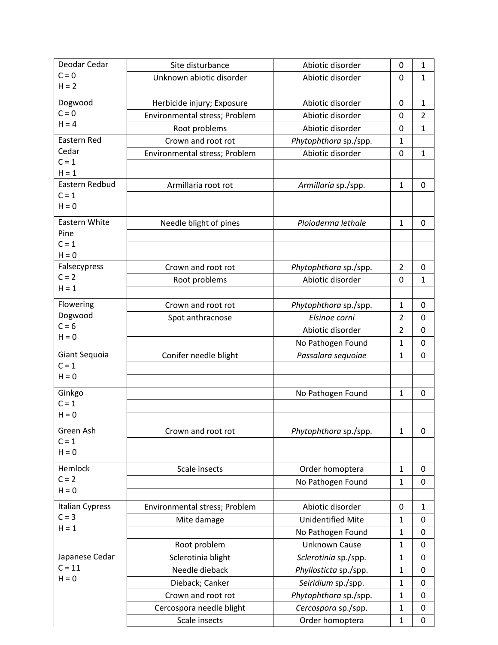| Deodar Cedar         | Site disturbance              | Abiotic disorder         | 0              | $\mathbf{1}$   |
|----------------------|-------------------------------|--------------------------|----------------|----------------|
| $C = 0$              | Unknown abiotic disorder      | Abiotic disorder         | 0              | $\mathbf{1}$   |
| $H = 2$              |                               |                          |                |                |
| Dogwood              | Herbicide injury; Exposure    | Abiotic disorder         | 0              | $\mathbf{1}$   |
| $C = 0$              | Environmental stress; Problem | Abiotic disorder         | 0              | $\overline{2}$ |
| $H = 4$              | Root problems                 | Abiotic disorder         | 0              | $\mathbf{1}$   |
| Eastern Red          | Crown and root rot            | Phytophthora sp./spp.    | $\mathbf 1$    |                |
| Cedar                | Environmental stress; Problem | Abiotic disorder         | 0              | 1              |
| $C = 1$              |                               |                          |                |                |
| $H = 1$              |                               |                          |                |                |
| Eastern Redbud       | Armillaria root rot           | Armillaria sp./spp.      | $\mathbf{1}$   | 0              |
| $C = 1$<br>$H = 0$   |                               |                          |                |                |
|                      |                               |                          |                |                |
| Eastern White        | Needle blight of pines        | Ploioderma lethale       | $\mathbf{1}$   | $\mathbf 0$    |
| Pine<br>$C = 1$      |                               |                          |                |                |
| $H = 0$              |                               |                          |                |                |
| Falsecypress         | Crown and root rot            | Phytophthora sp./spp.    | $\overline{2}$ | 0              |
| $C = 2$              | Root problems                 | Abiotic disorder         | 0              | $\mathbf{1}$   |
| $H = 1$              |                               |                          |                |                |
| Flowering            | Crown and root rot            | Phytophthora sp./spp.    | $\mathbf{1}$   | 0              |
| Dogwood              | Spot anthracnose              | Elsinoe corni            | $\overline{2}$ | $\mathbf 0$    |
| $C = 6$              |                               | Abiotic disorder         | $\overline{2}$ |                |
| $H = 0$              |                               |                          |                | 0              |
| Giant Sequoia        |                               | No Pathogen Found        | $\mathbf{1}$   | 0              |
| $C = 1$              | Conifer needle blight         | Passalora sequoiae       | $\mathbf{1}$   | $\mathbf 0$    |
| $H = 0$              |                               |                          |                |                |
|                      |                               |                          |                |                |
| Ginkgo<br>$C = 1$    |                               | No Pathogen Found        | $\mathbf{1}$   | 0              |
| $H = 0$              |                               |                          |                |                |
|                      |                               |                          |                |                |
| Green Ash<br>$C = 1$ | Crown and root rot            | Phytophthora sp./spp.    | $\mathbf{1}$   | $\mathbf 0$    |
| $H = 0$              |                               |                          |                |                |
|                      |                               |                          |                |                |
| Hemlock<br>$C = 2$   | Scale insects                 | Order homoptera          | $\mathbf{1}$   | $\mathbf 0$    |
| $H = 0$              |                               | No Pathogen Found        | $\mathbf{1}$   | $\mathbf 0$    |
|                      |                               |                          |                |                |
| Italian Cypress      | Environmental stress; Problem | Abiotic disorder         | $\mathbf 0$    | $\mathbf{1}$   |
| $C = 3$<br>$H = 1$   | Mite damage                   | <b>Unidentified Mite</b> | $\mathbf{1}$   | 0              |
|                      |                               | No Pathogen Found        | $\mathbf{1}$   | 0              |
|                      | Root problem                  | <b>Unknown Cause</b>     | $\mathbf{1}$   | 0              |
| Japanese Cedar       | Sclerotinia blight            | Sclerotinia sp./spp.     | $\mathbf{1}$   | 0              |
| $C = 11$             | Needle dieback                | Phyllosticta sp./spp.    | $\mathbf{1}$   | 0              |
| $H = 0$              | Dieback; Canker               | Seiridium sp./spp.       | $\mathbf 1$    | 0              |
|                      | Crown and root rot            | Phytophthora sp./spp.    | $\mathbf{1}$   | $\mathbf 0$    |
|                      | Cercospora needle blight      | Cercospora sp./spp.      | 1              | 0              |
|                      | Scale insects                 | Order homoptera          | $\mathbf 1$    | $\pmb{0}$      |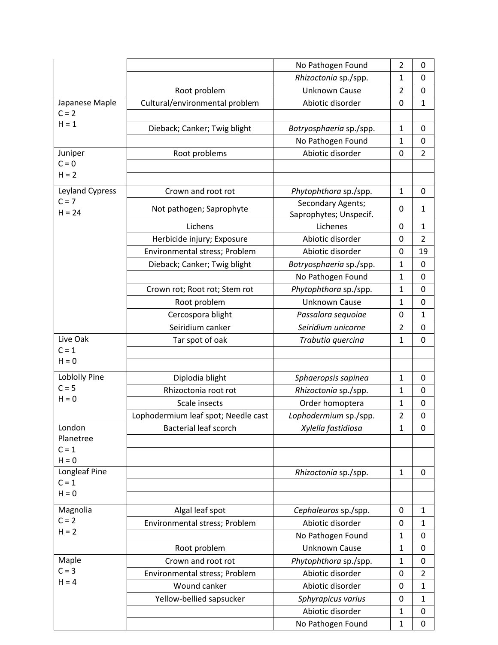|                      |                                     | No Pathogen Found                           | $\overline{2}$ | 0              |
|----------------------|-------------------------------------|---------------------------------------------|----------------|----------------|
|                      |                                     | Rhizoctonia sp./spp.                        | $\mathbf{1}$   | $\Omega$       |
|                      | Root problem                        | <b>Unknown Cause</b>                        | $\overline{2}$ | 0              |
| Japanese Maple       | Cultural/environmental problem      | Abiotic disorder                            | 0              | $\mathbf{1}$   |
| $C = 2$              |                                     |                                             |                |                |
| $H = 1$              | Dieback; Canker; Twig blight        | Botryosphaeria sp./spp.                     | $\mathbf{1}$   | 0              |
|                      |                                     | No Pathogen Found                           | $\mathbf{1}$   | $\mathbf 0$    |
| Juniper              | Root problems                       | Abiotic disorder                            | 0              | $\overline{2}$ |
| $C = 0$              |                                     |                                             |                |                |
| $H = 2$              |                                     |                                             |                |                |
| Leyland Cypress      | Crown and root rot                  | Phytophthora sp./spp.                       | $\mathbf{1}$   | 0              |
| $C = 7$<br>$H = 24$  | Not pathogen; Saprophyte            | Secondary Agents;<br>Saprophytes; Unspecif. | 0              | $\mathbf{1}$   |
|                      | Lichens                             | Lichenes                                    | 0              | $\mathbf{1}$   |
|                      | Herbicide injury; Exposure          | Abiotic disorder                            | $\mathbf 0$    | $\overline{2}$ |
|                      | Environmental stress; Problem       | Abiotic disorder                            | 0              | 19             |
|                      | Dieback; Canker; Twig blight        | Botryosphaeria sp./spp.                     | $\mathbf{1}$   | 0              |
|                      |                                     | No Pathogen Found                           | $\mathbf 1$    | $\mathbf 0$    |
|                      | Crown rot; Root rot; Stem rot       | Phytophthora sp./spp.                       | $\mathbf{1}$   | 0              |
|                      | Root problem                        | <b>Unknown Cause</b>                        | 1              | 0              |
|                      | Cercospora blight                   | Passalora sequoiae                          | 0              | $\mathbf{1}$   |
|                      | Seiridium canker                    | Seiridium unicorne                          | $\overline{2}$ | $\Omega$       |
| Live Oak             | Tar spot of oak                     | Trabutia quercina                           | $\mathbf{1}$   | $\mathbf 0$    |
| $C = 1$              |                                     |                                             |                |                |
| $H = 0$              |                                     |                                             |                |                |
| <b>Loblolly Pine</b> | Diplodia blight                     | Sphaeropsis sapinea                         | $\mathbf{1}$   | 0              |
| $C = 5$              | Rhizoctonia root rot                | Rhizoctonia sp./spp.                        | 1              | $\mathbf 0$    |
| $H = 0$              | Scale insects                       | Order homoptera                             | $\mathbf{1}$   | 0              |
|                      | Lophodermium leaf spot; Needle cast | Lophodermium sp./spp.                       | $\overline{2}$ | 0              |
| London               | <b>Bacterial leaf scorch</b>        | Xylella fastidiosa                          | $\mathbf 1$    | 0              |
| Planetree            |                                     |                                             |                |                |
| $C = 1$              |                                     |                                             |                |                |
| $H = 0$              |                                     |                                             |                |                |
| Longleaf Pine        |                                     | Rhizoctonia sp./spp.                        | $\mathbf{1}$   | 0              |
| $C = 1$              |                                     |                                             |                |                |
| $H = 0$              |                                     |                                             |                |                |
| Magnolia             | Algal leaf spot                     | Cephaleuros sp./spp.                        | 0              | 1              |
| $C = 2$              | Environmental stress; Problem       | Abiotic disorder                            | 0              | $\mathbf{1}$   |
| $H = 2$              |                                     | No Pathogen Found                           | $\mathbf 1$    | $\mathbf 0$    |
|                      | Root problem                        | <b>Unknown Cause</b>                        | 1              | 0              |
| Maple                | Crown and root rot                  | Phytophthora sp./spp.                       | 1              | 0              |
| $C = 3$              | Environmental stress; Problem       | Abiotic disorder                            | 0              | $\overline{2}$ |
| $H = 4$              | Wound canker                        | Abiotic disorder                            | 0              | $\mathbf{1}$   |
|                      | Yellow-bellied sapsucker            | Sphyrapicus varius                          | 0              | $\mathbf{1}$   |
|                      |                                     | Abiotic disorder                            | 1              | 0              |
|                      |                                     | No Pathogen Found                           | $\mathbf{1}$   | $\mathbf 0$    |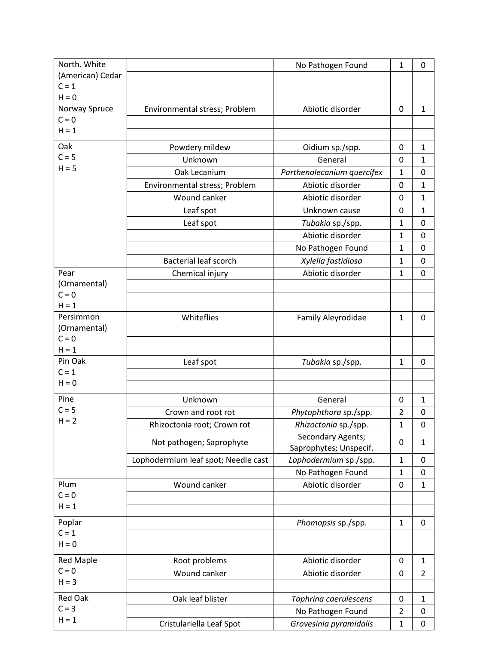| North. White             |                                     | No Pathogen Found          | $\mathbf{1}$   | $\mathbf 0$    |
|--------------------------|-------------------------------------|----------------------------|----------------|----------------|
| (American) Cedar         |                                     |                            |                |                |
| $C = 1$                  |                                     |                            |                |                |
| $H = 0$                  |                                     |                            |                |                |
| Norway Spruce<br>$C = 0$ | Environmental stress; Problem       | Abiotic disorder           | $\mathbf 0$    | $\mathbf{1}$   |
| $H = 1$                  |                                     |                            |                |                |
|                          |                                     |                            |                |                |
| Oak                      | Powdery mildew                      | Oidium sp./spp.            | 0              | $\mathbf{1}$   |
| $C = 5$<br>$H = 5$       | Unknown                             | General                    | 0              | $\mathbf 1$    |
|                          | Oak Lecanium                        | Parthenolecanium quercifex | $\mathbf{1}$   | 0              |
|                          | Environmental stress; Problem       | Abiotic disorder           | 0              | $\mathbf 1$    |
|                          | Wound canker                        | Abiotic disorder           | 0              | $\mathbf 1$    |
|                          | Leaf spot                           | Unknown cause              | 0              | $\mathbf{1}$   |
|                          | Leaf spot                           | Tubakia sp./spp.           | $\mathbf{1}$   | $\mathbf 0$    |
|                          |                                     | Abiotic disorder           | $\mathbf{1}$   | $\mathbf 0$    |
|                          |                                     | No Pathogen Found          | $\mathbf{1}$   | $\mathbf 0$    |
|                          | <b>Bacterial leaf scorch</b>        | Xylella fastidiosa         | $\mathbf{1}$   | 0              |
| Pear                     | Chemical injury                     | Abiotic disorder           | $\mathbf{1}$   | $\mathbf 0$    |
| (Ornamental)             |                                     |                            |                |                |
| $C = 0$                  |                                     |                            |                |                |
| $H = 1$                  |                                     |                            |                |                |
| Persimmon                | Whiteflies                          | Family Aleyrodidae         | $\mathbf{1}$   | $\mathbf 0$    |
| (Ornamental)<br>$C = 0$  |                                     |                            |                |                |
| $H = 1$                  |                                     |                            |                |                |
| Pin Oak                  | Leaf spot                           | Tubakia sp./spp.           | $\mathbf{1}$   | 0              |
| $C = 1$                  |                                     |                            |                |                |
| $H = 0$                  |                                     |                            |                |                |
| Pine                     | Unknown                             | General                    | 0              | $\mathbf{1}$   |
| $C = 5$                  | Crown and root rot                  | Phytophthora sp./spp.      | $\overline{2}$ | 0              |
| $H = 2$                  | Rhizoctonia root; Crown rot         | Rhizoctonia sp./spp.       | $\mathbf{1}$   | $\mathbf 0$    |
|                          | Not pathogen; Saprophyte            | Secondary Agents;          | 0              | 1              |
|                          |                                     | Saprophytes; Unspecif.     |                |                |
|                          | Lophodermium leaf spot; Needle cast | Lophodermium sp./spp.      | $\mathbf 1$    | $\mathbf 0$    |
|                          |                                     | No Pathogen Found          | $\mathbf{1}$   | $\mathbf 0$    |
| Plum                     | Wound canker                        | Abiotic disorder           | $\pmb{0}$      | $\mathbf{1}$   |
| $C = 0$                  |                                     |                            |                |                |
| $H = 1$                  |                                     |                            |                |                |
| Poplar                   |                                     | Phomopsis sp./spp.         | $\mathbf{1}$   | $\mathbf 0$    |
| $C = 1$                  |                                     |                            |                |                |
| $H = 0$                  |                                     |                            |                |                |
| <b>Red Maple</b>         | Root problems                       | Abiotic disorder           | $\mathbf 0$    | $\mathbf{1}$   |
| $C = 0$                  | Wound canker                        | Abiotic disorder           | $\mathbf 0$    | $\overline{2}$ |
| $H = 3$                  |                                     |                            |                |                |
| <b>Red Oak</b>           | Oak leaf blister                    | Taphrina caerulescens      | $\mathbf 0$    | $\mathbf{1}$   |
| $C = 3$                  |                                     | No Pathogen Found          | $\overline{2}$ | 0              |
| $H = 1$                  | Cristulariella Leaf Spot            | Grovesinia pyramidalis     | $\mathbf 1$    | $\mathbf 0$    |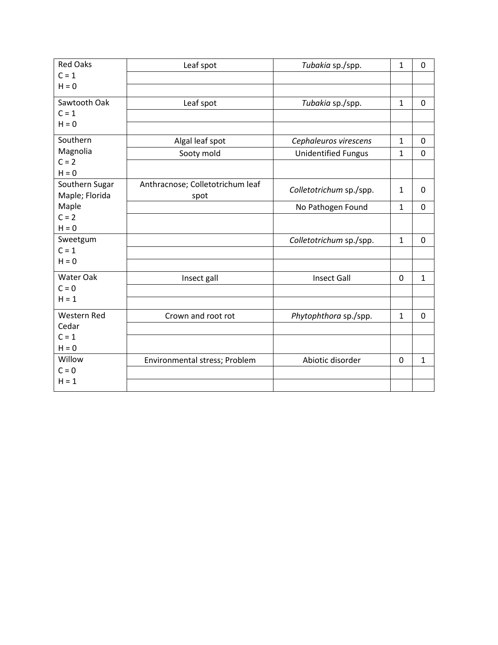| <b>Red Oaks</b>    | Leaf spot                        | Tubakia sp./spp.           | $\mathbf{1}$ | 0              |
|--------------------|----------------------------------|----------------------------|--------------|----------------|
| $C = 1$            |                                  |                            |              |                |
| $H = 0$            |                                  |                            |              |                |
| Sawtooth Oak       | Leaf spot                        | Tubakia sp./spp.           | $\mathbf{1}$ | $\mathbf 0$    |
| $C = 1$            |                                  |                            |              |                |
| $H = 0$            |                                  |                            |              |                |
| Southern           | Algal leaf spot                  | Cephaleuros virescens      | $\mathbf{1}$ | 0              |
| Magnolia           | Sooty mold                       | <b>Unidentified Fungus</b> | 1            | $\mathbf 0$    |
| $C = 2$            |                                  |                            |              |                |
| $H = 0$            |                                  |                            |              |                |
| Southern Sugar     | Anthracnose; Colletotrichum leaf | Colletotrichum sp./spp.    | 1            | 0              |
| Maple; Florida     | spot                             |                            |              |                |
| Maple              |                                  | No Pathogen Found          | $\mathbf{1}$ | $\mathbf 0$    |
| $C = 2$            |                                  |                            |              |                |
| $H = 0$            |                                  |                            |              |                |
| Sweetgum           |                                  | Colletotrichum sp./spp.    | $\mathbf{1}$ | $\overline{0}$ |
| $C = 1$            |                                  |                            |              |                |
| $H = 0$            |                                  |                            |              |                |
| Water Oak          | Insect gall                      | <b>Insect Gall</b>         | $\mathbf 0$  | $\mathbf{1}$   |
| $C = 0$            |                                  |                            |              |                |
| $H = 1$            |                                  |                            |              |                |
| <b>Western Red</b> | Crown and root rot               | Phytophthora sp./spp.      | 1            | $\mathbf 0$    |
| Cedar              |                                  |                            |              |                |
| $C = 1$            |                                  |                            |              |                |
| $H = 0$            |                                  |                            |              |                |
| Willow             | Environmental stress; Problem    | Abiotic disorder           | $\mathbf 0$  | $\mathbf{1}$   |
| $C = 0$            |                                  |                            |              |                |
| $H = 1$            |                                  |                            |              |                |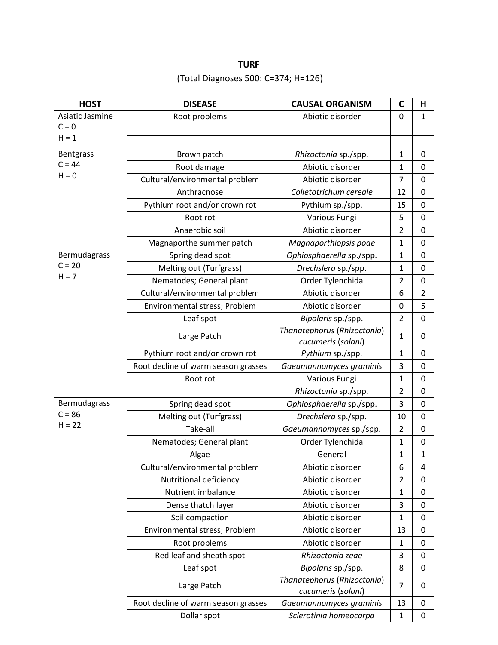# **TURF** (Total Diagnoses 500: C=374; H=126)

| <b>HOST</b>          | <b>DISEASE</b>                      | <b>CAUSAL ORGANISM</b>                            | $\mathsf{C}$   | Н              |
|----------------------|-------------------------------------|---------------------------------------------------|----------------|----------------|
| Asiatic Jasmine      | Root problems                       | Abiotic disorder                                  | 0              | $\mathbf{1}$   |
| $C = 0$              |                                     |                                                   |                |                |
| $H = 1$              |                                     |                                                   |                |                |
| Bentgrass            | Brown patch                         | Rhizoctonia sp./spp.                              | $\mathbf{1}$   | 0              |
| $C = 44$             | Root damage                         | Abiotic disorder                                  | $\mathbf{1}$   | $\mathbf 0$    |
| $H = 0$              | Cultural/environmental problem      | Abiotic disorder                                  | 7              | $\mathbf 0$    |
|                      | Anthracnose                         | Colletotrichum cereale                            | 12             | $\mathbf 0$    |
|                      | Pythium root and/or crown rot       | Pythium sp./spp.                                  | 15             | 0              |
|                      | Root rot                            | Various Fungi                                     | 5              | 0              |
|                      | Anaerobic soil                      | Abiotic disorder                                  | $\overline{2}$ | $\mathbf 0$    |
|                      | Magnaporthe summer patch            | Magnaporthiopsis poae                             | $\mathbf{1}$   | $\mathbf 0$    |
| Bermudagrass         | Spring dead spot                    | Ophiosphaerella sp./spp.                          | $\mathbf{1}$   | $\mathbf 0$    |
| $C = 20$             | Melting out (Turfgrass)             | Drechslera sp./spp.                               | $\mathbf{1}$   | $\mathbf 0$    |
| $H = 7$              | Nematodes; General plant            | Order Tylenchida                                  | $\overline{2}$ | 0              |
|                      | Cultural/environmental problem      | Abiotic disorder                                  | 6              | $\overline{2}$ |
|                      | Environmental stress; Problem       | Abiotic disorder                                  | 0              | 5              |
|                      | Leaf spot                           | Bipolaris sp./spp.                                | $\overline{2}$ | $\mathbf 0$    |
|                      | Large Patch                         | Thanatephorus (Rhizoctonia)                       | $\mathbf{1}$   | 0              |
|                      |                                     | cucumeris (solani)                                |                |                |
|                      | Pythium root and/or crown rot       | Pythium sp./spp.                                  | $\mathbf{1}$   | 0              |
|                      | Root decline of warm season grasses | Gaeumannomyces graminis                           | 3              | 0              |
|                      | Root rot                            | Various Fungi                                     | $\mathbf{1}$   | 0              |
|                      |                                     | Rhizoctonia sp./spp.                              | $\overline{2}$ | $\mathbf 0$    |
| Bermudagrass         | Spring dead spot                    | Ophiosphaerella sp./spp.                          | 3              | $\mathbf 0$    |
| $C = 86$<br>$H = 22$ | Melting out (Turfgrass)             | Drechslera sp./spp.                               | 10             | $\mathbf 0$    |
|                      | Take-all                            | Gaeumannomyces sp./spp.                           | $\overline{2}$ | $\mathbf 0$    |
|                      | Nematodes; General plant            | Order Tylenchida                                  | $\mathbf{1}$   | $\mathbf 0$    |
|                      | Algae                               | General                                           | $\mathbf{1}$   | $\mathbf{1}$   |
|                      | Cultural/environmental problem      | Abiotic disorder                                  | 6              | 4              |
|                      | Nutritional deficiency              | Abiotic disorder                                  | $\overline{2}$ | $\mathbf 0$    |
|                      | Nutrient imbalance                  | Abiotic disorder                                  | $\mathbf{1}$   | $\mathbf 0$    |
|                      | Dense thatch layer                  | Abiotic disorder                                  | 3              | 0              |
|                      | Soil compaction                     | Abiotic disorder                                  | $\mathbf{1}$   | $\mathbf 0$    |
|                      | Environmental stress; Problem       | Abiotic disorder                                  | 13             | 0              |
|                      | Root problems                       | Abiotic disorder                                  | $\mathbf{1}$   | $\mathbf 0$    |
|                      | Red leaf and sheath spot            | Rhizoctonia zeae                                  | 3              | 0              |
|                      | Leaf spot                           | Bipolaris sp./spp.                                | 8              | $\mathbf 0$    |
|                      | Large Patch                         | Thanatephorus (Rhizoctonia)<br>cucumeris (solani) | 7              | 0              |
|                      | Root decline of warm season grasses | Gaeumannomyces graminis                           | 13             | 0              |
|                      | Dollar spot                         | Sclerotinia homeocarpa                            | $\mathbf{1}$   | 0              |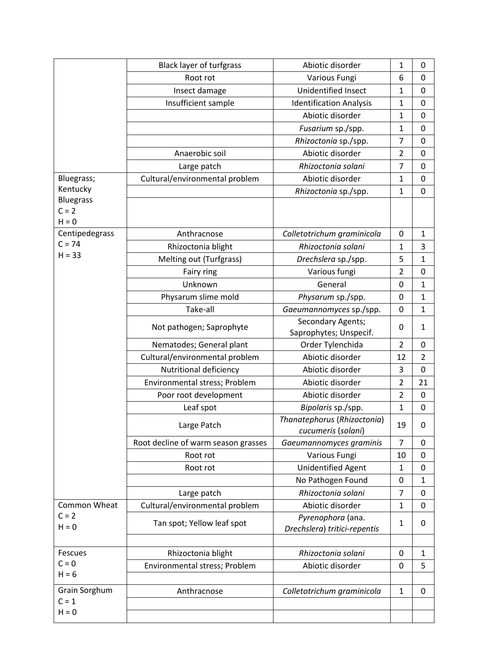|                             | <b>Black layer of turfgrass</b>     | Abiotic disorder                                  | 1              | 0              |
|-----------------------------|-------------------------------------|---------------------------------------------------|----------------|----------------|
|                             | Root rot                            | Various Fungi                                     | 6              | $\mathbf 0$    |
|                             | Insect damage                       | Unidentified Insect                               | $\mathbf{1}$   | $\mathbf 0$    |
|                             | Insufficient sample                 | <b>Identification Analysis</b>                    | $\mathbf 1$    | $\Omega$       |
|                             |                                     | Abiotic disorder                                  | $\mathbf{1}$   | $\mathbf 0$    |
|                             |                                     | Fusarium sp./spp.                                 | $\mathbf 1$    | $\mathbf 0$    |
|                             |                                     | Rhizoctonia sp./spp.                              | $\overline{7}$ | $\mathbf 0$    |
|                             | Anaerobic soil                      | Abiotic disorder                                  | $\overline{2}$ | 0              |
|                             | Large patch                         | Rhizoctonia solani                                | $\overline{7}$ | 0              |
| Bluegrass;                  | Cultural/environmental problem      | Abiotic disorder                                  | $\mathbf 1$    | $\mathbf 0$    |
| Kentucky                    |                                     | Rhizoctonia sp./spp.                              | $\mathbf 1$    | $\mathbf 0$    |
| <b>Bluegrass</b><br>$C = 2$ |                                     |                                                   |                |                |
| $H = 0$                     |                                     |                                                   |                |                |
| Centipedegrass              | Anthracnose                         | Colletotrichum graminicola                        | 0              | $\mathbf{1}$   |
| $C = 74$                    | Rhizoctonia blight                  | Rhizoctonia solani                                | $\mathbf{1}$   | 3              |
| $H = 33$                    | Melting out (Turfgrass)             | Drechslera sp./spp.                               | 5              | $\mathbf{1}$   |
|                             | Fairy ring                          | Various fungi                                     | $\overline{2}$ | 0              |
|                             | Unknown                             | General                                           | 0              | $\mathbf 1$    |
|                             | Physarum slime mold                 | Physarum sp./spp.                                 | 0              | $\mathbf{1}$   |
|                             | Take-all                            | Gaeumannomyces sp./spp.                           | 0              | $\mathbf{1}$   |
|                             |                                     | Secondary Agents;                                 |                |                |
|                             | Not pathogen; Saprophyte            | Saprophytes; Unspecif.                            | 0              | $\mathbf{1}$   |
|                             | Nematodes; General plant            | Order Tylenchida                                  | $\overline{2}$ | 0              |
|                             | Cultural/environmental problem      | Abiotic disorder                                  | 12             | $\overline{2}$ |
|                             | Nutritional deficiency              | Abiotic disorder                                  | 3              | $\mathbf 0$    |
|                             | Environmental stress; Problem       | Abiotic disorder                                  | $\overline{2}$ | 21             |
|                             | Poor root development               | Abiotic disorder                                  | $\overline{2}$ | $\mathbf 0$    |
|                             | Leaf spot                           | Bipolaris sp./spp.                                | $\mathbf{1}$   | 0              |
|                             | Large Patch                         | Thanatephorus (Rhizoctonia)<br>cucumeris (solani) | 19             | $\mathbf 0$    |
|                             | Root decline of warm season grasses | Gaeumannomyces graminis                           | $\overline{7}$ | 0              |
|                             | Root rot                            | Various Fungi                                     | 10             | 0              |
|                             | Root rot                            | <b>Unidentified Agent</b>                         | $\mathbf{1}$   | $\mathbf 0$    |
|                             |                                     | No Pathogen Found                                 | 0              | 1              |
|                             | Large patch                         | Rhizoctonia solani                                | $\overline{7}$ | 0              |
| <b>Common Wheat</b>         | Cultural/environmental problem      | Abiotic disorder                                  | $\mathbf{1}$   | 0              |
| $C = 2$                     | Tan spot; Yellow leaf spot          | Pyrenophora (ana.                                 | $\mathbf{1}$   | 0              |
| $H = 0$                     |                                     | Drechslera) tritici-repentis                      |                |                |
|                             |                                     |                                                   |                |                |
| <b>Fescues</b>              | Rhizoctonia blight                  | Rhizoctonia solani                                | 0              | 1              |
| $C = 0$<br>$H = 6$          | Environmental stress; Problem       | Abiotic disorder                                  | 0              | 5              |
|                             |                                     |                                                   |                |                |
| Grain Sorghum<br>$C = 1$    | Anthracnose                         | Colletotrichum graminicola                        | $\mathbf{1}$   | 0              |
| $H = 0$                     |                                     |                                                   |                |                |
|                             |                                     |                                                   |                |                |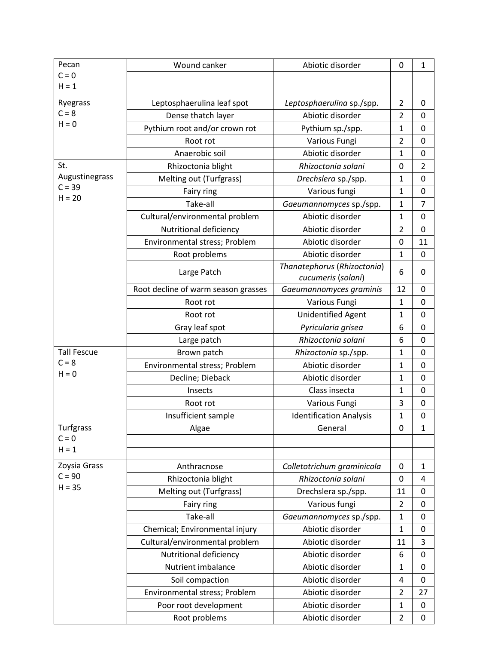| Pecan              | Wound canker                        | Abiotic disorder               | 0              | $\mathbf{1}$     |
|--------------------|-------------------------------------|--------------------------------|----------------|------------------|
| $C = 0$            |                                     |                                |                |                  |
| $H = 1$            |                                     |                                |                |                  |
| Ryegrass           | Leptosphaerulina leaf spot          | Leptosphaerulina sp./spp.      | $\overline{2}$ | $\Omega$         |
| $C = 8$            | Dense thatch layer                  | Abiotic disorder               | $\overline{2}$ | 0                |
| $H = 0$            | Pythium root and/or crown rot       | Pythium sp./spp.               | $\mathbf{1}$   | 0                |
|                    | Root rot                            | Various Fungi                  | $\overline{2}$ | $\mathbf 0$      |
|                    | Anaerobic soil                      | Abiotic disorder               | $\mathbf{1}$   | 0                |
| St.                | Rhizoctonia blight                  | Rhizoctonia solani             | 0              | $\overline{2}$   |
| Augustinegrass     | Melting out (Turfgrass)             | Drechslera sp./spp.            | $\mathbf{1}$   | $\mathbf 0$      |
| $C = 39$           | Fairy ring                          | Various fungi                  | $\mathbf 1$    | 0                |
| $H = 20$           | Take-all                            | Gaeumannomyces sp./spp.        | $\mathbf{1}$   | $\overline{7}$   |
|                    | Cultural/environmental problem      | Abiotic disorder               | $\mathbf 1$    | $\mathbf 0$      |
|                    | Nutritional deficiency              | Abiotic disorder               | $\overline{2}$ | $\mathbf 0$      |
|                    | Environmental stress; Problem       | Abiotic disorder               | 0              | 11               |
|                    | Root problems                       | Abiotic disorder               | $\mathbf 1$    | $\mathbf 0$      |
|                    | Large Patch                         | Thanatephorus (Rhizoctonia)    | 6              | 0                |
|                    |                                     | cucumeris (solani)             |                |                  |
|                    | Root decline of warm season grasses | Gaeumannomyces graminis        | 12             | $\Omega$         |
|                    | Root rot                            | Various Fungi                  | $\mathbf{1}$   | $\mathbf 0$      |
|                    | Root rot                            | <b>Unidentified Agent</b>      | $\mathbf{1}$   | $\mathbf 0$      |
|                    | Gray leaf spot                      | Pyricularia grisea             | 6              | $\mathbf 0$      |
|                    | Large patch                         | Rhizoctonia solani             | 6              | $\mathbf 0$      |
| <b>Tall Fescue</b> | Brown patch                         | Rhizoctonia sp./spp.           | $\mathbf 1$    | 0                |
| $C = 8$<br>$H = 0$ | Environmental stress; Problem       | Abiotic disorder               | $\mathbf{1}$   | $\mathbf 0$      |
|                    | Decline; Dieback                    | Abiotic disorder               | 1              | 0                |
|                    | Insects                             | Class insecta                  | $\mathbf{1}$   | $\mathbf 0$      |
|                    | Root rot                            | Various Fungi                  | $\mathsf 3$    | $\boldsymbol{0}$ |
|                    | Insufficient sample                 | <b>Identification Analysis</b> | $\mathbf{1}$   | $\mathbf 0$      |
| <b>Turfgrass</b>   | Algae                               | General                        | 0              | $\mathbf{1}$     |
| $C = 0$<br>$H = 1$ |                                     |                                |                |                  |
| Zoysia Grass       | Anthracnose                         | Colletotrichum graminicola     | 0              | 1                |
| $C = 90$           | Rhizoctonia blight                  | Rhizoctonia solani             | 0              | 4                |
| $H = 35$           | Melting out (Turfgrass)             | Drechslera sp./spp.            | 11             | 0                |
|                    | Fairy ring                          | Various fungi                  | $\overline{2}$ | 0                |
|                    | Take-all                            | Gaeumannomyces sp./spp.        | $\mathbf{1}$   | $\mathbf 0$      |
|                    | Chemical; Environmental injury      | Abiotic disorder               | $\mathbf{1}$   | $\mathbf 0$      |
|                    | Cultural/environmental problem      | Abiotic disorder               | 11             | 3                |
|                    | Nutritional deficiency              | Abiotic disorder               | 6              | 0                |
|                    | Nutrient imbalance                  | Abiotic disorder               | $\mathbf 1$    | $\mathbf 0$      |
|                    | Soil compaction                     | Abiotic disorder               | 4              | 0                |
|                    | Environmental stress; Problem       | Abiotic disorder               | $\overline{2}$ | 27               |
|                    | Poor root development               | Abiotic disorder               | $\mathbf{1}$   | $\pmb{0}$        |
|                    |                                     | Abiotic disorder               | $\overline{2}$ | 0                |
|                    | Root problems                       |                                |                |                  |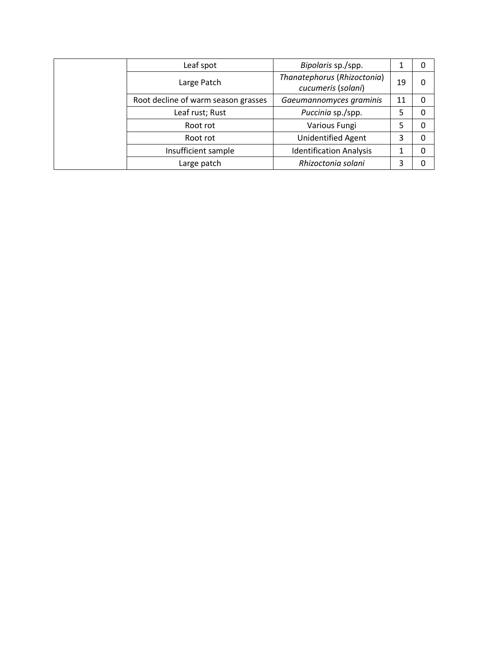| Leaf spot                           | Bipolaris sp./spp.                                |    |   |
|-------------------------------------|---------------------------------------------------|----|---|
| Large Patch                         | Thanatephorus (Rhizoctonia)<br>cucumeris (solani) | 19 | 0 |
| Root decline of warm season grasses | Gaeumannomyces graminis                           | 11 |   |
| Leaf rust; Rust                     | Puccinia sp./spp.                                 | 5  |   |
| Root rot                            | Various Fungi                                     | 5  | 0 |
| Root rot                            | <b>Unidentified Agent</b>                         | 3  | 0 |
| Insufficient sample                 | <b>Identification Analysis</b>                    |    |   |
| Large patch                         | Rhizoctonia solani                                | 3  |   |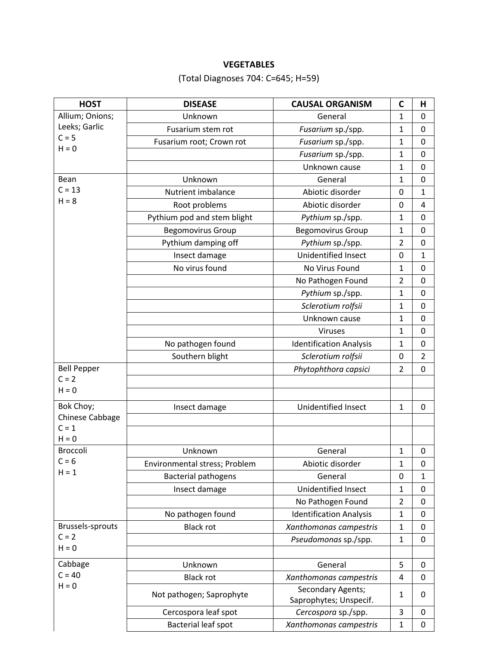## **VEGETABLES**

(Total Diagnoses 704: C=645; H=59)

| <b>HOST</b>        | <b>DISEASE</b>                | <b>CAUSAL ORGANISM</b>         | С              | н              |
|--------------------|-------------------------------|--------------------------------|----------------|----------------|
| Allium; Onions;    | Unknown                       | General                        | $\mathbf{1}$   | 0              |
| Leeks; Garlic      | Fusarium stem rot             | Fusarium sp./spp.              | $\mathbf{1}$   | 0              |
| $C = 5$            | Fusarium root; Crown rot      | Fusarium sp./spp.              | $\mathbf{1}$   | $\mathbf 0$    |
| $H = 0$            |                               | Fusarium sp./spp.              | $\mathbf{1}$   | 0              |
|                    |                               | Unknown cause                  | 1              | 0              |
| Bean               | Unknown                       | General                        | $\mathbf{1}$   | $\mathbf 0$    |
| $C = 13$           | Nutrient imbalance            | Abiotic disorder               | 0              | 1              |
| $H = 8$            | Root problems                 | Abiotic disorder               | 0              | 4              |
|                    | Pythium pod and stem blight   | Pythium sp./spp.               | $\mathbf{1}$   | 0              |
|                    | <b>Begomovirus Group</b>      | <b>Begomovirus Group</b>       | $\mathbf{1}$   | $\mathbf 0$    |
|                    | Pythium damping off           | Pythium sp./spp.               | $\overline{2}$ | 0              |
|                    | Insect damage                 | Unidentified Insect            | 0              | $\mathbf{1}$   |
|                    | No virus found                | No Virus Found                 | $\mathbf{1}$   | 0              |
|                    |                               | No Pathogen Found              | $\overline{2}$ | 0              |
|                    |                               | Pythium sp./spp.               | $\mathbf{1}$   | $\mathbf 0$    |
|                    |                               | Sclerotium rolfsii             | $\mathbf{1}$   | 0              |
|                    |                               | Unknown cause                  | 1              | 0              |
|                    |                               | Viruses                        | $\mathbf{1}$   | 0              |
|                    | No pathogen found             | <b>Identification Analysis</b> | $\mathbf{1}$   | 0              |
|                    | Southern blight               | Sclerotium rolfsii             | 0              | $\overline{2}$ |
| <b>Bell Pepper</b> |                               | Phytophthora capsici           | $\overline{2}$ | 0              |
| $C = 2$            |                               |                                |                |                |
| $H = 0$            |                               |                                |                |                |
| Bok Choy;          | Insect damage                 | Unidentified Insect            | $\mathbf{1}$   | $\mathbf 0$    |
| Chinese Cabbage    |                               |                                |                |                |
| $C = 1$<br>$H = 0$ |                               |                                |                |                |
| Broccoli           | Unknown                       | General                        | $\mathbf{1}$   | 0              |
| $C = 6$            | Environmental stress; Problem | Abiotic disorder               | $\mathbf{1}$   | $\pmb{0}$      |
| $H = 1$            | <b>Bacterial pathogens</b>    | General                        | 0              | $\mathbf 1$    |
|                    | Insect damage                 | Unidentified Insect            | $\mathbf{1}$   | $\mathbf 0$    |
|                    |                               | No Pathogen Found              | $\overline{2}$ | $\mathbf 0$    |
|                    | No pathogen found             | <b>Identification Analysis</b> | $\mathbf{1}$   | $\mathbf 0$    |
| Brussels-sprouts   | <b>Black rot</b>              | Xanthomonas campestris         | $\mathbf{1}$   | $\mathbf 0$    |
| $C = 2$            |                               | Pseudomonas sp./spp.           | $\mathbf{1}$   | 0              |
| $H = 0$            |                               |                                |                |                |
| Cabbage            | Unknown                       | General                        | 5              | $\mathbf 0$    |
| $C = 40$           | <b>Black rot</b>              | Xanthomonas campestris         | 4              | $\mathbf 0$    |
| $H = 0$            |                               | Secondary Agents;              |                |                |
|                    | Not pathogen; Saprophyte      | Saprophytes; Unspecif.         | 1              | 0              |
|                    | Cercospora leaf spot          | Cercospora sp./spp.            | 3              | 0              |
|                    | Bacterial leaf spot           | Xanthomonas campestris         | $\mathbf{1}$   | $\mathbf 0$    |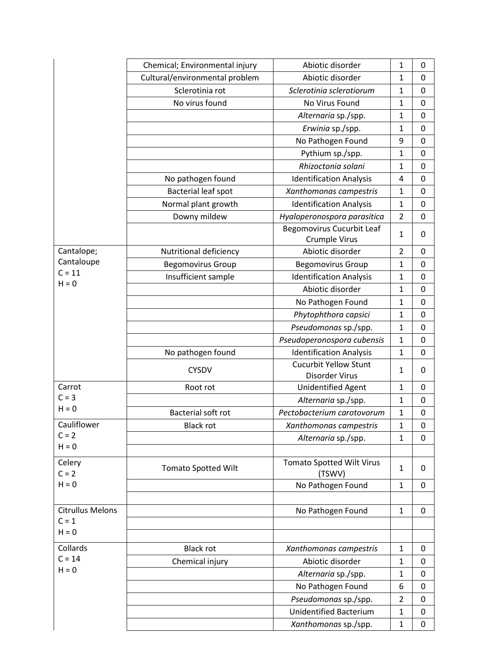|                         | Chemical; Environmental injury | Abiotic disorder                           | 1              | 0           |
|-------------------------|--------------------------------|--------------------------------------------|----------------|-------------|
|                         | Cultural/environmental problem | Abiotic disorder                           | 1              | 0           |
|                         | Sclerotinia rot                | Sclerotinia sclerotiorum                   | $\mathbf{1}$   | $\mathbf 0$ |
|                         | No virus found                 | No Virus Found                             | $\mathbf{1}$   | $\mathbf 0$ |
|                         |                                | Alternaria sp./spp.                        | $\mathbf 1$    | 0           |
|                         |                                | Erwinia sp./spp.                           | $\mathbf 1$    | $\mathbf 0$ |
|                         |                                | No Pathogen Found                          | 9              | 0           |
|                         |                                | Pythium sp./spp.                           | $\mathbf{1}$   | $\mathbf 0$ |
|                         |                                | Rhizoctonia solani                         | $\mathbf 1$    | $\mathbf 0$ |
|                         | No pathogen found              | <b>Identification Analysis</b>             | 4              | $\mathbf 0$ |
|                         | Bacterial leaf spot            | Xanthomonas campestris                     | $\mathbf 1$    | $\mathbf 0$ |
|                         | Normal plant growth            | <b>Identification Analysis</b>             | $\mathbf 1$    | 0           |
|                         | Downy mildew                   | Hyaloperonospora parasitica                | $\overline{2}$ | $\mathbf 0$ |
|                         |                                | <b>Begomovirus Cucurbit Leaf</b>           | $\mathbf{1}$   | 0           |
|                         |                                | <b>Crumple Virus</b>                       |                |             |
| Cantalope;              | Nutritional deficiency         | Abiotic disorder                           | $\overline{2}$ | $\Omega$    |
| Cantaloupe              | <b>Begomovirus Group</b>       | <b>Begomovirus Group</b>                   | $\mathbf 1$    | $\mathbf 0$ |
| $C = 11$<br>$H = 0$     | Insufficient sample            | <b>Identification Analysis</b>             | $\mathbf{1}$   | 0           |
|                         |                                | Abiotic disorder                           | $\mathbf 1$    | $\mathbf 0$ |
|                         |                                | No Pathogen Found                          | $\mathbf{1}$   | $\mathbf 0$ |
|                         |                                | Phytophthora capsici                       | $\mathbf{1}$   | $\mathbf 0$ |
|                         |                                | Pseudomonas sp./spp.                       | $\mathbf 1$    | $\mathbf 0$ |
|                         |                                | Pseudoperonospora cubensis                 | $\mathbf 1$    | 0           |
|                         | No pathogen found              | <b>Identification Analysis</b>             | $\mathbf{1}$   | $\mathbf 0$ |
|                         | <b>CYSDV</b>                   | <b>Cucurbit Yellow Stunt</b>               | $\mathbf{1}$   | 0           |
|                         |                                | Disorder Virus                             |                |             |
| Carrot                  | Root rot                       | <b>Unidentified Agent</b>                  | $\mathbf{1}$   | 0           |
| $C = 3$<br>$H = 0$      |                                | Alternaria sp./spp.                        | $\mathbf 1$    | 0           |
|                         | Bacterial soft rot             | Pectobacterium carotovorum                 | $\mathbf{1}$   | $\mathbf 0$ |
| Cauliflower<br>$C = 2$  | <b>Black rot</b>               | Xanthomonas campestris                     | $\mathbf{1}$   | 0           |
| $H = 0$                 |                                | Alternaria sp./spp.                        | $\mathbf{1}$   | $\Omega$    |
|                         |                                |                                            |                |             |
| Celery<br>$C = 2$       | <b>Tomato Spotted Wilt</b>     | <b>Tomato Spotted Wilt Virus</b><br>(TSWV) | $\mathbf{1}$   | 0           |
| $H = 0$                 |                                | No Pathogen Found                          | $\mathbf{1}$   | $\mathbf 0$ |
|                         |                                |                                            |                |             |
| <b>Citrullus Melons</b> |                                | No Pathogen Found                          | $\mathbf{1}$   | 0           |
| $C = 1$                 |                                |                                            |                |             |
| $H = 0$                 |                                |                                            |                |             |
| Collards                | <b>Black rot</b>               | Xanthomonas campestris                     | $\mathbf{1}$   | 0           |
| $C = 14$                | Chemical injury                | Abiotic disorder                           | $\mathbf{1}$   | 0           |
| $H = 0$                 |                                | Alternaria sp./spp.                        | $\mathbf{1}$   | 0           |
|                         |                                | No Pathogen Found                          | 6              | 0           |
|                         |                                | Pseudomonas sp./spp.                       | $\overline{2}$ | 0           |
|                         |                                | <b>Unidentified Bacterium</b>              | $\mathbf{1}$   | $\mathbf 0$ |
|                         |                                | Xanthomonas sp./spp.                       | $\mathbf{1}$   | 0           |
|                         |                                |                                            |                |             |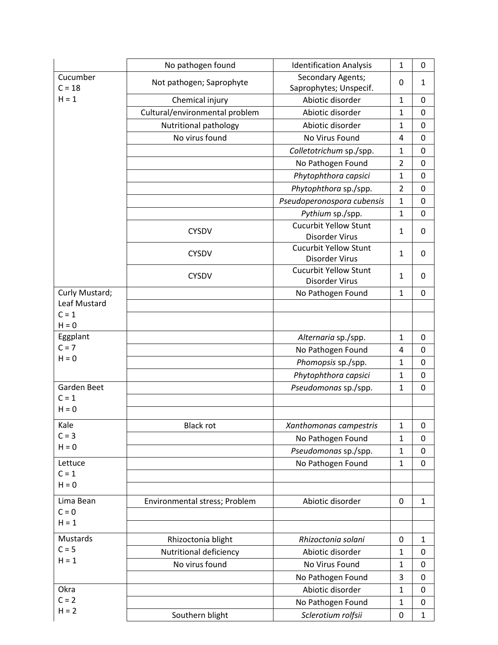|                      | No pathogen found              | <b>Identification Analysis</b>                 | $\mathbf{1}$   | 0           |
|----------------------|--------------------------------|------------------------------------------------|----------------|-------------|
| Cucumber<br>$C = 18$ | Not pathogen; Saprophyte       | Secondary Agents;<br>Saprophytes; Unspecif.    | 0              | 1           |
| $H = 1$              | Chemical injury                | Abiotic disorder                               | $\mathbf{1}$   | 0           |
|                      | Cultural/environmental problem | Abiotic disorder                               | 1              | 0           |
|                      | Nutritional pathology          | Abiotic disorder                               | $\mathbf{1}$   | 0           |
|                      | No virus found                 | No Virus Found                                 | 4              | 0           |
|                      |                                | Colletotrichum sp./spp.                        | $\mathbf{1}$   | $\mathbf 0$ |
|                      |                                | No Pathogen Found                              | $\overline{2}$ | $\mathbf 0$ |
|                      |                                | Phytophthora capsici                           | $\mathbf 1$    | $\mathbf 0$ |
|                      |                                | Phytophthora sp./spp.                          | $\overline{2}$ | $\mathbf 0$ |
|                      |                                | Pseudoperonospora cubensis                     | $\mathbf 1$    | 0           |
|                      |                                | Pythium sp./spp.                               | $\mathbf{1}$   | $\mathbf 0$ |
|                      | <b>CYSDV</b>                   | <b>Cucurbit Yellow Stunt</b><br>Disorder Virus | 1              | 0           |
|                      | <b>CYSDV</b>                   | <b>Cucurbit Yellow Stunt</b><br>Disorder Virus | $\mathbf{1}$   | 0           |
|                      | <b>CYSDV</b>                   | <b>Cucurbit Yellow Stunt</b><br>Disorder Virus | $\mathbf{1}$   | 0           |
| Curly Mustard;       |                                | No Pathogen Found                              | $\mathbf{1}$   | $\mathbf 0$ |
| Leaf Mustard         |                                |                                                |                |             |
| $C = 1$<br>$H = 0$   |                                |                                                |                |             |
| Eggplant             |                                | Alternaria sp./spp.                            | $\mathbf{1}$   | $\mathbf 0$ |
| $C = 7$              |                                | No Pathogen Found                              | 4              | 0           |
| $H = 0$              |                                | Phomopsis sp./spp.                             | $\mathbf 1$    | 0           |
|                      |                                | Phytophthora capsici                           | $\mathbf{1}$   | $\mathbf 0$ |
| Garden Beet          |                                | Pseudomonas sp./spp.                           | $\mathbf{1}$   | $\mathbf 0$ |
| $C = 1$              |                                |                                                |                |             |
| $H = 0$              |                                |                                                |                |             |
| Kale                 | <b>Black rot</b>               | Xanthomonas campestris                         | 1              | U           |
| $C = 3$              |                                | No Pathogen Found                              | $\mathbf{1}$   | $\mathbf 0$ |
| $H = 0$              |                                | Pseudomonas sp./spp.                           | $\mathbf{1}$   | $\mathbf 0$ |
| Lettuce              |                                | No Pathogen Found                              | $\mathbf{1}$   | $\mathbf 0$ |
| $C = 1$              |                                |                                                |                |             |
| $H = 0$              |                                |                                                |                |             |
| Lima Bean            | Environmental stress; Problem  | Abiotic disorder                               | 0              | 1           |
| $C = 0$              |                                |                                                |                |             |
| $H = 1$              |                                |                                                |                |             |
| Mustards             | Rhizoctonia blight             | Rhizoctonia solani                             | $\mathbf 0$    | 1           |
| $C = 5$              | Nutritional deficiency         | Abiotic disorder                               | $\mathbf 1$    | 0           |
| $H = 1$              | No virus found                 | No Virus Found                                 | 1              | 0           |
|                      |                                | No Pathogen Found                              | 3              | 0           |
| Okra                 |                                | Abiotic disorder                               | $\mathbf{1}$   | $\mathbf 0$ |
| $C = 2$              |                                | No Pathogen Found                              | $\mathbf{1}$   | $\mathbf 0$ |
| $H = 2$              | Southern blight                | Sclerotium rolfsii                             | $\mathbf 0$    | 1           |
|                      |                                |                                                |                |             |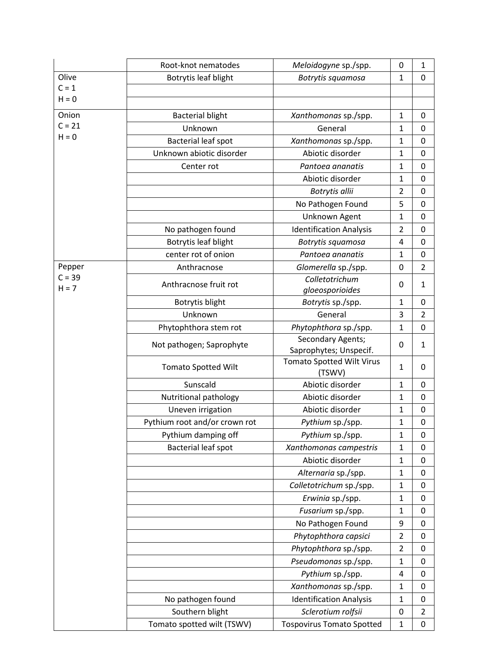|          | Root-knot nematodes           | Meloidogyne sp./spp.                       | 0              | $\mathbf{1}$   |
|----------|-------------------------------|--------------------------------------------|----------------|----------------|
| Olive    | Botrytis leaf blight          | Botrytis squamosa                          | $\mathbf{1}$   | $\mathbf 0$    |
| $C = 1$  |                               |                                            |                |                |
| $H = 0$  |                               |                                            |                |                |
| Onion    | <b>Bacterial blight</b>       | Xanthomonas sp./spp.                       | $\mathbf{1}$   | 0              |
| $C = 21$ | Unknown                       | General                                    | $\mathbf{1}$   | $\mathbf 0$    |
| $H = 0$  | Bacterial leaf spot           | Xanthomonas sp./spp.                       | $\mathbf{1}$   | $\mathbf 0$    |
|          | Unknown abiotic disorder      | Abiotic disorder                           | $\mathbf{1}$   | 0              |
|          | Center rot                    | Pantoea ananatis                           | $\mathbf{1}$   | $\mathbf 0$    |
|          |                               | Abiotic disorder                           | $\mathbf{1}$   | $\mathbf 0$    |
|          |                               | Botrytis allii                             | $\overline{2}$ | 0              |
|          |                               | No Pathogen Found                          | 5              | $\mathbf 0$    |
|          |                               | Unknown Agent                              | $\mathbf{1}$   | 0              |
|          | No pathogen found             | <b>Identification Analysis</b>             | $\overline{2}$ | $\mathbf 0$    |
|          | Botrytis leaf blight          | Botrytis squamosa                          | 4              | $\mathbf 0$    |
|          | center rot of onion           | Pantoea ananatis                           | $\mathbf{1}$   | $\mathbf 0$    |
| Pepper   | Anthracnose                   | Glomerella sp./spp.                        | 0              | $\overline{2}$ |
| $C = 39$ |                               | Colletotrichum                             |                |                |
| $H = 7$  | Anthracnose fruit rot         | gloeosporioides                            | 0              | $\mathbf{1}$   |
|          | Botrytis blight               | Botrytis sp./spp.                          | $\mathbf{1}$   | 0              |
|          | Unknown                       | General                                    | 3              | $\overline{2}$ |
|          | Phytophthora stem rot         | Phytophthora sp./spp.                      | $\mathbf{1}$   | $\mathbf 0$    |
|          | Not pathogen; Saprophyte      | Secondary Agents;                          | 0              | $\mathbf{1}$   |
|          |                               | Saprophytes; Unspecif.                     |                |                |
|          | <b>Tomato Spotted Wilt</b>    | <b>Tomato Spotted Wilt Virus</b><br>(TSWV) | $\mathbf{1}$   | 0              |
|          | Sunscald                      | Abiotic disorder                           | $\mathbf{1}$   | 0              |
|          | Nutritional pathology         | Abiotic disorder                           | 1              | 0              |
|          | Uneven irrigation             | Abiotic disorder                           | $\mathbf{1}$   | $\mathbf 0$    |
|          | Pythium root and/or crown rot | Pythium sp./spp.                           | 1              | 0              |
|          | Pythium damping off           | Pythium sp./spp.                           | $\mathbf{1}$   | 0              |
|          | <b>Bacterial leaf spot</b>    | Xanthomonas campestris                     | $\mathbf{1}$   | 0              |
|          |                               | Abiotic disorder                           | $\mathbf{1}$   | 0              |
|          |                               | Alternaria sp./spp.                        | $\mathbf{1}$   | 0              |
|          |                               | Colletotrichum sp./spp.                    | $\mathbf{1}$   | 0              |
|          |                               | Erwinia sp./spp.                           | $\mathbf{1}$   | $\mathbf 0$    |
|          |                               | Fusarium sp./spp.                          | $\mathbf{1}$   | 0              |
|          |                               | No Pathogen Found                          | 9              | $\mathbf 0$    |
|          |                               | Phytophthora capsici                       | $\overline{2}$ | $\mathbf 0$    |
|          |                               | Phytophthora sp./spp.                      | $\overline{2}$ | 0              |
|          |                               | Pseudomonas sp./spp.                       | $\mathbf{1}$   | 0              |
|          |                               | Pythium sp./spp.                           | 4              | $\mathbf 0$    |
|          |                               | Xanthomonas sp./spp.                       | $\mathbf{1}$   | $\mathbf 0$    |
|          | No pathogen found             | <b>Identification Analysis</b>             | $\mathbf{1}$   | 0              |
|          | Southern blight               | Sclerotium rolfsii                         | 0              | $\overline{2}$ |
|          | Tomato spotted wilt (TSWV)    | <b>Tospovirus Tomato Spotted</b>           | $\mathbf{1}$   | $\pmb{0}$      |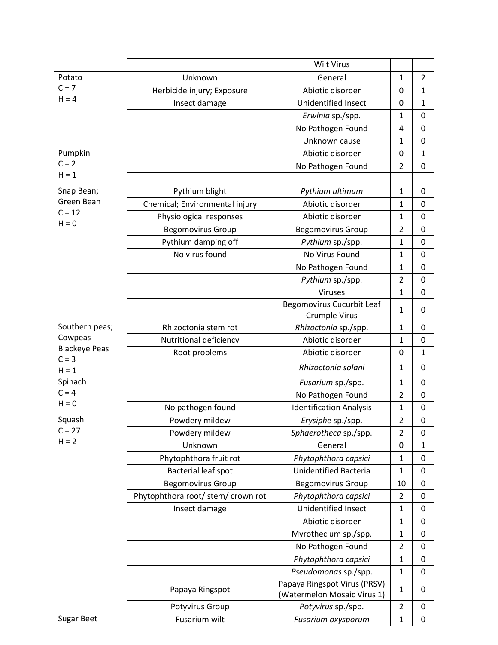|                      |                                    | <b>Wilt Virus</b>                                           |                |                |
|----------------------|------------------------------------|-------------------------------------------------------------|----------------|----------------|
| Potato               | Unknown                            | General                                                     | 1              | $\overline{2}$ |
| $C = 7$              | Herbicide injury; Exposure         | Abiotic disorder                                            | 0              | $\mathbf 1$    |
| $H = 4$              | Insect damage                      | <b>Unidentified Insect</b>                                  | 0              | $\mathbf{1}$   |
|                      |                                    | Erwinia sp./spp.                                            | 1              | $\mathbf 0$    |
|                      |                                    | No Pathogen Found                                           | 4              | 0              |
|                      |                                    | Unknown cause                                               | $\mathbf 1$    | $\mathbf 0$    |
| Pumpkin              |                                    | Abiotic disorder                                            | 0              | 1              |
| $C = 2$              |                                    | No Pathogen Found                                           | $\overline{2}$ | $\mathbf 0$    |
| $H = 1$              |                                    |                                                             |                |                |
| Snap Bean;           | Pythium blight                     | Pythium ultimum                                             | $\mathbf 1$    | $\mathbf 0$    |
| Green Bean           | Chemical; Environmental injury     | Abiotic disorder                                            | $\mathbf 1$    | $\mathbf 0$    |
| $C = 12$             | Physiological responses            | Abiotic disorder                                            | $\mathbf{1}$   | 0              |
| $H = 0$              | <b>Begomovirus Group</b>           | <b>Begomovirus Group</b>                                    | $\overline{2}$ | $\mathbf 0$    |
|                      | Pythium damping off                | Pythium sp./spp.                                            | $\mathbf 1$    | 0              |
|                      | No virus found                     | No Virus Found                                              | $\mathbf 1$    | 0              |
|                      |                                    | No Pathogen Found                                           | $\mathbf{1}$   | $\mathbf 0$    |
|                      |                                    | Pythium sp./spp.                                            | $\overline{2}$ | 0              |
|                      |                                    | <b>Viruses</b>                                              | $\mathbf 1$    | $\mathbf 0$    |
|                      |                                    | <b>Begomovirus Cucurbit Leaf</b>                            |                |                |
|                      |                                    | Crumple Virus                                               | $\mathbf{1}$   | 0              |
| Southern peas;       | Rhizoctonia stem rot               | Rhizoctonia sp./spp.                                        | $\mathbf{1}$   | $\Omega$       |
| Cowpeas              | Nutritional deficiency             | Abiotic disorder                                            | $\mathbf 1$    | $\mathbf 0$    |
| <b>Blackeye Peas</b> | Root problems                      | Abiotic disorder                                            | $\mathbf 0$    | $\mathbf{1}$   |
| $C = 3$<br>$H = 1$   |                                    | Rhizoctonia solani                                          | $\mathbf{1}$   | 0              |
| Spinach              |                                    | Fusarium sp./spp.                                           | 1              | 0              |
| $C = 4$              |                                    | No Pathogen Found                                           | $\overline{2}$ | $\mathbf 0$    |
| $H = 0$              | No pathogen found                  | <b>Identification Analysis</b>                              | $\mathbf{1}$   | $\mathbf 0$    |
| Squash               | Powdery mildew                     | Erysiphe sp./spp.                                           | $\overline{2}$ | 0              |
| $C = 27$             | Powdery mildew                     | Sphaerotheca sp./spp.                                       | $\overline{2}$ | 0              |
| $H = 2$              | Unknown                            | General                                                     | 0              | $\mathbf{1}$   |
|                      | Phytophthora fruit rot             | Phytophthora capsici                                        | $\mathbf{1}$   | $\mathbf 0$    |
|                      | Bacterial leaf spot                | <b>Unidentified Bacteria</b>                                | 1              | 0              |
|                      | <b>Begomovirus Group</b>           | <b>Begomovirus Group</b>                                    | 10             | 0              |
|                      | Phytophthora root/ stem/ crown rot | Phytophthora capsici                                        | $\overline{2}$ | 0              |
|                      | Insect damage                      | Unidentified Insect                                         | $\mathbf 1$    | 0              |
|                      |                                    | Abiotic disorder                                            | $\mathbf{1}$   | $\mathbf 0$    |
|                      |                                    | Myrothecium sp./spp.                                        | $\mathbf 1$    | 0              |
|                      |                                    | No Pathogen Found                                           | $\overline{2}$ | 0              |
|                      |                                    | Phytophthora capsici                                        | 1              | 0              |
|                      |                                    | Pseudomonas sp./spp.                                        | $\mathbf 1$    | 0              |
|                      | Papaya Ringspot                    | Papaya Ringspot Virus (PRSV)<br>(Watermelon Mosaic Virus 1) | $\mathbf{1}$   | 0              |
|                      | Potyvirus Group                    | Potyvirus sp./spp.                                          | $\overline{2}$ | 0              |
| <b>Sugar Beet</b>    | Fusarium wilt                      | Fusarium oxysporum                                          | $\mathbf 1$    | 0              |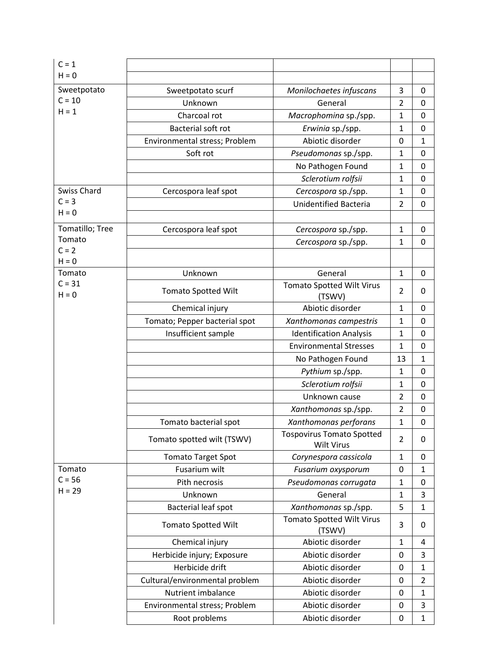| $C = 1$            |                                |                                                       |                |                |
|--------------------|--------------------------------|-------------------------------------------------------|----------------|----------------|
| $H = 0$            |                                |                                                       |                |                |
| Sweetpotato        | Sweetpotato scurf              | Monilochaetes infuscans                               | 3              | 0              |
| $C = 10$           | Unknown                        | General                                               | $\overline{2}$ | 0              |
| $H = 1$            | Charcoal rot                   | Macrophomina sp./spp.                                 | $\mathbf{1}$   | $\mathbf 0$    |
|                    | Bacterial soft rot             | Erwinia sp./spp.                                      | $\mathbf{1}$   | $\mathbf 0$    |
|                    | Environmental stress; Problem  | Abiotic disorder                                      | $\mathbf 0$    | $\mathbf{1}$   |
|                    | Soft rot                       | Pseudomonas sp./spp.                                  | $\mathbf{1}$   | $\mathbf 0$    |
|                    |                                | No Pathogen Found                                     | $\mathbf{1}$   | 0              |
|                    |                                | Sclerotium rolfsii                                    | $\mathbf{1}$   | 0              |
| <b>Swiss Chard</b> | Cercospora leaf spot           | Cercospora sp./spp.                                   | 1              | 0              |
| $C = 3$            |                                | <b>Unidentified Bacteria</b>                          | $\overline{2}$ | $\mathbf 0$    |
| $H = 0$            |                                |                                                       |                |                |
| Tomatillo; Tree    | Cercospora leaf spot           | Cercospora sp./spp.                                   | $\mathbf{1}$   | 0              |
| Tomato             |                                | Cercospora sp./spp.                                   | $\mathbf{1}$   | $\mathbf 0$    |
| $C = 2$            |                                |                                                       |                |                |
| $H = 0$<br>Tomato  |                                |                                                       |                |                |
| $C = 31$           | Unknown                        | General<br><b>Tomato Spotted Wilt Virus</b>           | $\mathbf{1}$   | $\mathbf 0$    |
| $H = 0$            | <b>Tomato Spotted Wilt</b>     | (TSWV)                                                | $\overline{2}$ | 0              |
|                    | Chemical injury                | Abiotic disorder                                      | $\mathbf{1}$   | 0              |
|                    | Tomato; Pepper bacterial spot  | Xanthomonas campestris                                | $\mathbf{1}$   | 0              |
|                    | Insufficient sample            | <b>Identification Analysis</b>                        | $\mathbf{1}$   | $\mathbf 0$    |
|                    |                                | <b>Environmental Stresses</b>                         | $\mathbf{1}$   | 0              |
|                    |                                | No Pathogen Found                                     | 13             | $\mathbf{1}$   |
|                    |                                | Pythium sp./spp.                                      | $\mathbf{1}$   | 0              |
|                    |                                | Sclerotium rolfsii                                    | $\mathbf{1}$   | $\mathbf 0$    |
|                    |                                | Unknown cause                                         | $\overline{2}$ | 0              |
|                    |                                | Xanthomonas sp./spp.                                  | $\overline{2}$ | 0              |
|                    | Tomato bacterial spot          | Xanthomonas perforans                                 | $\mathbf 1$    | 0              |
|                    | Tomato spotted wilt (TSWV)     | <b>Tospovirus Tomato Spotted</b><br><b>Wilt Virus</b> | $\overline{2}$ | 0              |
|                    | <b>Tomato Target Spot</b>      | Corynespora cassicola                                 | $\mathbf{1}$   | 0              |
| Tomato             | Fusarium wilt                  | Fusarium oxysporum                                    | 0              | 1              |
| $C = 56$           | Pith necrosis                  | Pseudomonas corrugata                                 | $\mathbf{1}$   | $\mathbf 0$    |
| $H = 29$           | Unknown                        | General                                               | $\mathbf{1}$   | 3              |
|                    | Bacterial leaf spot            | Xanthomonas sp./spp.                                  | 5              | $\mathbf{1}$   |
|                    | <b>Tomato Spotted Wilt</b>     | <b>Tomato Spotted Wilt Virus</b><br>(TSWV)            | 3              | 0              |
|                    | Chemical injury                | Abiotic disorder                                      | $\mathbf{1}$   | 4              |
|                    | Herbicide injury; Exposure     | Abiotic disorder                                      | 0              | 3              |
|                    | Herbicide drift                | Abiotic disorder                                      | 0              | $\mathbf{1}$   |
|                    | Cultural/environmental problem | Abiotic disorder                                      | 0              | $\overline{2}$ |
|                    | Nutrient imbalance             | Abiotic disorder                                      | 0              | $\mathbf{1}$   |
|                    | Environmental stress; Problem  | Abiotic disorder                                      | 0              | 3              |
|                    | Root problems                  | Abiotic disorder                                      | 0              | $\mathbf{1}$   |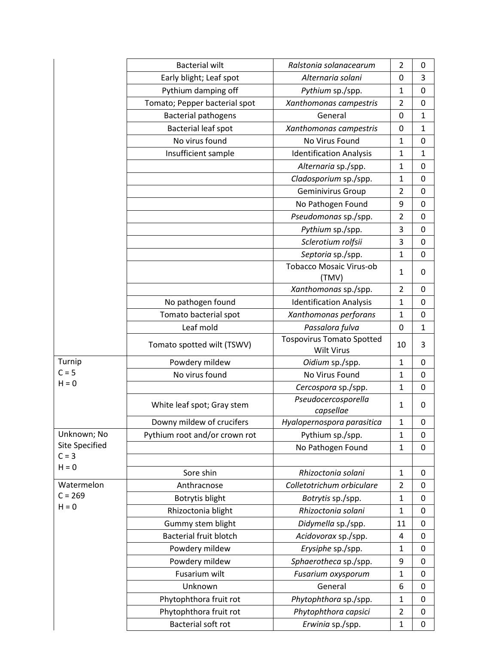|                | <b>Bacterial wilt</b>         | Ralstonia solanacearum                                | $\overline{2}$ | 0            |
|----------------|-------------------------------|-------------------------------------------------------|----------------|--------------|
|                | Early blight; Leaf spot       | Alternaria solani                                     | 0              | 3            |
|                | Pythium damping off           | Pythium sp./spp.                                      | $\mathbf{1}$   | 0            |
|                | Tomato; Pepper bacterial spot | Xanthomonas campestris                                | $\overline{2}$ | 0            |
|                | <b>Bacterial pathogens</b>    | General                                               | 0              | $\mathbf{1}$ |
|                | Bacterial leaf spot           | Xanthomonas campestris                                | 0              | $\mathbf{1}$ |
|                | No virus found                | No Virus Found                                        | $\mathbf{1}$   | 0            |
|                | Insufficient sample           | <b>Identification Analysis</b>                        | $\mathbf{1}$   | $\mathbf{1}$ |
|                |                               | Alternaria sp./spp.                                   | $\mathbf{1}$   | 0            |
|                |                               | Cladosporium sp./spp.                                 | $\mathbf{1}$   | 0            |
|                |                               | Geminivirus Group                                     | $\overline{2}$ | 0            |
|                |                               | No Pathogen Found                                     | 9              | 0            |
|                |                               | Pseudomonas sp./spp.                                  | $\overline{2}$ | 0            |
|                |                               | Pythium sp./spp.                                      | 3              | 0            |
|                |                               | Sclerotium rolfsii                                    | 3              | 0            |
|                |                               | Septoria sp./spp.                                     | $\mathbf{1}$   | 0            |
|                |                               | <b>Tobacco Mosaic Virus-ob</b><br>(TMV)               | $\mathbf{1}$   | 0            |
|                |                               | Xanthomonas sp./spp.                                  | $\overline{2}$ | 0            |
|                | No pathogen found             | <b>Identification Analysis</b>                        | $\mathbf{1}$   | 0            |
|                | Tomato bacterial spot         | Xanthomonas perforans                                 | $\mathbf{1}$   | 0            |
|                | Leaf mold                     | Passalora fulva                                       | $\mathbf 0$    | $\mathbf{1}$ |
|                | Tomato spotted wilt (TSWV)    | <b>Tospovirus Tomato Spotted</b><br><b>Wilt Virus</b> | 10             | 3            |
| Turnip         | Powdery mildew                | Oidium sp./spp.                                       | $\mathbf{1}$   | 0            |
| $C = 5$        | No virus found                | No Virus Found                                        | $\mathbf{1}$   | 0            |
| $H = 0$        |                               | Cercospora sp./spp.                                   | $\mathbf{1}$   | 0            |
|                | White leaf spot; Gray stem    | Pseudocercosporella<br>capsellae                      | $\mathbf{1}$   | $\Omega$     |
|                | Downy mildew of crucifers     | Hyalopernospora parasitica                            | 1              | 0            |
| Unknown; No    | Pythium root and/or crown rot | Pythium sp./spp.                                      | $\mathbf{1}$   | 0            |
| Site Specified |                               | No Pathogen Found                                     | $\mathbf{1}$   | $\mathbf 0$  |
| $C = 3$        |                               |                                                       |                |              |
| $H = 0$        | Sore shin                     | Rhizoctonia solani                                    | $\mathbf{1}$   | 0            |
| Watermelon     | Anthracnose                   | Colletotrichum orbiculare                             | $\overline{2}$ | 0            |
| $C = 269$      | Botrytis blight               | Botrytis sp./spp.                                     | $\mathbf{1}$   | 0            |
| $H = 0$        | Rhizoctonia blight            | Rhizoctonia solani                                    | $\mathbf{1}$   | 0            |
|                | Gummy stem blight             | Didymella sp./spp.                                    | 11             | 0            |
|                | <b>Bacterial fruit blotch</b> | Acidovorax sp./spp.                                   | 4              | 0            |
|                | Powdery mildew                | Erysiphe sp./spp.                                     | 1              | 0            |
|                | Powdery mildew                | Sphaerotheca sp./spp.                                 | 9              | 0            |
|                | Fusarium wilt                 | Fusarium oxysporum                                    | $\mathbf{1}$   | 0            |
|                | Unknown                       | General                                               | 6              | 0            |
|                | Phytophthora fruit rot        | Phytophthora sp./spp.                                 | $\mathbf{1}$   | 0            |
|                | Phytophthora fruit rot        | Phytophthora capsici                                  | $\overline{2}$ | 0            |
|                | Bacterial soft rot            | Erwinia sp./spp.                                      | $\mathbf{1}$   | 0            |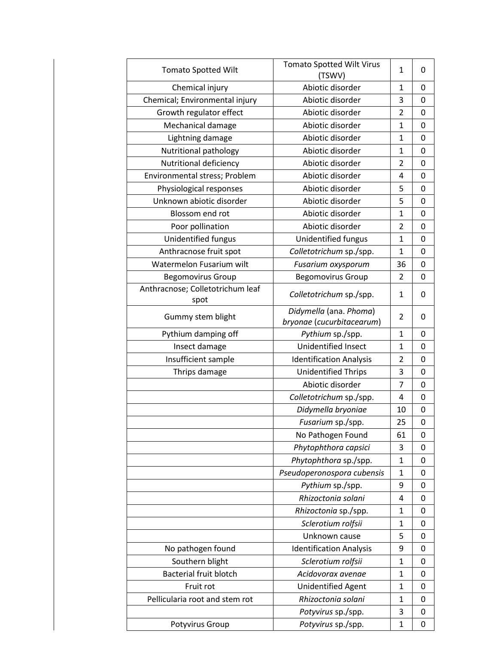| <b>Tomato Spotted Wilt</b>       | <b>Tomato Spotted Wilt Virus</b><br>(TSWV) | 1              | 0 |
|----------------------------------|--------------------------------------------|----------------|---|
| Chemical injury                  | Abiotic disorder                           | 1              | 0 |
| Chemical; Environmental injury   | Abiotic disorder                           | 3              | 0 |
| Growth regulator effect          | Abiotic disorder                           | $\overline{2}$ | 0 |
| Mechanical damage                | Abiotic disorder                           | 1              | 0 |
| Lightning damage                 | Abiotic disorder                           | $\mathbf{1}$   | 0 |
| Nutritional pathology            | Abiotic disorder                           | 1              | 0 |
| Nutritional deficiency           | Abiotic disorder                           | 2              | 0 |
| Environmental stress; Problem    | Abiotic disorder                           | 4              | 0 |
| Physiological responses          | Abiotic disorder                           | 5              | 0 |
| Unknown abiotic disorder         | Abiotic disorder                           | 5              | 0 |
| Blossom end rot                  | Abiotic disorder                           | 1              | 0 |
| Poor pollination                 | Abiotic disorder                           | $\overline{2}$ | 0 |
| Unidentified fungus              | Unidentified fungus                        | 1              | 0 |
| Anthracnose fruit spot           | Colletotrichum sp./spp.                    | $\mathbf{1}$   | 0 |
| Watermelon Fusarium wilt         | Fusarium oxysporum                         | 36             | 0 |
| <b>Begomovirus Group</b>         | <b>Begomovirus Group</b>                   | 2              | 0 |
| Anthracnose; Colletotrichum leaf |                                            |                |   |
| spot                             | Colletotrichum sp./spp.                    | 1              | 0 |
| Gummy stem blight                | Didymella (ana. Phoma)                     | 2              | 0 |
|                                  | bryonae (cucurbitacearum)                  |                |   |
| Pythium damping off              | Pythium sp./spp.                           | $\mathbf 1$    | 0 |
| Insect damage                    | Unidentified Insect                        | 1              | 0 |
| Insufficient sample              | <b>Identification Analysis</b>             | 2              | 0 |
| Thrips damage                    | <b>Unidentified Thrips</b>                 | 3              | 0 |
|                                  | Abiotic disorder                           | $\overline{7}$ | 0 |
|                                  | Colletotrichum sp./spp.                    | 4              | 0 |
|                                  | Didymella bryoniae                         | 10             | 0 |
|                                  | Fusarium sp./spp.                          | 25             | 0 |
|                                  | No Pathogen Found                          | 61             | 0 |
|                                  | Phytophthora capsici                       | 3              | 0 |
|                                  | Phytophthora sp./spp.                      | $\mathbf 1$    | 0 |
|                                  | Pseudoperonospora cubensis                 | 1              | 0 |
|                                  | Pythium sp./spp.                           | 9              | 0 |
|                                  | Rhizoctonia solani                         | 4              | 0 |
|                                  | Rhizoctonia sp./spp.                       | $\mathbf{1}$   | 0 |
|                                  | Sclerotium rolfsii                         | $\mathbf 1$    | 0 |
|                                  | Unknown cause                              | 5              | 0 |
| No pathogen found                | <b>Identification Analysis</b>             | 9              | 0 |
| Southern blight                  | Sclerotium rolfsii                         | 1              | 0 |
| <b>Bacterial fruit blotch</b>    | Acidovorax avenae                          | $\mathbf{1}$   | 0 |
| Fruit rot                        | Unidentified Agent                         | $\mathbf{1}$   | 0 |
| Pellicularia root and stem rot   | Rhizoctonia solani                         | $\mathbf 1$    | 0 |
|                                  | Potyvirus sp./spp.                         | 3              | 0 |
| Potyvirus Group                  | Potyvirus sp./spp.                         | $\mathbf{1}$   | 0 |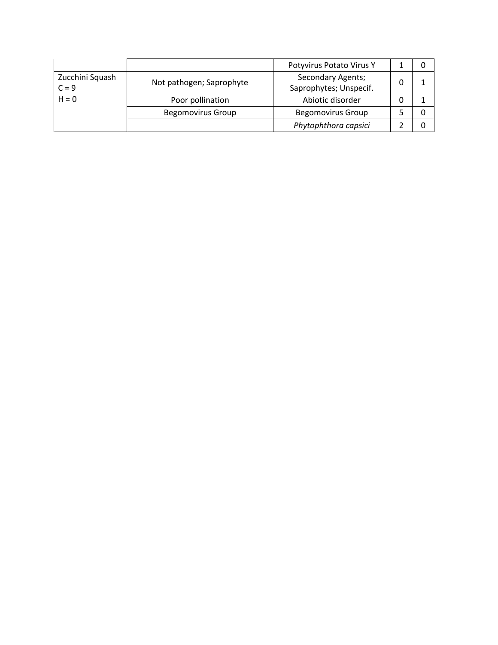|                 |                          | Potyvirus Potato Virus Y |  |
|-----------------|--------------------------|--------------------------|--|
| Zucchini Squash | Not pathogen; Saprophyte | <b>Secondary Agents;</b> |  |
| $C = 9$         |                          | Saprophytes; Unspecif.   |  |
| $H = 0$         | Poor pollination         | Abiotic disorder         |  |
|                 | <b>Begomovirus Group</b> | <b>Begomovirus Group</b> |  |
|                 |                          | Phytophthora capsici     |  |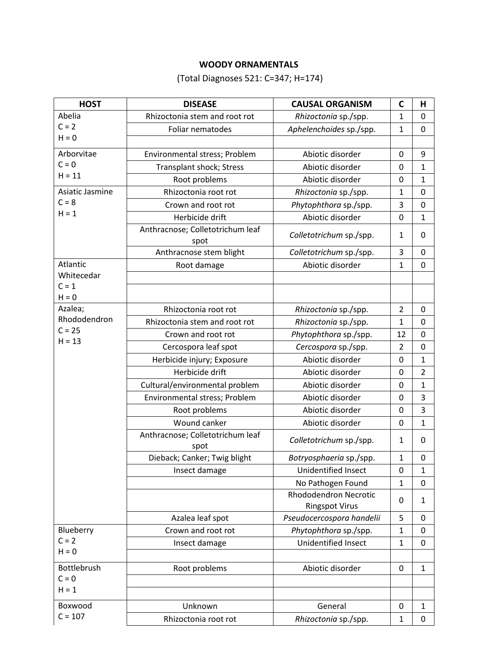## **WOODY ORNAMENTALS**

(Total Diagnoses 521: C=347; H=174)

| <b>HOST</b>        | <b>DISEASE</b>                           | <b>CAUSAL ORGANISM</b>                         | C                | Н                |
|--------------------|------------------------------------------|------------------------------------------------|------------------|------------------|
| Abelia             | Rhizoctonia stem and root rot            | Rhizoctonia sp./spp.                           | 1                | 0                |
| $C = 2$            | Foliar nematodes                         | Aphelenchoides sp./spp.                        | $\mathbf{1}$     | $\mathbf 0$      |
| $H = 0$            |                                          |                                                |                  |                  |
| Arborvitae         | Environmental stress; Problem            | Abiotic disorder                               | 0                | 9                |
| $C = 0$            | Transplant shock; Stress                 | Abiotic disorder                               | $\boldsymbol{0}$ | $\mathbf{1}$     |
| $H = 11$           | Root problems                            | Abiotic disorder                               | $\mathbf 0$      | 1                |
| Asiatic Jasmine    | Rhizoctonia root rot                     | Rhizoctonia sp./spp.                           | 1                | $\mathbf 0$      |
| $C = 8$            | Crown and root rot                       | Phytophthora sp./spp.                          | 3                | $\mathbf 0$      |
| $H = 1$            | Herbicide drift                          | Abiotic disorder                               | $\boldsymbol{0}$ | $\mathbf{1}$     |
|                    | Anthracnose; Colletotrichum leaf         | Colletotrichum sp./spp.                        | 1                | $\mathbf 0$      |
|                    | spot                                     |                                                |                  |                  |
|                    | Anthracnose stem blight                  | Colletotrichum sp./spp.                        | 3                | $\mathbf 0$      |
| Atlantic           | Root damage                              | Abiotic disorder                               | 1                | $\mathbf 0$      |
| Whitecedar         |                                          |                                                |                  |                  |
| $C = 1$<br>$H = 0$ |                                          |                                                |                  |                  |
| Azalea;            | Rhizoctonia root rot                     | Rhizoctonia sp./spp.                           | $\overline{2}$   | $\mathbf 0$      |
| Rhododendron       | Rhizoctonia stem and root rot            | Rhizoctonia sp./spp.                           | 1                | 0                |
| $C = 25$           | Crown and root rot                       | Phytophthora sp./spp.                          | 12               | $\mathbf 0$      |
| $H = 13$           | Cercospora leaf spot                     | Cercospora sp./spp.                            | $\overline{2}$   | $\mathbf 0$      |
|                    | Herbicide injury; Exposure               | Abiotic disorder                               | $\boldsymbol{0}$ | 1                |
|                    | Herbicide drift                          | Abiotic disorder                               | $\boldsymbol{0}$ | $\overline{2}$   |
|                    | Cultural/environmental problem           | Abiotic disorder                               | $\mathbf 0$      | $\mathbf{1}$     |
|                    | Environmental stress; Problem            | Abiotic disorder                               | 0                | 3                |
|                    | Root problems                            | Abiotic disorder                               | $\mathbf 0$      | 3                |
|                    | Wound canker                             | Abiotic disorder                               | 0                | $\mathbf{1}$     |
|                    | Anthracnose; Colletotrichum leaf<br>spot | Colletotrichum sp./spp.                        | $\mathbf{1}$     | $\mathbf 0$      |
|                    | Dieback; Canker; Twig blight             | Botryosphaeria sp./spp.                        | 1                | $\mathbf 0$      |
|                    | Insect damage                            | Unidentified Insect                            | 0                | 1                |
|                    |                                          | No Pathogen Found                              | 1                | 0                |
|                    |                                          | Rhododendron Necrotic<br><b>Ringspot Virus</b> | 0                | $\mathbf{1}$     |
|                    | Azalea leaf spot                         | Pseudocercospora handelii                      | 5                | $\mathbf 0$      |
| Blueberry          | Crown and root rot                       | Phytophthora sp./spp.                          | 1                | $\mathbf 0$      |
| $C = 2$            | Insect damage                            | Unidentified Insect                            | $\mathbf 1$      | $\mathbf 0$      |
| $H = 0$            |                                          |                                                |                  |                  |
| Bottlebrush        | Root problems                            | Abiotic disorder                               | 0                | 1                |
| $C = 0$            |                                          |                                                |                  |                  |
| $H = 1$            |                                          |                                                |                  |                  |
| Boxwood            | Unknown                                  | General                                        | $\mathbf 0$      | $\mathbf{1}$     |
| $C = 107$          | Rhizoctonia root rot                     | Rhizoctonia sp./spp.                           | 1                | $\boldsymbol{0}$ |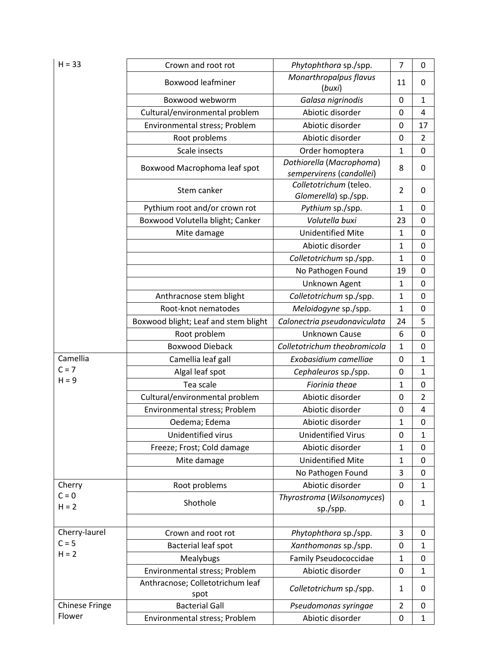| $H = 33$              | Crown and root rot                       | Phytophthora sp./spp.                                | $\overline{7}$ | 0                |
|-----------------------|------------------------------------------|------------------------------------------------------|----------------|------------------|
|                       | <b>Boxwood leafminer</b>                 | Monarthropalpus flavus<br>(buxi)                     | 11             | 0                |
|                       | Boxwood webworm                          | Galasa nigrinodis                                    | $\mathbf 0$    | $\mathbf{1}$     |
|                       | Cultural/environmental problem           | Abiotic disorder                                     | $\mathbf 0$    | 4                |
|                       | Environmental stress; Problem            | Abiotic disorder                                     | 0              | 17               |
|                       | Root problems                            | Abiotic disorder                                     | 0              | $\overline{2}$   |
|                       | Scale insects                            | Order homoptera                                      | $\mathbf 1$    | $\mathbf 0$      |
|                       | Boxwood Macrophoma leaf spot             | Dothiorella (Macrophoma)<br>sempervirens (candollei) | 8              | 0                |
|                       | Stem canker                              | Colletotrichum (teleo.<br>Glomerella) sp./spp.       | $\overline{2}$ | 0                |
|                       | Pythium root and/or crown rot            | Pythium sp./spp.                                     | $\mathbf 1$    | $\mathbf 0$      |
|                       | Boxwood Volutella blight; Canker         | Volutella buxi                                       | 23             | 0                |
|                       | Mite damage                              | <b>Unidentified Mite</b>                             | $\mathbf 1$    | 0                |
|                       |                                          | Abiotic disorder                                     | $\mathbf{1}$   | 0                |
|                       |                                          | Colletotrichum sp./spp.                              | 1              | 0                |
|                       |                                          | No Pathogen Found                                    | 19             | $\mathbf 0$      |
|                       |                                          | Unknown Agent                                        | $\mathbf{1}$   | $\mathbf 0$      |
|                       | Anthracnose stem blight                  | Colletotrichum sp./spp.                              | $\mathbf{1}$   | $\mathbf 0$      |
|                       | Root-knot nematodes                      | Meloidogyne sp./spp.                                 | $\mathbf 1$    | $\mathbf 0$      |
|                       | Boxwood blight; Leaf and stem blight     | Calonectria pseudonaviculata                         | 24             | 5                |
|                       | Root problem                             | <b>Unknown Cause</b>                                 | 6              | 0                |
|                       | <b>Boxwood Dieback</b>                   | Colletotrichum theobromicola                         | 1              | 0                |
| Camellia              | Camellia leaf gall                       | Exobasidium camelliae                                | 0              | 1                |
| $C = 7$               | Algal leaf spot                          | Cephaleuros sp./spp.                                 | $\mathbf 0$    | 1                |
| $H = 9$               | Tea scale                                | Fiorinia theae                                       | $\mathbf{1}$   | $\mathbf 0$      |
|                       | Cultural/environmental problem           | Abiotic disorder                                     | $\mathbf 0$    | $\overline{2}$   |
|                       | Environmental stress; Problem            | Abiotic disorder                                     | $\mathbf 0$    | 4                |
|                       | Oedema; Edema                            | Abiotic disorder                                     | 1              | $\boldsymbol{0}$ |
|                       | Unidentified virus                       | <b>Unidentified Virus</b>                            | 0              | 1                |
|                       | Freeze; Frost; Cold damage               | Abiotic disorder                                     | $\mathbf 1$    | 0                |
|                       | Mite damage                              | <b>Unidentified Mite</b>                             | $\mathbf{1}$   | 0                |
|                       |                                          | No Pathogen Found                                    | 3              | 0                |
| Cherry                | Root problems                            | Abiotic disorder                                     | $\mathbf 0$    | 1                |
| $C = 0$<br>$H = 2$    | Shothole                                 | Thyrostroma (Wilsonomyces)<br>sp./spp.               | 0              | 1                |
|                       |                                          |                                                      |                |                  |
| Cherry-laurel         | Crown and root rot                       | Phytophthora sp./spp.                                | 3              | 0                |
| $C = 5$               | Bacterial leaf spot                      | Xanthomonas sp./spp.                                 | 0              | $\mathbf{1}$     |
| $H = 2$               | Mealybugs                                | <b>Family Pseudococcidae</b>                         | $\mathbf{1}$   | 0                |
|                       | Environmental stress; Problem            | Abiotic disorder                                     | $\mathbf 0$    | 1                |
|                       | Anthracnose; Colletotrichum leaf<br>spot | Colletotrichum sp./spp.                              | $\mathbf{1}$   | 0                |
| <b>Chinese Fringe</b> | <b>Bacterial Gall</b>                    | Pseudomonas syringae                                 | $\overline{2}$ | 0                |
| Flower                | Environmental stress; Problem            | Abiotic disorder                                     | $\mathbf 0$    | $\mathbf{1}$     |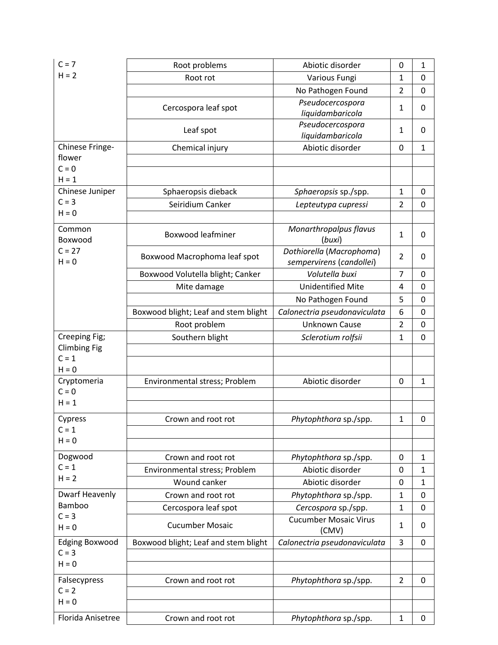| $C = 7$                | Root problems                        | Abiotic disorder                      | 0              | $\mathbf 1$  |
|------------------------|--------------------------------------|---------------------------------------|----------------|--------------|
| $H = 2$                | Root rot                             | Various Fungi                         | $\mathbf{1}$   | $\mathbf 0$  |
|                        |                                      | No Pathogen Found                     | $\overline{2}$ | $\mathbf 0$  |
|                        |                                      | Pseudocercospora                      | $\mathbf{1}$   | 0            |
|                        | Cercospora leaf spot                 | liquidambaricola                      |                |              |
|                        | Leaf spot                            | Pseudocercospora                      | $\mathbf{1}$   | 0            |
|                        |                                      | liquidambaricola                      |                |              |
| Chinese Fringe-        | Chemical injury                      | Abiotic disorder                      | 0              | $\mathbf{1}$ |
| flower<br>$C = 0$      |                                      |                                       |                |              |
| $H = 1$                |                                      |                                       |                |              |
| Chinese Juniper        | Sphaeropsis dieback                  | Sphaeropsis sp./spp.                  | $\mathbf{1}$   | 0            |
| $C = 3$                | Seiridium Canker                     | Lepteutypa cupressi                   | $\overline{2}$ | $\mathbf 0$  |
| $H = 0$                |                                      |                                       |                |              |
| Common                 |                                      | Monarthropalpus flavus                |                |              |
| Boxwood                | <b>Boxwood leafminer</b>             | (buxi)                                | $\mathbf{1}$   | 0            |
| $C = 27$               |                                      | Dothiorella (Macrophoma)              |                |              |
| $H = 0$                | Boxwood Macrophoma leaf spot         | sempervirens (candollei)              | $\overline{2}$ | $\Omega$     |
|                        | Boxwood Volutella blight; Canker     | Volutella buxi                        | $\overline{7}$ | 0            |
|                        | Mite damage                          | <b>Unidentified Mite</b>              | 4              | $\mathbf 0$  |
|                        |                                      | No Pathogen Found                     | 5              | 0            |
|                        | Boxwood blight; Leaf and stem blight | Calonectria pseudonaviculata          | 6              | 0            |
|                        | Root problem                         | <b>Unknown Cause</b>                  | $\overline{2}$ | $\mathbf 0$  |
| Creeping Fig;          | Southern blight                      | Sclerotium rolfsii                    | $\mathbf 1$    | $\mathbf 0$  |
| <b>Climbing Fig</b>    |                                      |                                       |                |              |
| $C = 1$                |                                      |                                       |                |              |
| $H = 0$                |                                      |                                       |                |              |
| Cryptomeria<br>$C = 0$ | Environmental stress; Problem        | Abiotic disorder                      | 0              | $\mathbf{1}$ |
| $H = 1$                |                                      |                                       |                |              |
|                        |                                      |                                       |                |              |
| Cypress                | Crown and root rot                   | Phytophthora sp./spp.                 | $\mathbf 1$    | 0            |
| $C = 1$<br>$H = 0$     |                                      |                                       |                |              |
|                        |                                      |                                       |                |              |
| Dogwood                | Crown and root rot                   | Phytophthora sp./spp.                 | 0              | $\mathbf{1}$ |
| $C = 1$<br>$H = 2$     | Environmental stress; Problem        | Abiotic disorder                      | 0              | 1            |
|                        | Wound canker                         | Abiotic disorder                      | 0              | $\mathbf{1}$ |
| Dwarf Heavenly         | Crown and root rot                   | Phytophthora sp./spp.                 | 1              | 0            |
| Bamboo<br>$C = 3$      | Cercospora leaf spot                 | Cercospora sp./spp.                   | $\mathbf{1}$   | 0            |
| $H = 0$                | <b>Cucumber Mosaic</b>               | <b>Cucumber Mosaic Virus</b><br>(CMV) | $\mathbf{1}$   | 0            |
| <b>Edging Boxwood</b>  | Boxwood blight; Leaf and stem blight | Calonectria pseudonaviculata          | 3              | $\mathbf 0$  |
| $C = 3$                |                                      |                                       |                |              |
| $H = 0$                |                                      |                                       |                |              |
| Falsecypress           | Crown and root rot                   | Phytophthora sp./spp.                 | $\overline{2}$ | 0            |
| $C = 2$                |                                      |                                       |                |              |
| $H = 0$                |                                      |                                       |                |              |
| Florida Anisetree      | Crown and root rot                   | Phytophthora sp./spp.                 | $\mathbf{1}$   | 0            |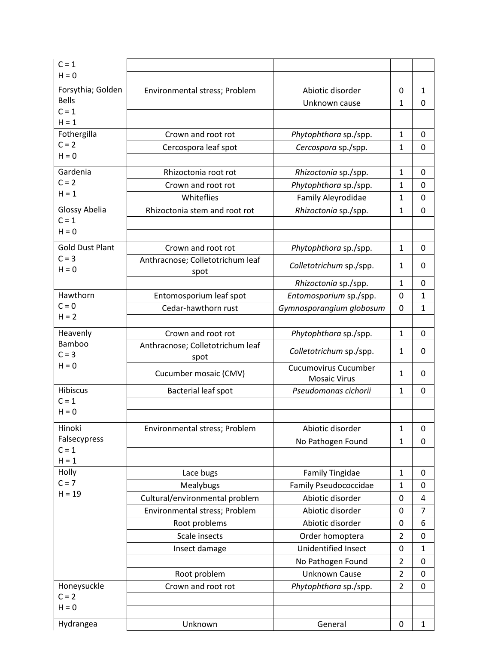| $C = 1$                |                                          |                                                    |                |                |
|------------------------|------------------------------------------|----------------------------------------------------|----------------|----------------|
| $H = 0$                |                                          |                                                    |                |                |
| Forsythia; Golden      | Environmental stress; Problem            | Abiotic disorder                                   | 0              | $\mathbf{1}$   |
| <b>Bells</b>           |                                          | Unknown cause                                      | $\mathbf{1}$   | $\Omega$       |
| $C = 1$<br>$H = 1$     |                                          |                                                    |                |                |
| Fothergilla            | Crown and root rot                       | Phytophthora sp./spp.                              | $\mathbf{1}$   | $\Omega$       |
| $C = 2$                | Cercospora leaf spot                     | Cercospora sp./spp.                                | $\mathbf{1}$   | 0              |
| $H = 0$                |                                          |                                                    |                |                |
| Gardenia               | Rhizoctonia root rot                     | Rhizoctonia sp./spp.                               | $\mathbf{1}$   | 0              |
| $C = 2$                | Crown and root rot                       | Phytophthora sp./spp.                              | 1              | $\Omega$       |
| $H = 1$                | Whiteflies                               | Family Aleyrodidae                                 | $\mathbf{1}$   | $\Omega$       |
| Glossy Abelia          | Rhizoctonia stem and root rot            | Rhizoctonia sp./spp.                               | $\mathbf{1}$   | 0              |
| $C = 1$                |                                          |                                                    |                |                |
| $H = 0$                |                                          |                                                    |                |                |
| <b>Gold Dust Plant</b> | Crown and root rot                       | Phytophthora sp./spp.                              | $\mathbf{1}$   | $\Omega$       |
| $C = 3$<br>$H = 0$     | Anthracnose; Colletotrichum leaf<br>spot | Colletotrichum sp./spp.                            | $\mathbf{1}$   | 0              |
|                        |                                          | Rhizoctonia sp./spp.                               | $\mathbf{1}$   | 0              |
| Hawthorn               | Entomosporium leaf spot                  | Entomosporium sp./spp.                             | 0              | $\mathbf{1}$   |
| $C = 0$                | Cedar-hawthorn rust                      | Gymnosporangium globosum                           | 0              | $\mathbf{1}$   |
| $H = 2$                |                                          |                                                    |                |                |
| Heavenly               | Crown and root rot                       | Phytophthora sp./spp.                              | $\mathbf{1}$   | $\mathbf 0$    |
| Bamboo<br>$C = 3$      | Anthracnose; Colletotrichum leaf         | Colletotrichum sp./spp.                            | $\mathbf{1}$   | 0              |
| $H = 0$                | spot                                     |                                                    |                |                |
|                        | Cucumber mosaic (CMV)                    | <b>Cucumovirus Cucumber</b><br><b>Mosaic Virus</b> | $\mathbf{1}$   | 0              |
| <b>Hibiscus</b>        | Bacterial leaf spot                      | Pseudomonas cichorii                               | $\mathbf{1}$   | 0              |
| $C = 1$                |                                          |                                                    |                |                |
| $H = 0$                |                                          |                                                    |                |                |
| Hinoki                 | Environmental stress; Problem            | Abiotic disorder                                   | $\mathbf 1$    | 0              |
| Falsecypress           |                                          | No Pathogen Found                                  | $\mathbf{1}$   | 0              |
| $C = 1$<br>$H = 1$     |                                          |                                                    |                |                |
| Holly                  | Lace bugs                                | <b>Family Tingidae</b>                             | $\mathbf{1}$   | 0              |
| $C = 7$                | Mealybugs                                | <b>Family Pseudococcidae</b>                       | $\mathbf{1}$   | $\mathbf 0$    |
| $H = 19$               | Cultural/environmental problem           | Abiotic disorder                                   | $\mathbf 0$    | 4              |
|                        | Environmental stress; Problem            | Abiotic disorder                                   | 0              | $\overline{7}$ |
|                        | Root problems                            | Abiotic disorder                                   | 0              | 6              |
|                        | Scale insects                            | Order homoptera                                    | $\overline{2}$ | $\mathbf 0$    |
|                        | Insect damage                            | Unidentified Insect                                | 0              | $\mathbf{1}$   |
|                        |                                          | No Pathogen Found                                  | $\overline{2}$ | $\mathbf 0$    |
|                        | Root problem                             | <b>Unknown Cause</b>                               | $\overline{2}$ | $\mathbf 0$    |
| Honeysuckle            | Crown and root rot                       | Phytophthora sp./spp.                              | $\overline{2}$ | $\mathbf 0$    |
| $C = 2$                |                                          |                                                    |                |                |
| $H = 0$                |                                          |                                                    |                |                |
| Hydrangea              | Unknown                                  | General                                            | 0              | $\mathbf{1}$   |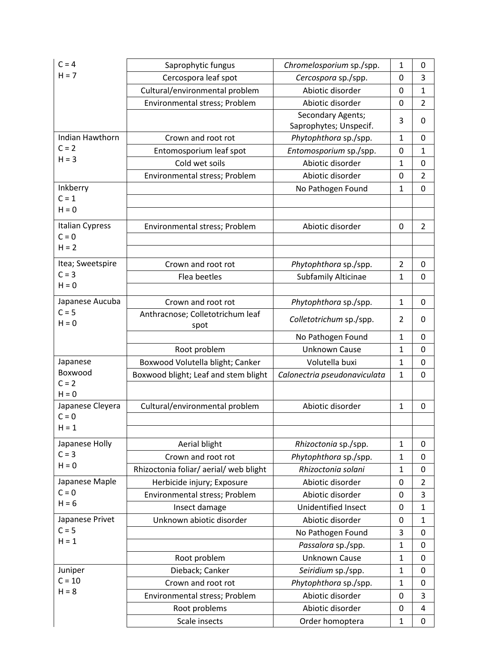| $C = 4$                                      | Saprophytic fungus                       | Chromelosporium sp./spp.                    | 1              | 0                |
|----------------------------------------------|------------------------------------------|---------------------------------------------|----------------|------------------|
| $H = 7$                                      | Cercospora leaf spot                     | Cercospora sp./spp.                         | $\Omega$       | 3                |
|                                              | Cultural/environmental problem           | Abiotic disorder                            | 0              | $\mathbf{1}$     |
|                                              | Environmental stress; Problem            | Abiotic disorder                            | 0              | $\overline{2}$   |
|                                              |                                          | Secondary Agents;<br>Saprophytes; Unspecif. | 3              | $\Omega$         |
| Indian Hawthorn                              | Crown and root rot                       | Phytophthora sp./spp.                       | 1              | 0                |
| $C = 2$                                      | Entomosporium leaf spot                  | Entomosporium sp./spp.                      | 0              | $\mathbf{1}$     |
| $H = 3$                                      | Cold wet soils                           | Abiotic disorder                            | $\mathbf{1}$   | 0                |
|                                              | Environmental stress; Problem            | Abiotic disorder                            | 0              | $\overline{2}$   |
| Inkberry                                     |                                          | No Pathogen Found                           | $\mathbf 1$    | $\mathbf 0$      |
| $C = 1$                                      |                                          |                                             |                |                  |
| $H = 0$                                      |                                          |                                             |                |                  |
| <b>Italian Cypress</b><br>$C = 0$<br>$H = 2$ | Environmental stress; Problem            | Abiotic disorder                            | 0              | $\overline{2}$   |
|                                              |                                          |                                             |                |                  |
| Itea; Sweetspire                             | Crown and root rot                       | Phytophthora sp./spp.                       | $\overline{2}$ | 0                |
| $C = 3$<br>$H = 0$                           | Flea beetles                             | <b>Subfamily Alticinae</b>                  | $\mathbf{1}$   | $\mathbf 0$      |
|                                              |                                          |                                             |                |                  |
| Japanese Aucuba                              | Crown and root rot                       | Phytophthora sp./spp.                       | $\mathbf{1}$   | 0                |
| $C = 5$<br>$H = 0$                           | Anthracnose; Colletotrichum leaf<br>spot | Colletotrichum sp./spp.                     | 2              | 0                |
|                                              |                                          | No Pathogen Found                           | 1              | $\Omega$         |
|                                              | Root problem                             | <b>Unknown Cause</b>                        | $\mathbf{1}$   | $\mathbf 0$      |
| Japanese                                     | Boxwood Volutella blight; Canker         | Volutella buxi                              | $\mathbf 1$    | 0                |
| Boxwood                                      | Boxwood blight; Leaf and stem blight     | Calonectria pseudonaviculata                | $\mathbf{1}$   | $\overline{0}$   |
| $C = 2$                                      |                                          |                                             |                |                  |
| $H = 0$<br>Japanese Cleyera                  | Cultural/environmental problem           | Abiotic disorder                            | $\mathbf{1}$   | $\mathbf 0$      |
| $C = 0$<br>$H = 1$                           |                                          |                                             |                |                  |
|                                              |                                          |                                             |                |                  |
| Japanese Holly<br>$C = 3$                    | Aerial blight                            | Rhizoctonia sp./spp.                        | $\mathbf{1}$   | 0                |
| $H = 0$                                      | Crown and root rot                       | Phytophthora sp./spp.                       | $\mathbf 1$    | 0                |
|                                              | Rhizoctonia foliar/aerial/web blight     | Rhizoctonia solani                          | $\mathbf 1$    | 0                |
| Japanese Maple<br>$C = 0$                    | Herbicide injury; Exposure               | Abiotic disorder                            | 0              | $\overline{2}$   |
| $H = 6$                                      | Environmental stress; Problem            | Abiotic disorder                            | 0              | 3                |
|                                              | Insect damage                            | Unidentified Insect                         | 0              | $\mathbf{1}$     |
| Japanese Privet<br>$C = 5$                   | Unknown abiotic disorder                 | Abiotic disorder                            | 0              | $\mathbf{1}$     |
| $H = 1$                                      |                                          | No Pathogen Found                           | 3              | 0                |
|                                              |                                          | Passalora sp./spp.                          | $\mathbf 1$    | 0                |
|                                              | Root problem                             | Unknown Cause                               | $\mathbf 1$    | 0                |
| Juniper                                      | Dieback; Canker                          | Seiridium sp./spp.                          | $\mathbf{1}$   | $\mathbf 0$      |
| $C = 10$<br>$H = 8$                          | Crown and root rot                       | Phytophthora sp./spp.                       | $\mathbf 1$    | 0                |
|                                              | Environmental stress; Problem            | Abiotic disorder                            | 0              | 3                |
|                                              | Root problems                            | Abiotic disorder                            | 0              | 4                |
|                                              | Scale insects                            | Order homoptera                             | $\mathbf 1$    | $\boldsymbol{0}$ |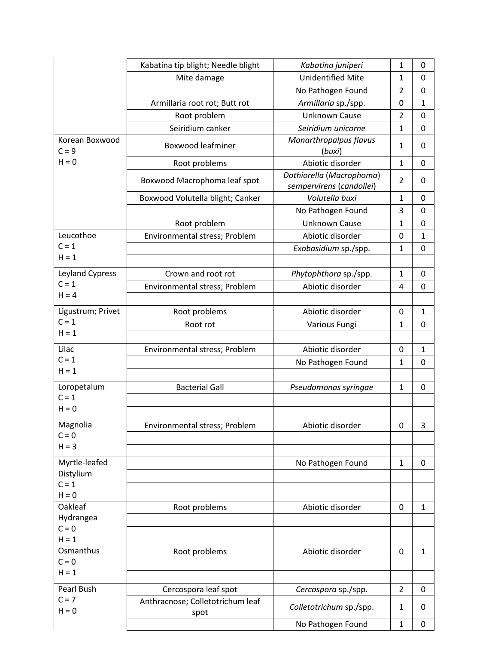| <b>Unidentified Mite</b><br>1<br>$\mathbf 0$<br>Mite damage<br>No Pathogen Found<br>$\overline{2}$<br>$\mathbf 0$<br>Armillaria root rot; Butt rot<br>Armillaria sp./spp.<br>0<br>$\mathbf{1}$<br><b>Unknown Cause</b><br>Root problem<br>$\overline{2}$<br>$\mathbf 0$<br>Seiridium canker<br>Seiridium unicorne<br>$\mathbf 1$<br>$\mathbf 0$<br>Monarthropalpus flavus<br>Korean Boxwood<br><b>Boxwood leafminer</b><br>$\mathbf{1}$<br>0<br>$C = 9$<br>(buxi)<br>$H = 0$<br>Abiotic disorder<br>$\mathbf{1}$<br>Root problems<br>0<br>Dothiorella (Macrophoma)<br>$\overline{2}$<br>Boxwood Macrophoma leaf spot<br>0<br>sempervirens (candollei)<br>Volutella buxi<br>Boxwood Volutella blight; Canker<br>$\mathbf 1$<br>$\mathbf 0$<br>3<br>No Pathogen Found<br>0 |
|--------------------------------------------------------------------------------------------------------------------------------------------------------------------------------------------------------------------------------------------------------------------------------------------------------------------------------------------------------------------------------------------------------------------------------------------------------------------------------------------------------------------------------------------------------------------------------------------------------------------------------------------------------------------------------------------------------------------------------------------------------------------------|
|                                                                                                                                                                                                                                                                                                                                                                                                                                                                                                                                                                                                                                                                                                                                                                          |
|                                                                                                                                                                                                                                                                                                                                                                                                                                                                                                                                                                                                                                                                                                                                                                          |
|                                                                                                                                                                                                                                                                                                                                                                                                                                                                                                                                                                                                                                                                                                                                                                          |
|                                                                                                                                                                                                                                                                                                                                                                                                                                                                                                                                                                                                                                                                                                                                                                          |
|                                                                                                                                                                                                                                                                                                                                                                                                                                                                                                                                                                                                                                                                                                                                                                          |
|                                                                                                                                                                                                                                                                                                                                                                                                                                                                                                                                                                                                                                                                                                                                                                          |
|                                                                                                                                                                                                                                                                                                                                                                                                                                                                                                                                                                                                                                                                                                                                                                          |
|                                                                                                                                                                                                                                                                                                                                                                                                                                                                                                                                                                                                                                                                                                                                                                          |
|                                                                                                                                                                                                                                                                                                                                                                                                                                                                                                                                                                                                                                                                                                                                                                          |
|                                                                                                                                                                                                                                                                                                                                                                                                                                                                                                                                                                                                                                                                                                                                                                          |
| Root problem<br><b>Unknown Cause</b><br>1<br>$\mathbf 0$                                                                                                                                                                                                                                                                                                                                                                                                                                                                                                                                                                                                                                                                                                                 |
| Leucothoe<br>Abiotic disorder<br>Environmental stress; Problem<br>0<br>$\mathbf{1}$                                                                                                                                                                                                                                                                                                                                                                                                                                                                                                                                                                                                                                                                                      |
| $C = 1$<br>Exobasidium sp./spp.<br>1<br>$\mathbf 0$                                                                                                                                                                                                                                                                                                                                                                                                                                                                                                                                                                                                                                                                                                                      |
| $H = 1$                                                                                                                                                                                                                                                                                                                                                                                                                                                                                                                                                                                                                                                                                                                                                                  |
| Leyland Cypress<br>Crown and root rot<br>Phytophthora sp./spp.<br>$\mathbf 1$<br>$\mathbf 0$                                                                                                                                                                                                                                                                                                                                                                                                                                                                                                                                                                                                                                                                             |
| $C = 1$<br>Abiotic disorder<br>Environmental stress; Problem<br>$\mathbf 0$<br>4                                                                                                                                                                                                                                                                                                                                                                                                                                                                                                                                                                                                                                                                                         |
| $H = 4$                                                                                                                                                                                                                                                                                                                                                                                                                                                                                                                                                                                                                                                                                                                                                                  |
| Ligustrum; Privet<br>Root problems<br>Abiotic disorder<br>$\mathbf{1}$<br>0                                                                                                                                                                                                                                                                                                                                                                                                                                                                                                                                                                                                                                                                                              |
| $C = 1$<br>Root rot<br>Various Fungi<br>1<br>0                                                                                                                                                                                                                                                                                                                                                                                                                                                                                                                                                                                                                                                                                                                           |
| $H = 1$                                                                                                                                                                                                                                                                                                                                                                                                                                                                                                                                                                                                                                                                                                                                                                  |
| Lilac<br>Abiotic disorder<br>Environmental stress; Problem<br>$\mathbf 0$<br>$\mathbf{1}$                                                                                                                                                                                                                                                                                                                                                                                                                                                                                                                                                                                                                                                                                |
| $C = 1$<br>$\mathbf{1}$<br>No Pathogen Found<br>$\mathbf 0$                                                                                                                                                                                                                                                                                                                                                                                                                                                                                                                                                                                                                                                                                                              |
| $H = 1$                                                                                                                                                                                                                                                                                                                                                                                                                                                                                                                                                                                                                                                                                                                                                                  |
| Loropetalum<br><b>Bacterial Gall</b><br>$\mathbf{1}$<br>Pseudomonas syringae<br>$\mathbf 0$                                                                                                                                                                                                                                                                                                                                                                                                                                                                                                                                                                                                                                                                              |
| $C = 1$                                                                                                                                                                                                                                                                                                                                                                                                                                                                                                                                                                                                                                                                                                                                                                  |
| $H = 0$                                                                                                                                                                                                                                                                                                                                                                                                                                                                                                                                                                                                                                                                                                                                                                  |
| Magnolia<br>Environmental stress; Problem<br>Abiotic disorder<br>$\boldsymbol{0}$<br>3                                                                                                                                                                                                                                                                                                                                                                                                                                                                                                                                                                                                                                                                                   |
| $C = 0$                                                                                                                                                                                                                                                                                                                                                                                                                                                                                                                                                                                                                                                                                                                                                                  |
| $H = 3$                                                                                                                                                                                                                                                                                                                                                                                                                                                                                                                                                                                                                                                                                                                                                                  |
| Myrtle-leafed<br>No Pathogen Found<br>$\mathbf{1}$<br>0                                                                                                                                                                                                                                                                                                                                                                                                                                                                                                                                                                                                                                                                                                                  |
| Distylium                                                                                                                                                                                                                                                                                                                                                                                                                                                                                                                                                                                                                                                                                                                                                                |
| $C = 1$                                                                                                                                                                                                                                                                                                                                                                                                                                                                                                                                                                                                                                                                                                                                                                  |
| $H = 0$<br>Oakleaf                                                                                                                                                                                                                                                                                                                                                                                                                                                                                                                                                                                                                                                                                                                                                       |
| Root problems<br>Abiotic disorder<br>$\mathbf 0$<br>$\mathbf{1}$<br>Hydrangea                                                                                                                                                                                                                                                                                                                                                                                                                                                                                                                                                                                                                                                                                            |
| $C = 0$                                                                                                                                                                                                                                                                                                                                                                                                                                                                                                                                                                                                                                                                                                                                                                  |
| $H = 1$                                                                                                                                                                                                                                                                                                                                                                                                                                                                                                                                                                                                                                                                                                                                                                  |
| Osmanthus<br>Abiotic disorder<br>$\mathbf 0$<br>Root problems<br>$\mathbf{1}$                                                                                                                                                                                                                                                                                                                                                                                                                                                                                                                                                                                                                                                                                            |
| $C = 0$                                                                                                                                                                                                                                                                                                                                                                                                                                                                                                                                                                                                                                                                                                                                                                  |
| $H = 1$                                                                                                                                                                                                                                                                                                                                                                                                                                                                                                                                                                                                                                                                                                                                                                  |
| Pearl Bush<br>Cercospora leaf spot<br>$\overline{2}$<br>Cercospora sp./spp.<br>0                                                                                                                                                                                                                                                                                                                                                                                                                                                                                                                                                                                                                                                                                         |
| $C = 7$<br>Anthracnose; Colletotrichum leaf<br>Colletotrichum sp./spp.<br>$\mathbf{1}$<br>0<br>$H = 0$<br>spot                                                                                                                                                                                                                                                                                                                                                                                                                                                                                                                                                                                                                                                           |
| No Pathogen Found<br>$\mathbf{1}$<br>0                                                                                                                                                                                                                                                                                                                                                                                                                                                                                                                                                                                                                                                                                                                                   |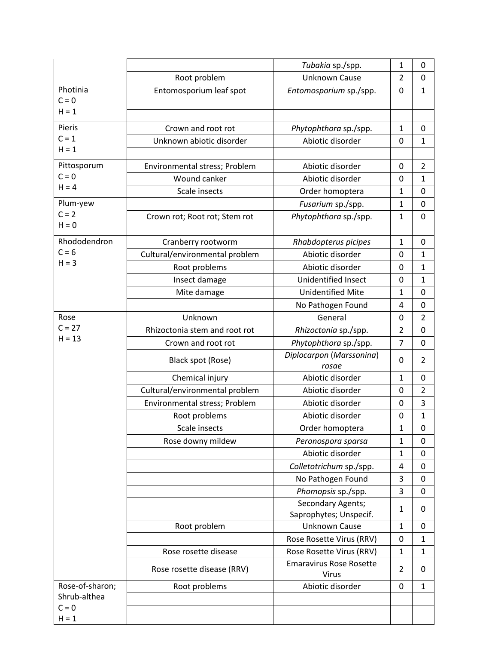|                         |                                | Tubakia sp./spp.                        | 1              | 0              |
|-------------------------|--------------------------------|-----------------------------------------|----------------|----------------|
|                         | Root problem                   | <b>Unknown Cause</b>                    | $\overline{2}$ | 0              |
| Photinia                | Entomosporium leaf spot        | Entomosporium sp./spp.                  | 0              | $\mathbf{1}$   |
| $C = 0$                 |                                |                                         |                |                |
| $H = 1$                 |                                |                                         |                |                |
| Pieris                  | Crown and root rot             | Phytophthora sp./spp.                   | $\mathbf{1}$   | 0              |
| $C = 1$                 | Unknown abiotic disorder       | Abiotic disorder                        | 0              | $\mathbf 1$    |
| $H = 1$                 |                                |                                         |                |                |
| Pittosporum             | Environmental stress; Problem  | Abiotic disorder                        | 0              | 2              |
| $C = 0$                 | Wound canker                   | Abiotic disorder                        | 0              | $\mathbf{1}$   |
| $H = 4$                 | Scale insects                  | Order homoptera                         | $\mathbf{1}$   | 0              |
| Plum-yew                |                                | Fusarium sp./spp.                       | $\mathbf{1}$   | 0              |
| $C = 2$                 | Crown rot; Root rot; Stem rot  | Phytophthora sp./spp.                   | $\mathbf{1}$   | 0              |
| $H = 0$                 |                                |                                         |                |                |
| Rhododendron            | Cranberry rootworm             | Rhabdopterus picipes                    | $\mathbf{1}$   | 0              |
| $C = 6$                 | Cultural/environmental problem | Abiotic disorder                        | 0              | $\mathbf{1}$   |
| $H = 3$                 | Root problems                  | Abiotic disorder                        | 0              | $\mathbf{1}$   |
|                         | Insect damage                  | Unidentified Insect                     | 0              | $\mathbf{1}$   |
|                         | Mite damage                    | <b>Unidentified Mite</b>                | 1              | $\mathbf 0$    |
|                         |                                | No Pathogen Found                       | 4              | 0              |
| Rose                    | Unknown                        | General                                 | 0              | $\overline{2}$ |
| $C = 27$                | Rhizoctonia stem and root rot  | Rhizoctonia sp./spp.                    | $\overline{2}$ | 0              |
| $H = 13$                | Crown and root rot             | Phytophthora sp./spp.                   | $\overline{7}$ | 0              |
|                         | Black spot (Rose)              | Diplocarpon (Marssonina)<br>rosae       | 0              | $\overline{2}$ |
|                         | Chemical injury                | Abiotic disorder                        | $\mathbf{1}$   | $\mathbf 0$    |
|                         | Cultural/environmental problem | Abiotic disorder                        | 0              | $\overline{2}$ |
|                         | Environmental stress; Problem  | Abiotic disorder                        | 0              | 3              |
|                         | Root problems                  | Abiotic disorder                        | $\mathbf 0$    | 1              |
|                         | Scale insects                  | Order homoptera                         | $\mathbf{1}$   | 0              |
|                         | Rose downy mildew              | Peronospora sparsa                      | $\mathbf{1}$   | 0              |
|                         |                                | Abiotic disorder                        | 1              | 0              |
|                         |                                | Colletotrichum sp./spp.                 | 4              | 0              |
|                         |                                | No Pathogen Found                       | 3              | 0              |
|                         |                                | Phomopsis sp./spp.                      | 3              | $\mathbf 0$    |
|                         |                                | Secondary Agents;                       | $\mathbf{1}$   | 0              |
|                         |                                | Saprophytes; Unspecif.                  |                |                |
|                         | Root problem                   | <b>Unknown Cause</b>                    | $\mathbf{1}$   | 0              |
|                         |                                | Rose Rosette Virus (RRV)                | 0              | $\mathbf{1}$   |
|                         | Rose rosette disease           | Rose Rosette Virus (RRV)                | $\mathbf{1}$   | $\mathbf{1}$   |
|                         | Rose rosette disease (RRV)     | <b>Emaravirus Rose Rosette</b><br>Virus | $\overline{2}$ | 0              |
| Rose-of-sharon;         | Root problems                  | Abiotic disorder                        | 0              | $\mathbf{1}$   |
| Shrub-althea<br>$C = 0$ |                                |                                         |                |                |
| $H = 1$                 |                                |                                         |                |                |
|                         |                                |                                         |                |                |